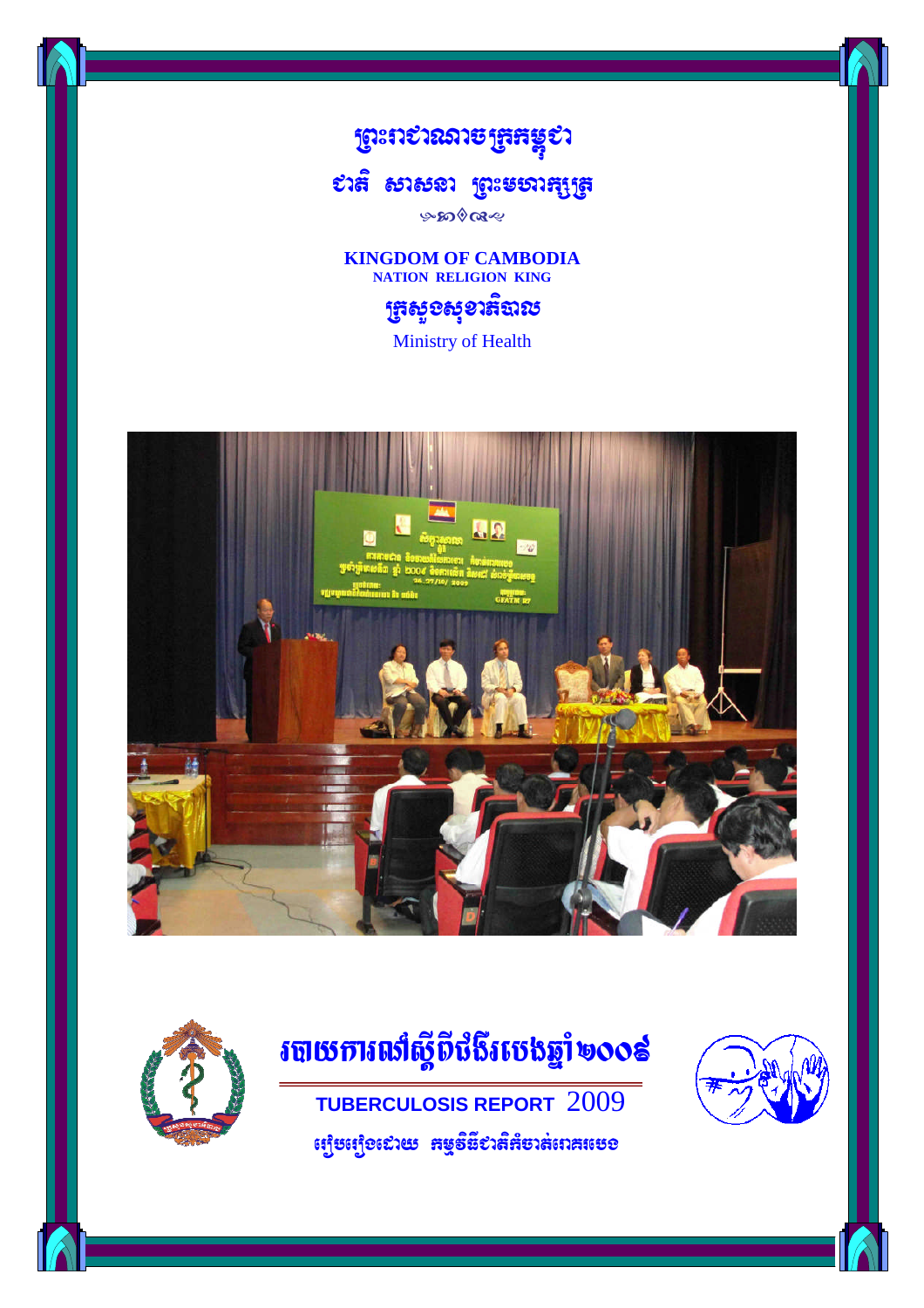

# Cati sasna RBHmhakSRt

๛๛๛๛

**KINGDOM OF CAMBODIA NATION RELIGION KING**

# អ៊ូងម៉ឺនម៉ាំងរូប

Ministry of Health





# របាយការលាំស្តីពីជំងឺរបេងឆ្នាំ ២០០៩

**TUBERCULOSIS REPORT** 2009  $\epsilon$ ព្យូបព្យេី១ដោយ កម្មទីនី៩រតីក៏បាត់ពេកបេេខ



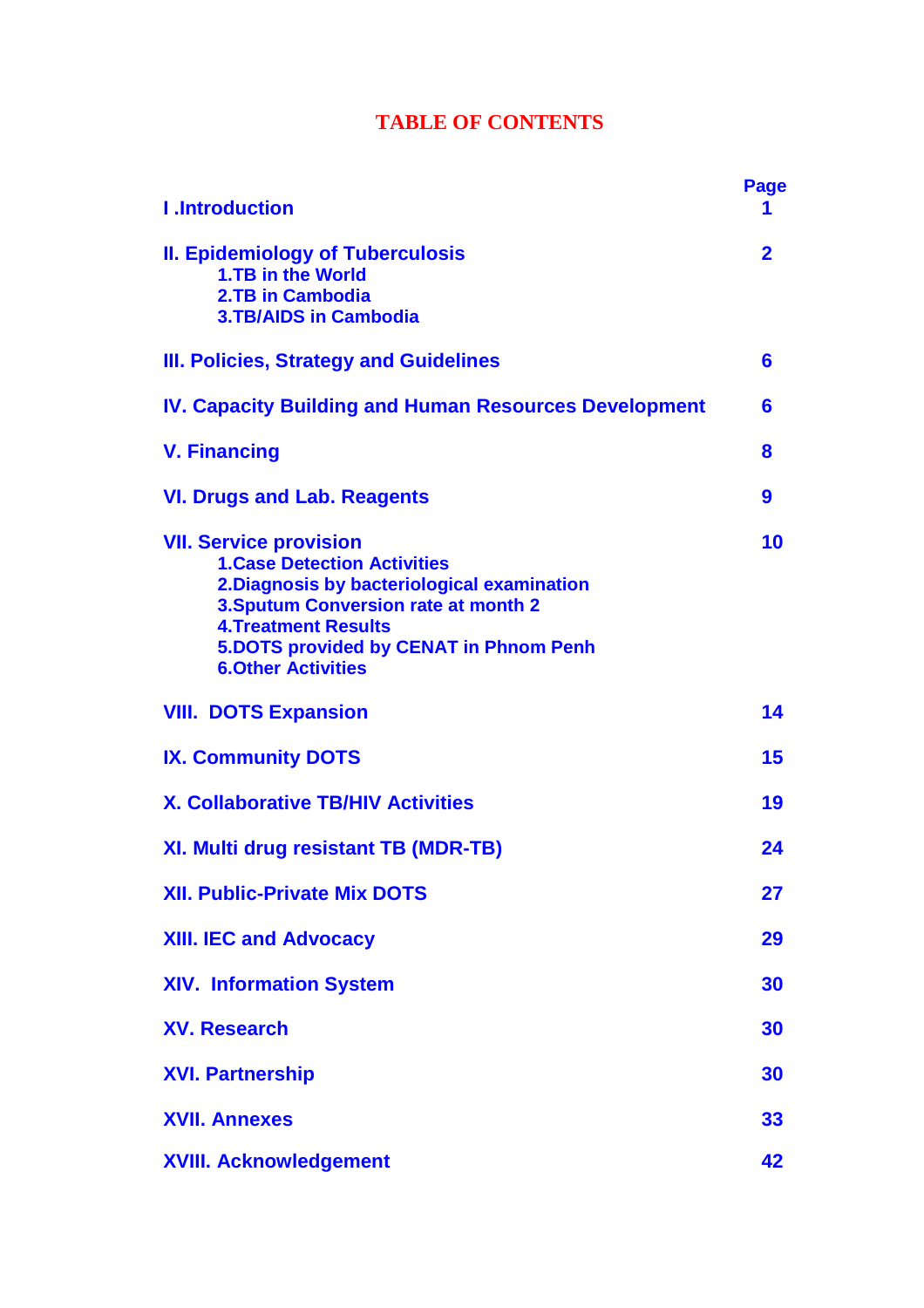## **TABLE OF CONTENTS**

| <b>I</b> .Introduction                                                                                                                                                                                                                                                          | <b>Page</b>      |
|---------------------------------------------------------------------------------------------------------------------------------------------------------------------------------------------------------------------------------------------------------------------------------|------------------|
| <b>II. Epidemiology of Tuberculosis</b><br>1.TB in the World<br>2.TB in Cambodia<br><b>3.TB/AIDS in Cambodia</b>                                                                                                                                                                | $\overline{2}$   |
| III. Policies, Strategy and Guidelines                                                                                                                                                                                                                                          | 6                |
| <b>IV. Capacity Building and Human Resources Development</b>                                                                                                                                                                                                                    | 6                |
| <b>V. Financing</b>                                                                                                                                                                                                                                                             | 8                |
| <b>VI. Drugs and Lab. Reagents</b>                                                                                                                                                                                                                                              | $\boldsymbol{9}$ |
| <b>VII. Service provision</b><br><b>1. Case Detection Activities</b><br>2. Diagnosis by bacteriological examination<br><b>3. Sputum Conversion rate at month 2</b><br><b>4. Treatment Results</b><br><b>5.DOTS provided by CENAT in Phnom Penh</b><br><b>6.Other Activities</b> | 10               |
| <b>VIII. DOTS Expansion</b>                                                                                                                                                                                                                                                     | 14               |
| <b>IX. Community DOTS</b>                                                                                                                                                                                                                                                       | 15               |
| <b>X. Collaborative TB/HIV Activities</b>                                                                                                                                                                                                                                       | 19               |
| XI. Multi drug resistant TB (MDR-TB)                                                                                                                                                                                                                                            | 24               |
| <b>XII. Public-Private Mix DOTS</b>                                                                                                                                                                                                                                             | 27               |
| <b>XIII. IEC and Advocacy</b>                                                                                                                                                                                                                                                   | 29               |
| <b>XIV. Information System</b>                                                                                                                                                                                                                                                  | 30               |
| <b>XV. Research</b>                                                                                                                                                                                                                                                             | 30               |
| <b>XVI. Partnership</b>                                                                                                                                                                                                                                                         | 30               |
| <b>XVII. Annexes</b>                                                                                                                                                                                                                                                            | 33               |
| <b>XVIII. Acknowledgement</b>                                                                                                                                                                                                                                                   | 42               |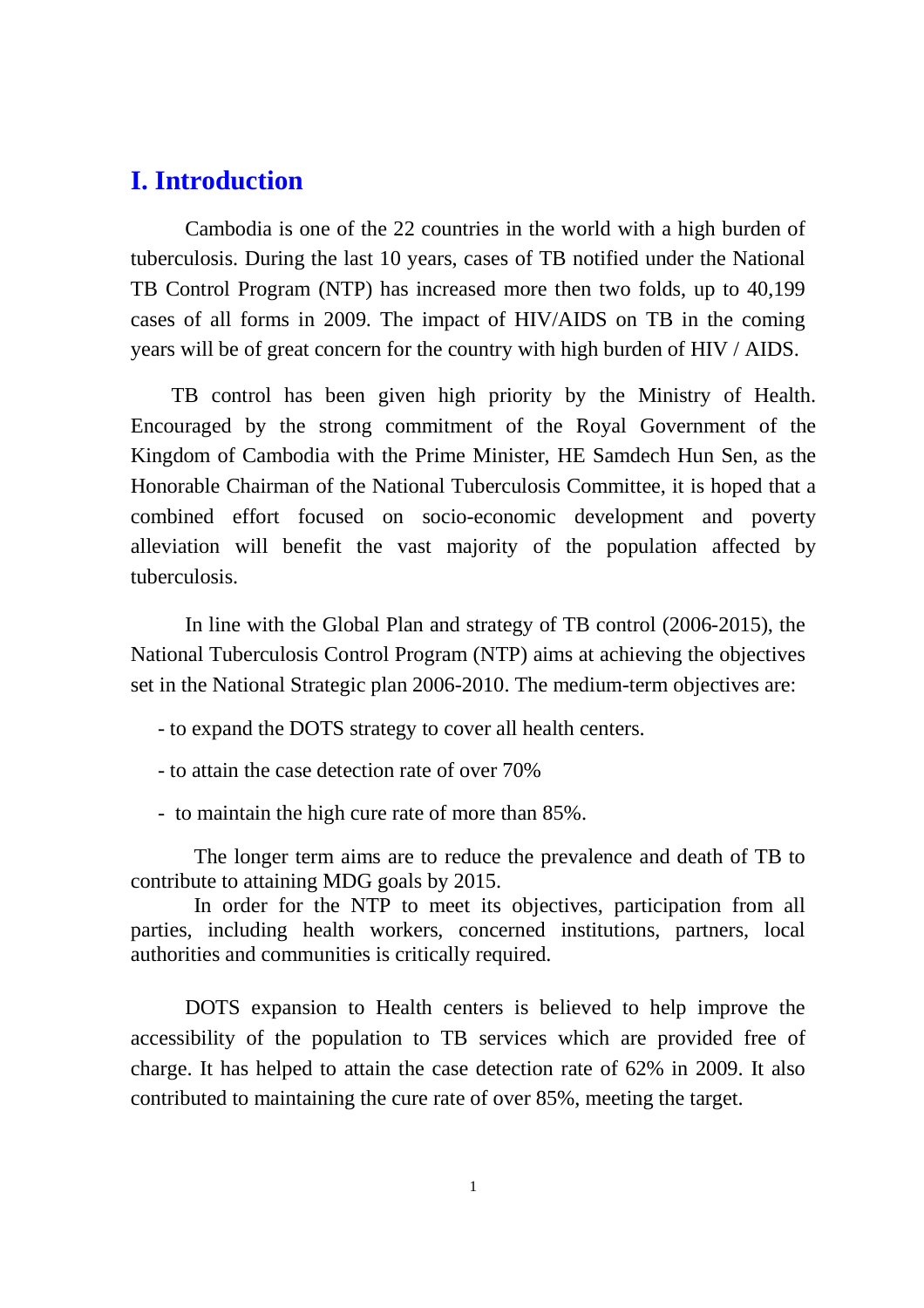### **I. Introduction**

Cambodia is one of the 22 countries in the world with a high burden of tuberculosis. During the last 10 years, cases of TB notified under the National TB Control Program (NTP) has increased more then two folds, up to 40,199 cases of all forms in 2009. The impact of HIV/AIDS on TB in the coming years will be of great concern for the country with high burden of HIV / AIDS.

TB control has been given high priority by the Ministry of Health. Encouraged by the strong commitment of the Royal Government of the Kingdom of Cambodia with the Prime Minister, HE Samdech Hun Sen, as the Honorable Chairman of the National Tuberculosis Committee, it is hoped that a combined effort focused on socio-economic development and poverty alleviation will benefit the vast majority of the population affected by tuberculosis.

In line with the Global Plan and strategy of TB control (2006-2015), the National Tuberculosis Control Program (NTP) aims at achieving the objectives set in the National Strategic plan 2006-2010. The medium-term objectives are:

- to expand the DOTS strategy to cover all health centers.

- to attain the case detection rate of over 70%
- to maintain the high cure rate of more than 85%.

The longer term aims are to reduce the prevalence and death of TB to contribute to attaining MDG goals by 2015.

In order for the NTP to meet its objectives, participation from all parties, including health workers, concerned institutions, partners, local authorities and communities is critically required.

DOTS expansion to Health centers is believed to help improve the accessibility of the population to TB services which are provided free of charge. It has helped to attain the case detection rate of 62% in 2009. It also contributed to maintaining the cure rate of over 85%, meeting the target.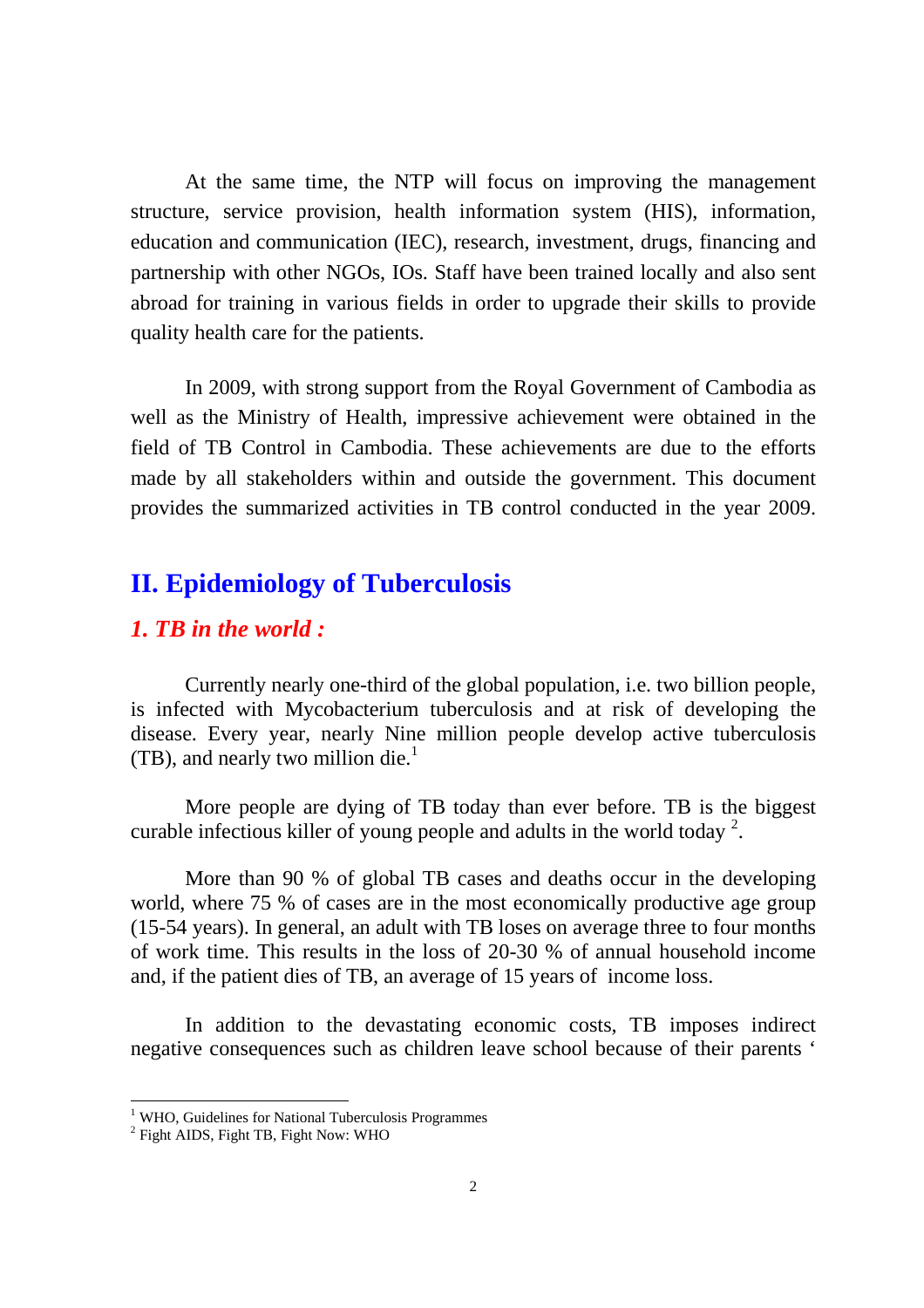At the same time, the NTP will focus on improving the management structure, service provision, health information system (HIS), information, education and communication (IEC), research, investment, drugs, financing and partnership with other NGOs, IOs. Staff have been trained locally and also sent abroad for training in various fields in order to upgrade their skills to provide quality health care for the patients.

In 2009, with strong support from the Royal Government of Cambodia as well as the Ministry of Health, impressive achievement were obtained in the field of TB Control in Cambodia. These achievements are due to the efforts made by all stakeholders within and outside the government. This document provides the summarized activities in TB control conducted in the year 2009.

## **II. Epidemiology of Tuberculosis**

#### *1. TB in the world :*

Currently nearly one-third of the global population, i.e. two billion people, is infected with Mycobacterium tuberculosis and at risk of developing the disease. Every year, nearly Nine million people develop active tuberculosis  $(TB)$ , and nearly two million die.<sup>1</sup>

More people are dying of TB today than ever before. TB is the biggest curable infectious killer of young people and adults in the world today<sup>2</sup>.

More than 90 % of global TB cases and deaths occur in the developing world, where 75 % of cases are in the most economically productive age group (15-54 years). In general, an adult with TB loses on average three to four months of work time. This results in the loss of 20-30 % of annual household income and, if the patient dies of TB, an average of 15 years of income loss.

In addition to the devastating economic costs, TB imposes indirect negative consequences such as children leave school because of their parents '

<sup>&</sup>lt;sup>1</sup> WHO, Guidelines for National Tuberculosis Programmes

<sup>&</sup>lt;sup>2</sup> Fight AIDS, Fight TB, Fight Now: WHO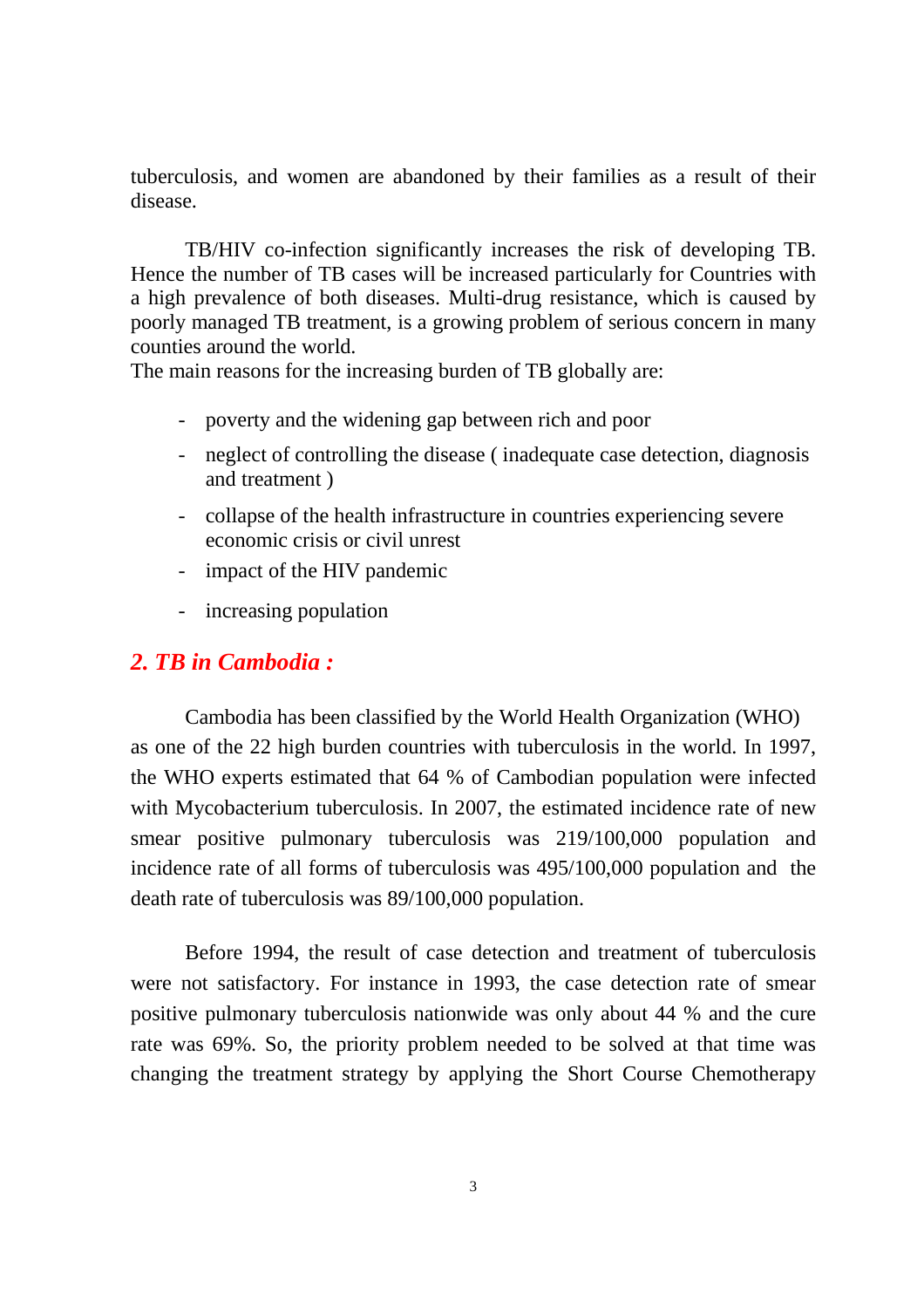tuberculosis, and women are abandoned by their families as a result of their disease.

TB/HIV co-infection significantly increases the risk of developing TB. Hence the number of TB cases will be increased particularly for Countries with a high prevalence of both diseases. Multi-drug resistance, which is caused by poorly managed TB treatment, is a growing problem of serious concern in many counties around the world.

The main reasons for the increasing burden of TB globally are:

- poverty and the widening gap between rich and poor
- neglect of controlling the disease ( inadequate case detection, diagnosis and treatment )
- collapse of the health infrastructure in countries experiencing severe economic crisis or civil unrest
- impact of the HIV pandemic
- increasing population

#### *2. TB in Cambodia :*

Cambodia has been classified by the World Health Organization (WHO) as one of the 22 high burden countries with tuberculosis in the world. In 1997, the WHO experts estimated that 64 % of Cambodian population were infected with Mycobacterium tuberculosis. In 2007, the estimated incidence rate of new smear positive pulmonary tuberculosis was 219/100,000 population and incidence rate of all forms of tuberculosis was 495/100,000 population and the death rate of tuberculosis was 89/100,000 population.

Before 1994, the result of case detection and treatment of tuberculosis were not satisfactory. For instance in 1993, the case detection rate of smear positive pulmonary tuberculosis nationwide was only about 44 % and the cure rate was 69%. So, the priority problem needed to be solved at that time was changing the treatment strategy by applying the Short Course Chemotherapy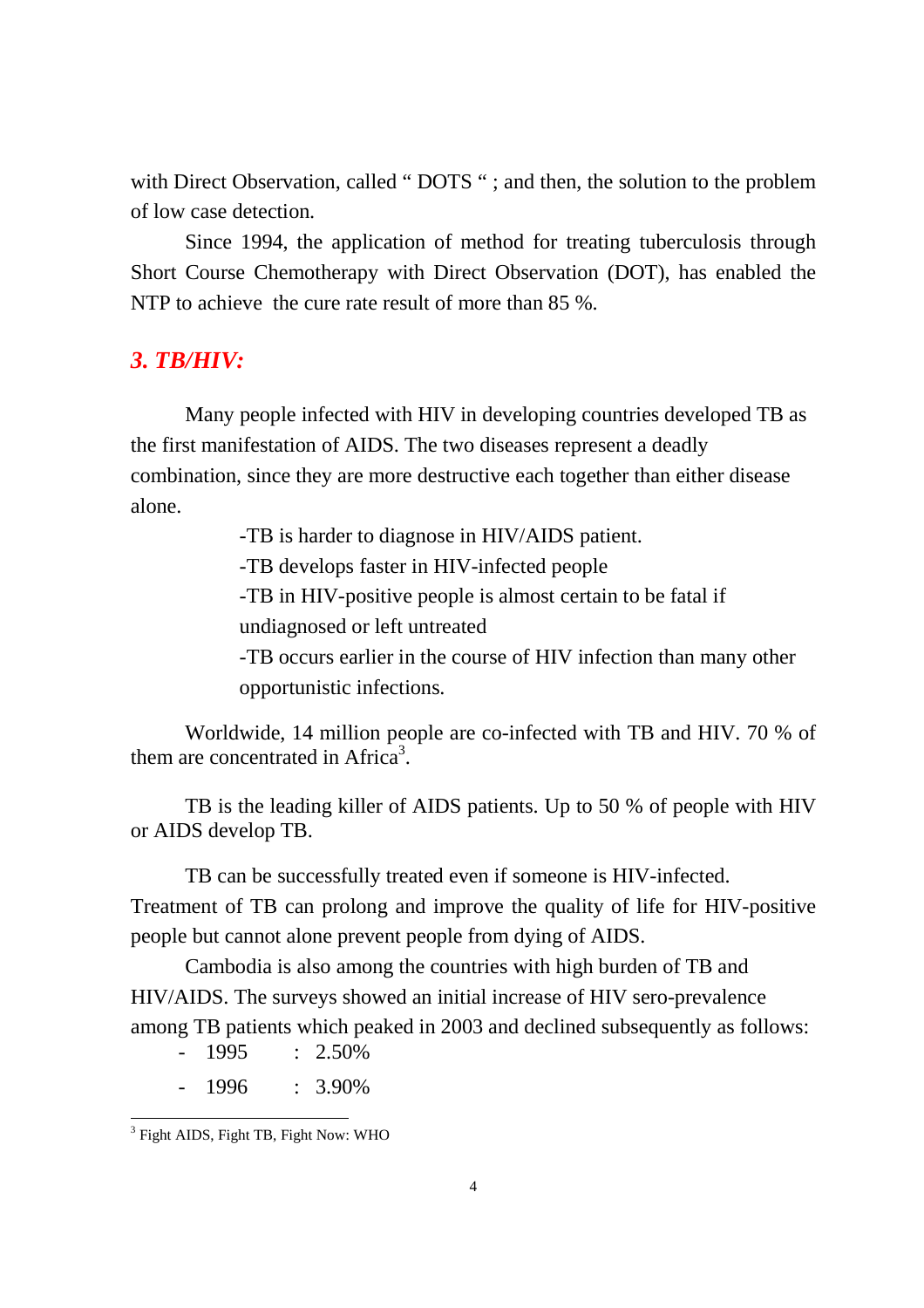with Direct Observation, called "DOTS "; and then, the solution to the problem of low case detection.

Since 1994, the application of method for treating tuberculosis through Short Course Chemotherapy with Direct Observation (DOT), has enabled the NTP to achieve the cure rate result of more than 85 %.

#### *3. TB/HIV:*

Many people infected with HIV in developing countries developed TB as the first manifestation of AIDS. The two diseases represent a deadly combination, since they are more destructive each together than either disease alone.

-TB is harder to diagnose in HIV/AIDS patient.

-TB develops faster in HIV-infected people

-TB in HIV-positive people is almost certain to be fatal if undiagnosed or left untreated

-TB occurs earlier in the course of HIV infection than many other opportunistic infections.

Worldwide, 14 million people are co-infected with TB and HIV. 70 % of them are concentrated in Africa<sup>3</sup>.

TB is the leading killer of AIDS patients. Up to 50 % of people with HIV or AIDS develop TB.

TB can be successfully treated even if someone is HIV-infected. Treatment of TB can prolong and improve the quality of life for HIV-positive people but cannot alone prevent people from dying of AIDS.

Cambodia is also among the countries with high burden of TB and HIV/AIDS. The surveys showed an initial increase of HIV sero-prevalence among TB patients which peaked in 2003 and declined subsequently as follows:

- $1995$  : 2.50%
- 1996 : 3.90%

<sup>&</sup>lt;sup>3</sup> Fight AIDS, Fight TB, Fight Now: WHO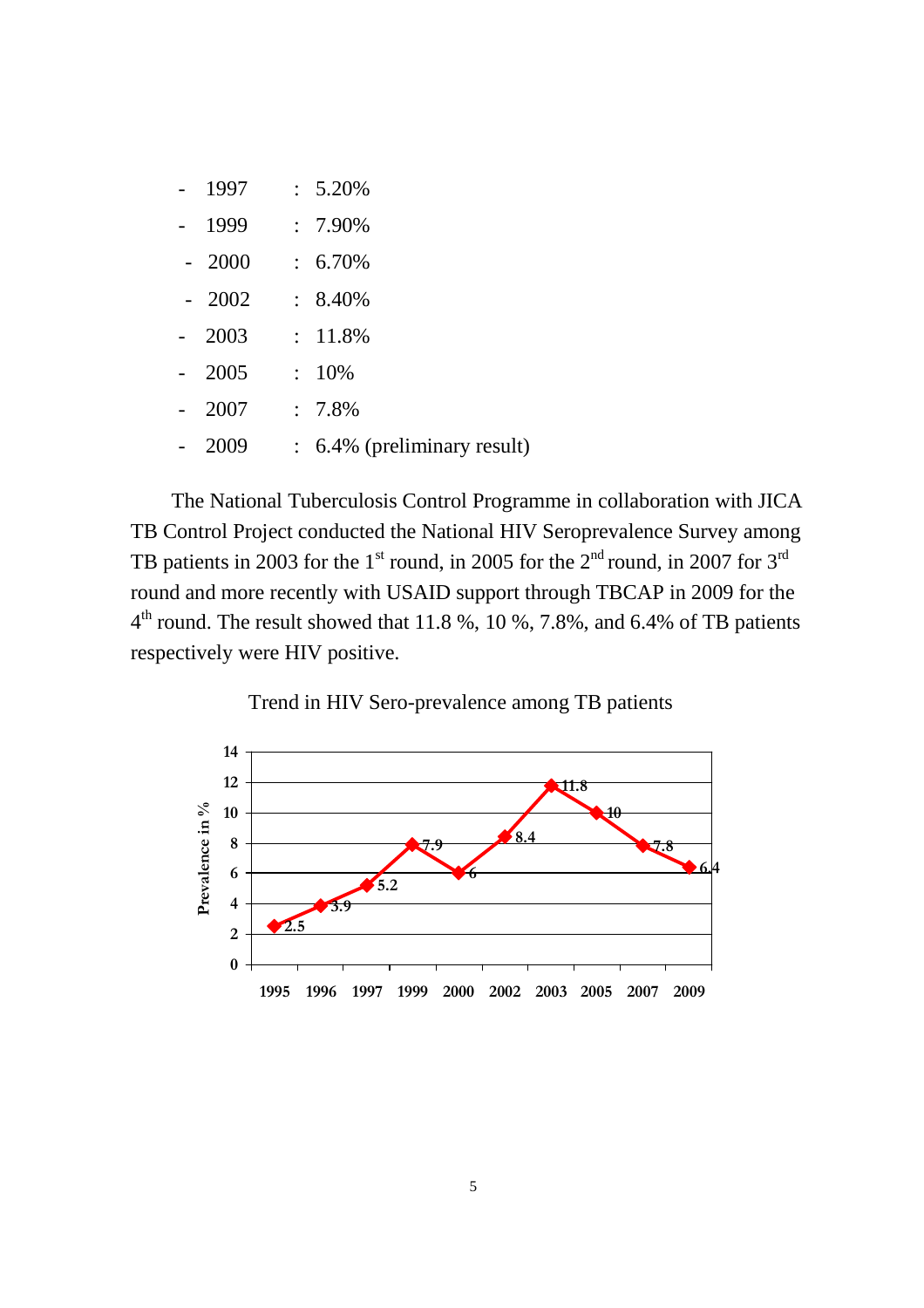|  | 1997    | $: 5.20\%$                             |
|--|---------|----------------------------------------|
|  | 1999    | $: 7.90\%$                             |
|  | $-2000$ | $: 6.70\%$                             |
|  | $-2002$ | $: 8.40\%$                             |
|  | 2003    | $: 11.8\%$                             |
|  | 2005    | $: 10\%$                               |
|  | 2007    | $: 7.8\%$                              |
|  | 2009    | $\therefore$ 6.4% (preliminary result) |

The National Tuberculosis Control Programme in collaboration with JICA TB Control Project conducted the National HIV Seroprevalence Survey among TB patients in 2003 for the 1<sup>st</sup> round, in 2005 for the  $2<sup>nd</sup>$  round, in 2007 for 3<sup>rd</sup> round and more recently with USAID support through TBCAP in 2009 for the  $4<sup>th</sup>$  round. The result showed that 11.8 %, 10 %, 7.8%, and 6.4% of TB patients respectively were HIV positive.



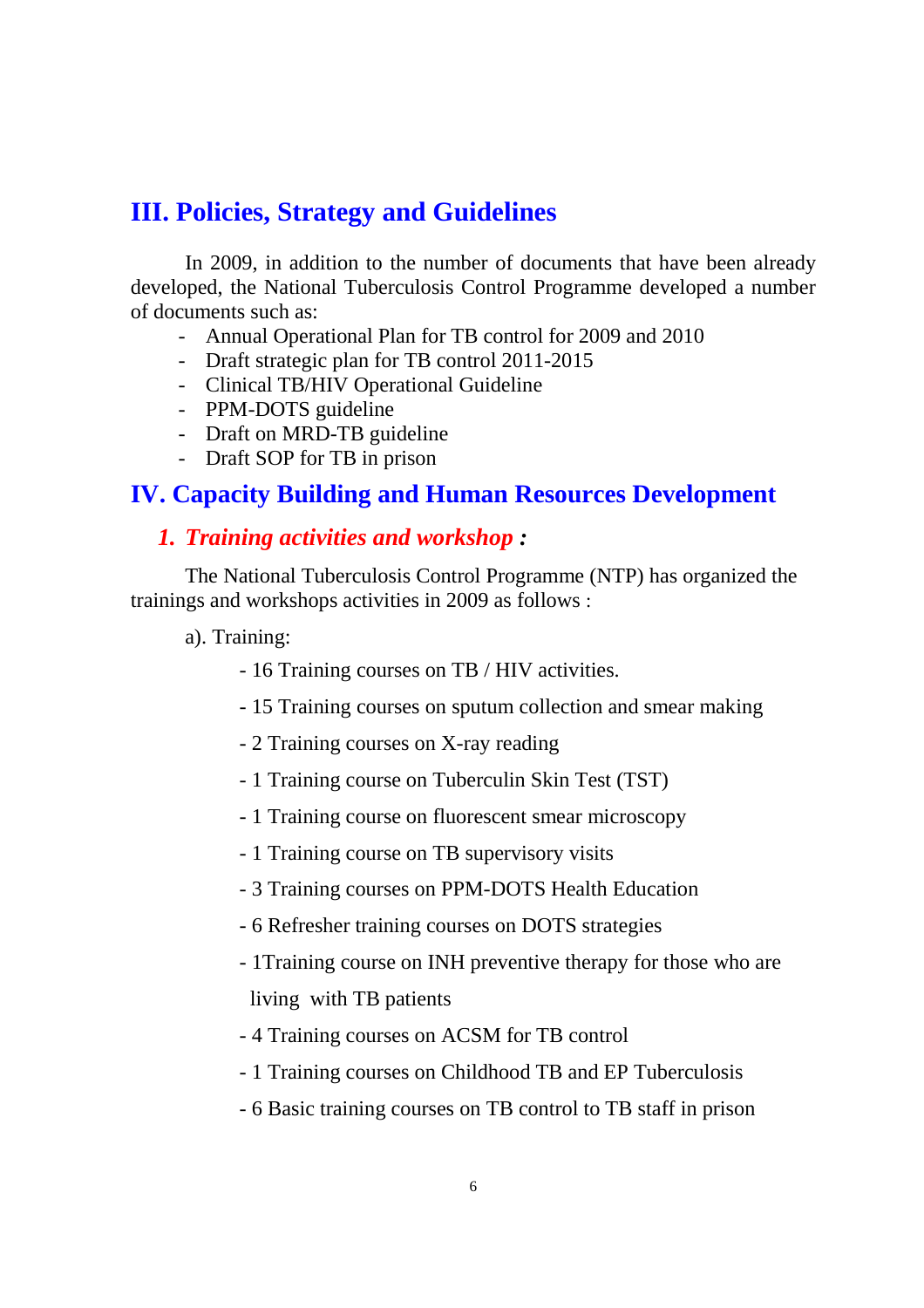## **III. Policies, Strategy and Guidelines**

In 2009, in addition to the number of documents that have been already developed, the National Tuberculosis Control Programme developed a number of documents such as:

- Annual Operational Plan for TB control for 2009 and 2010
- Draft strategic plan for TB control 2011-2015
- Clinical TB/HIV Operational Guideline
- PPM-DOTS guideline
- Draft on MRD-TB guideline
- Draft SOP for TB in prison

### **IV. Capacity Building and Human Resources Development**

#### *1. Training activities and workshop :*

The National Tuberculosis Control Programme (NTP) has organized the trainings and workshops activities in 2009 as follows :

a). Training:

- 16 Training courses on TB / HIV activities.
- 15 Training courses on sputum collection and smear making
- 2 Training courses on X-ray reading
- 1 Training course on Tuberculin Skin Test (TST)
- 1 Training course on fluorescent smear microscopy
- 1 Training course on TB supervisory visits
- 3 Training courses on PPM-DOTS Health Education
- 6 Refresher training courses on DOTS strategies
- 1Training course on INH preventive therapy for those who are living with TB patients
- 4 Training courses on ACSM for TB control
- 1 Training courses on Childhood TB and EP Tuberculosis
- 6 Basic training courses on TB control to TB staff in prison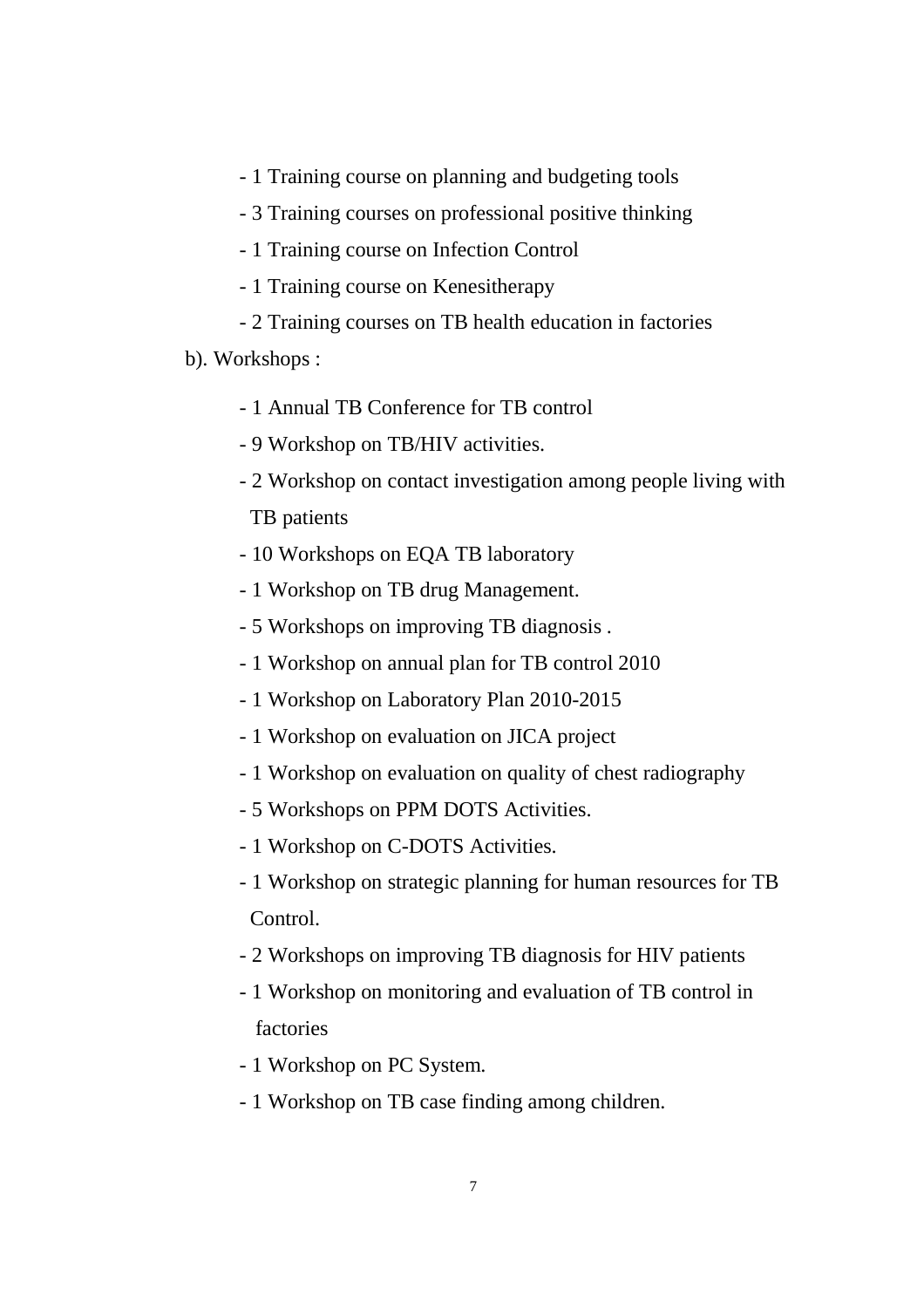- 1 Training course on planning and budgeting tools
- 3 Training courses on professional positive thinking
- 1 Training course on Infection Control
- 1 Training course on Kenesitherapy
- 2 Training courses on TB health education in factories
- b). Workshops :
	- 1 Annual TB Conference for TB control
	- 9 Workshop on TB/HIV activities.
	- 2 Workshop on contact investigation among people living with

TB patients

- 10 Workshops on EQA TB laboratory
- 1 Workshop on TB drug Management.
- 5 Workshops on improving TB diagnosis .
- 1 Workshop on annual plan for TB control 2010
- 1 Workshop on Laboratory Plan 2010-2015
- 1 Workshop on evaluation on JICA project
- 1 Workshop on evaluation on quality of chest radiography
- 5 Workshops on PPM DOTS Activities.
- 1 Workshop on C-DOTS Activities.
- 1 Workshop on strategic planning for human resources for TB Control.
- 2 Workshops on improving TB diagnosis for HIV patients
- 1 Workshop on monitoring and evaluation of TB control in factories
- 1 Workshop on PC System.
- 1 Workshop on TB case finding among children.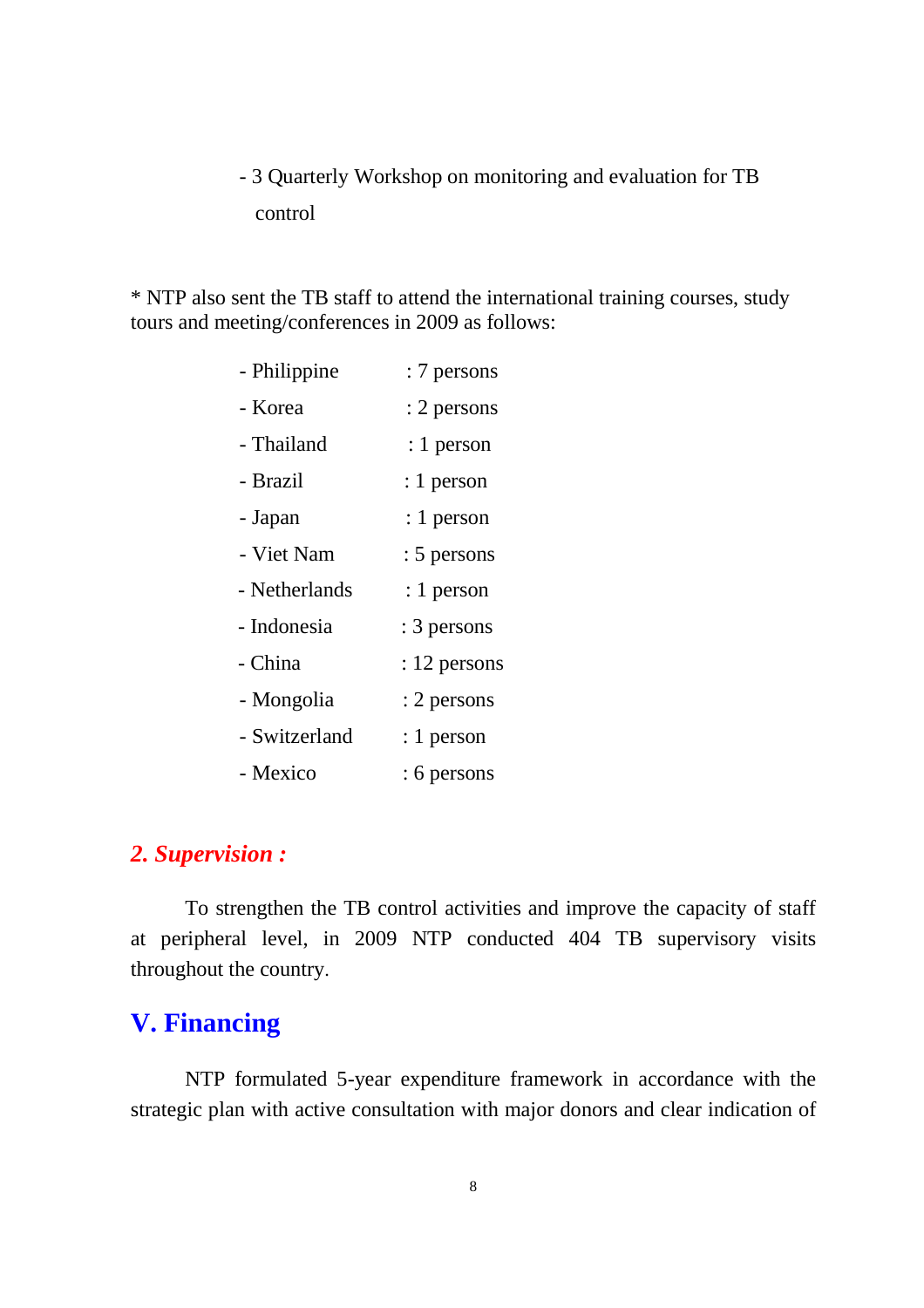## - 3 Quarterly Workshop on monitoring and evaluation for TB control

\* NTP also sent the TB staff to attend the international training courses, study tours and meeting/conferences in 2009 as follows:

| - Philippine  | : 7 persons  |
|---------------|--------------|
| - Korea       | : 2 persons  |
| - Thailand    | : 1 person   |
| - Brazil      | : 1 person   |
| - Japan       | : 1 person   |
| - Viet Nam    | : 5 persons  |
| - Netherlands | $: 1$ person |
| - Indonesia   | : 3 persons  |
| - China       | : 12 persons |
| - Mongolia    | : 2 persons  |
| - Switzerland | : 1 person   |
| - Mexico      | : 6 persons  |

### *2. Supervision :*

To strengthen the TB control activities and improve the capacity of staff at peripheral level, in 2009 NTP conducted 404 TB supervisory visits throughout the country.

## **V. Financing**

NTP formulated 5-year expenditure framework in accordance with the strategic plan with active consultation with major donors and clear indication of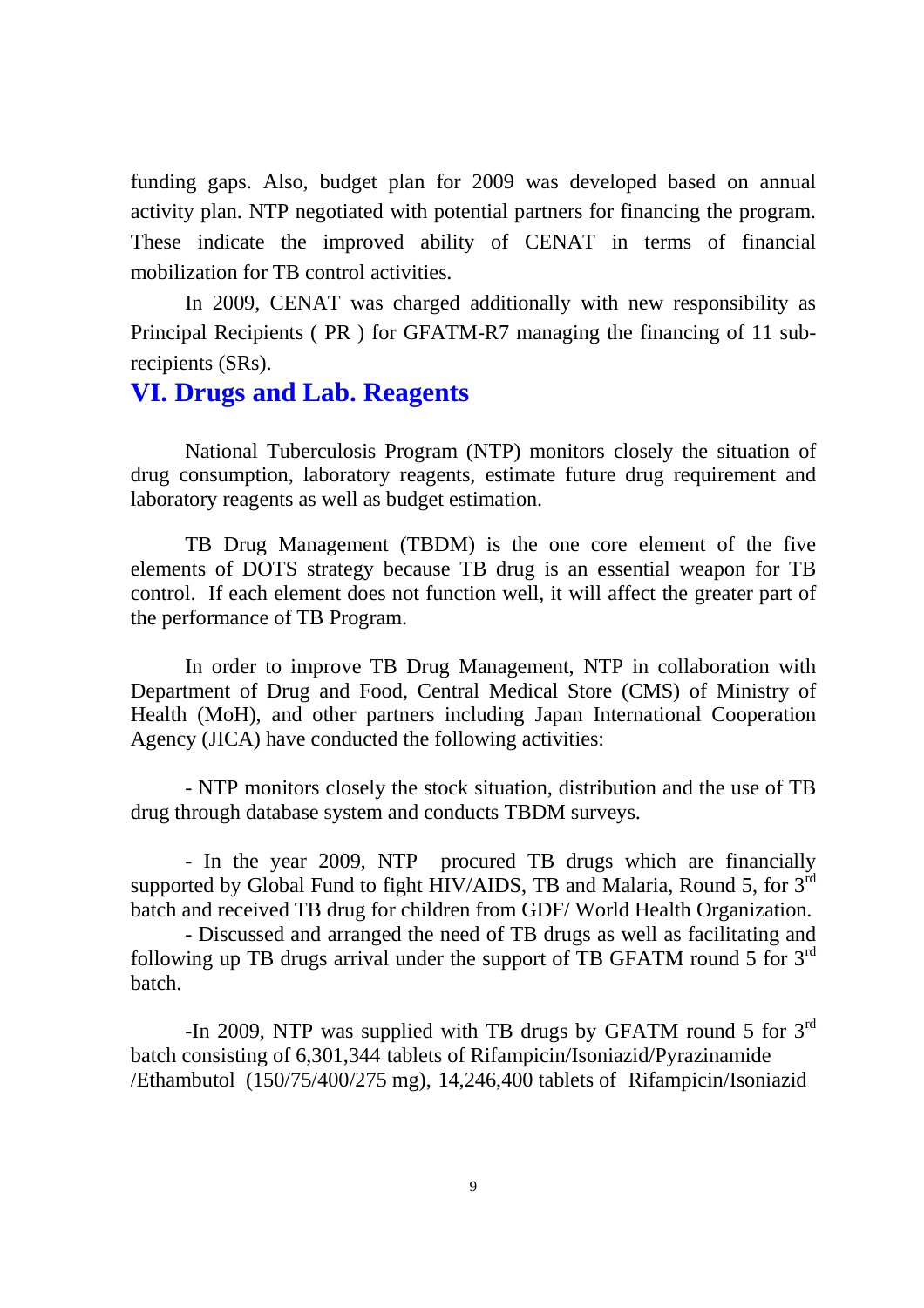funding gaps. Also, budget plan for 2009 was developed based on annual activity plan. NTP negotiated with potential partners for financing the program. These indicate the improved ability of CENAT in terms of financial mobilization for TB control activities.

In 2009, CENAT was charged additionally with new responsibility as Principal Recipients ( PR ) for GFATM-R7 managing the financing of 11 subrecipients (SRs).

#### **VI. Drugs and Lab. Reagents**

National Tuberculosis Program (NTP) monitors closely the situation of drug consumption, laboratory reagents, estimate future drug requirement and laboratory reagents as well as budget estimation.

TB Drug Management (TBDM) is the one core element of the five elements of DOTS strategy because TB drug is an essential weapon for TB control. If each element does not function well, it will affect the greater part of the performance of TB Program.

In order to improve TB Drug Management, NTP in collaboration with Department of Drug and Food, Central Medical Store (CMS) of Ministry of Health (MoH), and other partners including Japan International Cooperation Agency (JICA) have conducted the following activities:

- NTP monitors closely the stock situation, distribution and the use of TB drug through database system and conducts TBDM surveys.

- In the year 2009, NTP procured TB drugs which are financially supported by Global Fund to fight HIV/AIDS, TB and Malaria, Round 5, for 3<sup>rd</sup> batch and received TB drug for children from GDF/ World Health Organization.

- Discussed and arranged the need of TB drugs as well as facilitating and following up TB drugs arrival under the support of TB GFATM round 5 for  $3<sup>rd</sup>$ batch.

-In 2009, NTP was supplied with TB drugs by GFATM round 5 for 3rd batch consisting of 6,301,344 tablets of Rifampicin/Isoniazid/Pyrazinamide /Ethambutol (150/75/400/275 mg), 14,246,400 tablets of Rifampicin/Isoniazid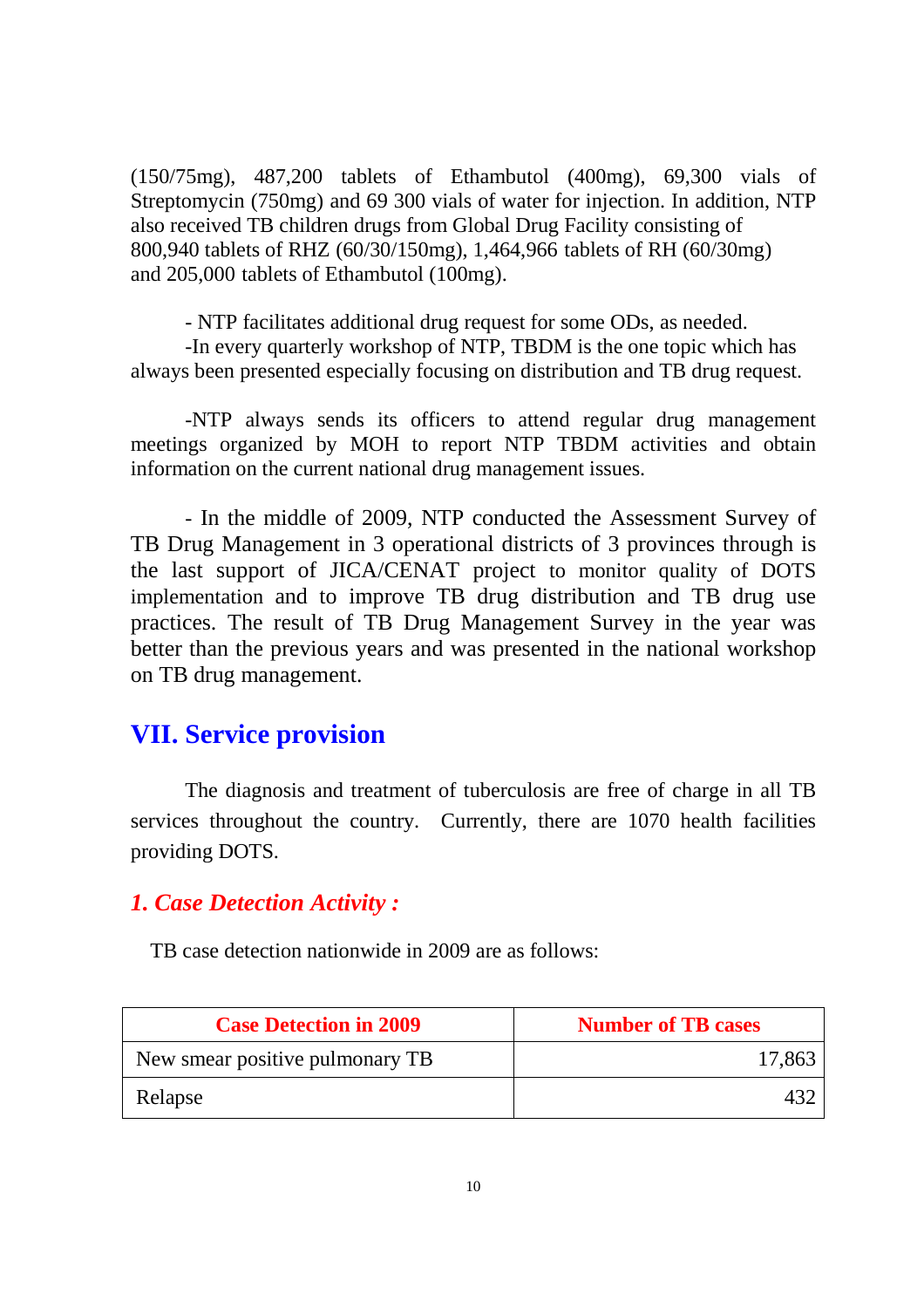(150/75mg), 487,200 tablets of Ethambutol (400mg), 69,300 vials of Streptomycin (750mg) and 69 300 vials of water for injection. In addition, NTP also received TB children drugs from Global Drug Facility consisting of 800,940 tablets of RHZ (60/30/150mg), 1,464,966 tablets of RH (60/30mg) and 205,000 tablets of Ethambutol (100mg).

- NTP facilitates additional drug request for some ODs, as needed.

-In every quarterly workshop of NTP, TBDM is the one topic which has always been presented especially focusing on distribution and TB drug request.

-NTP always sends its officers to attend regular drug management meetings organized by MOH to report NTP TBDM activities and obtain information on the current national drug management issues.

- In the middle of 2009, NTP conducted the Assessment Survey of TB Drug Management in 3 operational districts of 3 provinces through is the last support of JICA/CENAT project to monitor quality of DOTS implementation and to improve TB drug distribution and TB drug use practices. The result of TB Drug Management Survey in the year was better than the previous years and was presented in the national workshop on TB drug management.

## **VII. Service provision**

The diagnosis and treatment of tuberculosis are free of charge in all TB services throughout the country. Currently, there are 1070 health facilities providing DOTS.

#### *1. Case Detection Activity :*

TB case detection nationwide in 2009 are as follows:

| <b>Case Detection in 2009</b>   | <b>Number of TB cases</b> |
|---------------------------------|---------------------------|
| New smear positive pulmonary TB | 17,863                    |
| Relapse                         |                           |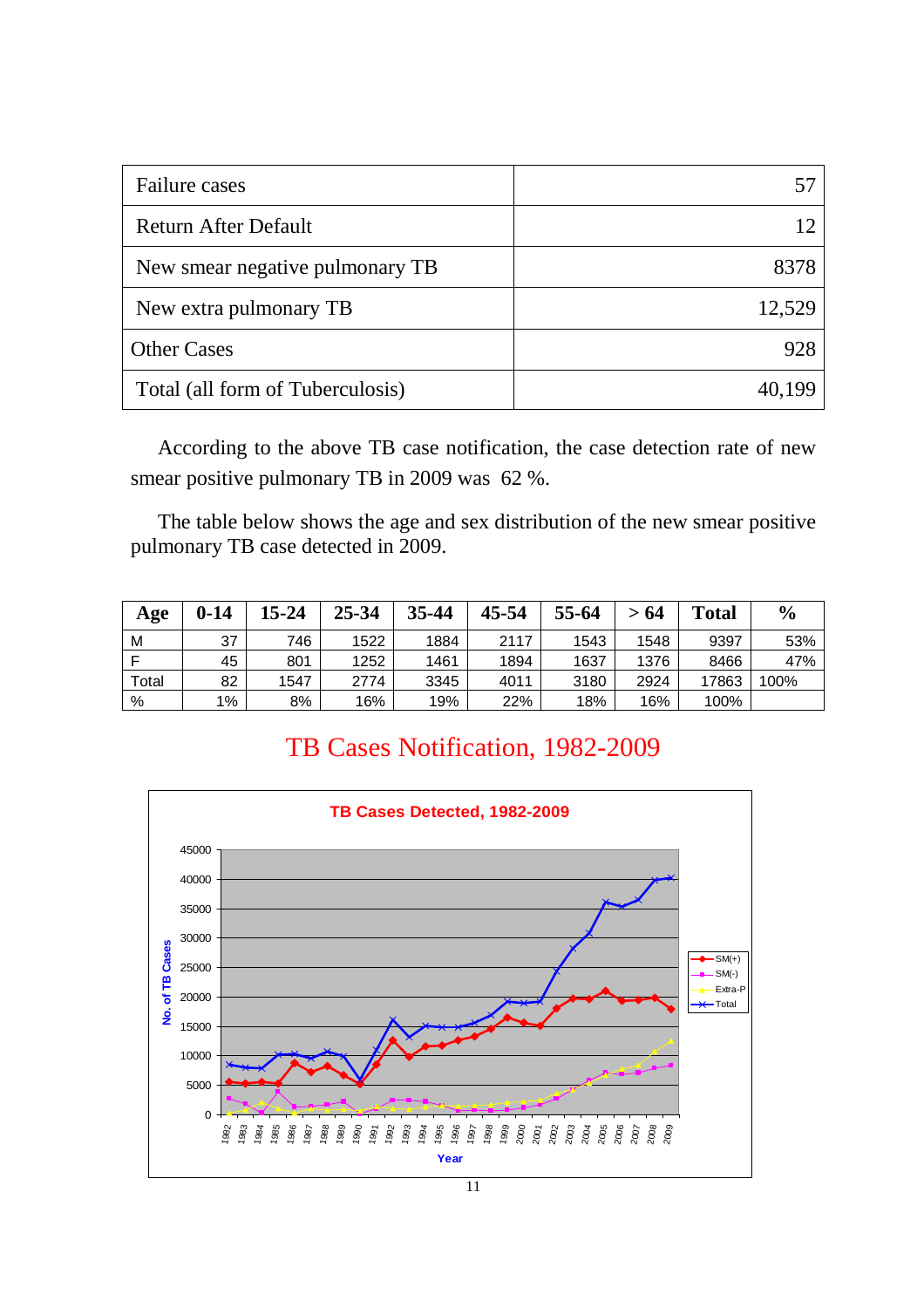| Failure cases                    | 57     |
|----------------------------------|--------|
| Return After Default             | 12     |
| New smear negative pulmonary TB  | 8378   |
| New extra pulmonary TB           | 12,529 |
| <b>Other Cases</b>               | 928    |
| Total (all form of Tuberculosis) | 40,199 |

According to the above TB case notification, the case detection rate of new smear positive pulmonary TB in 2009 was 62 %.

The table below shows the age and sex distribution of the new smear positive pulmonary TB case detected in 2009.

| Age   | $0 - 14$ | $15 - 24$ | 25-34 | 35-44 | 45-54 | 55-64 | >64  | <b>Total</b> | $\frac{6}{9}$ |
|-------|----------|-----------|-------|-------|-------|-------|------|--------------|---------------|
| M     | 37       | 746       | 1522  | 1884  | 2117  | 1543  | 1548 | 9397         | 53%           |
|       | 45       | 801       | 1252  | 1461  | 1894  | 1637  | 1376 | 8466         | 47%           |
| Total | 82       | 1547      | 2774  | 3345  | 4011  | 3180  | 2924 | 17863        | 100%          |
| %     | $1\%$    | 8%        | 16%   | 19%   | 22%   | 18%   | 16%  | 100%         |               |

## TB Cases Notification, 1982-2009

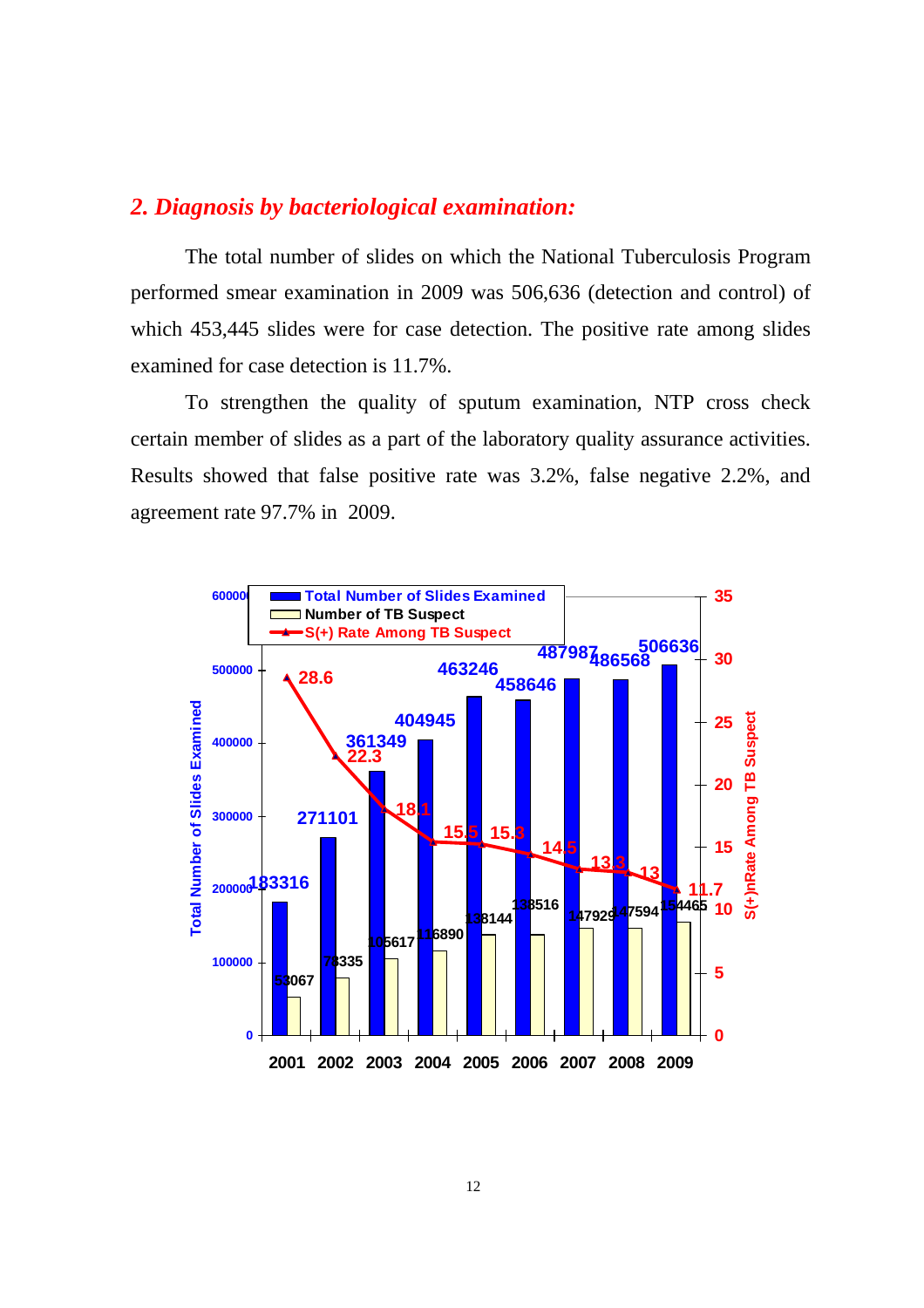### *2. Diagnosis by bacteriological examination:*

The total number of slides on which the National Tuberculosis Program performed smear examination in 2009 was 506,636 (detection and control) of which 453,445 slides were for case detection. The positive rate among slides examined for case detection is 11.7%.

To strengthen the quality of sputum examination, NTP cross check certain member of slides as a part of the laboratory quality assurance activities. Results showed that false positive rate was 3.2%, false negative 2.2%, and agreement rate 97.7% in 2009.

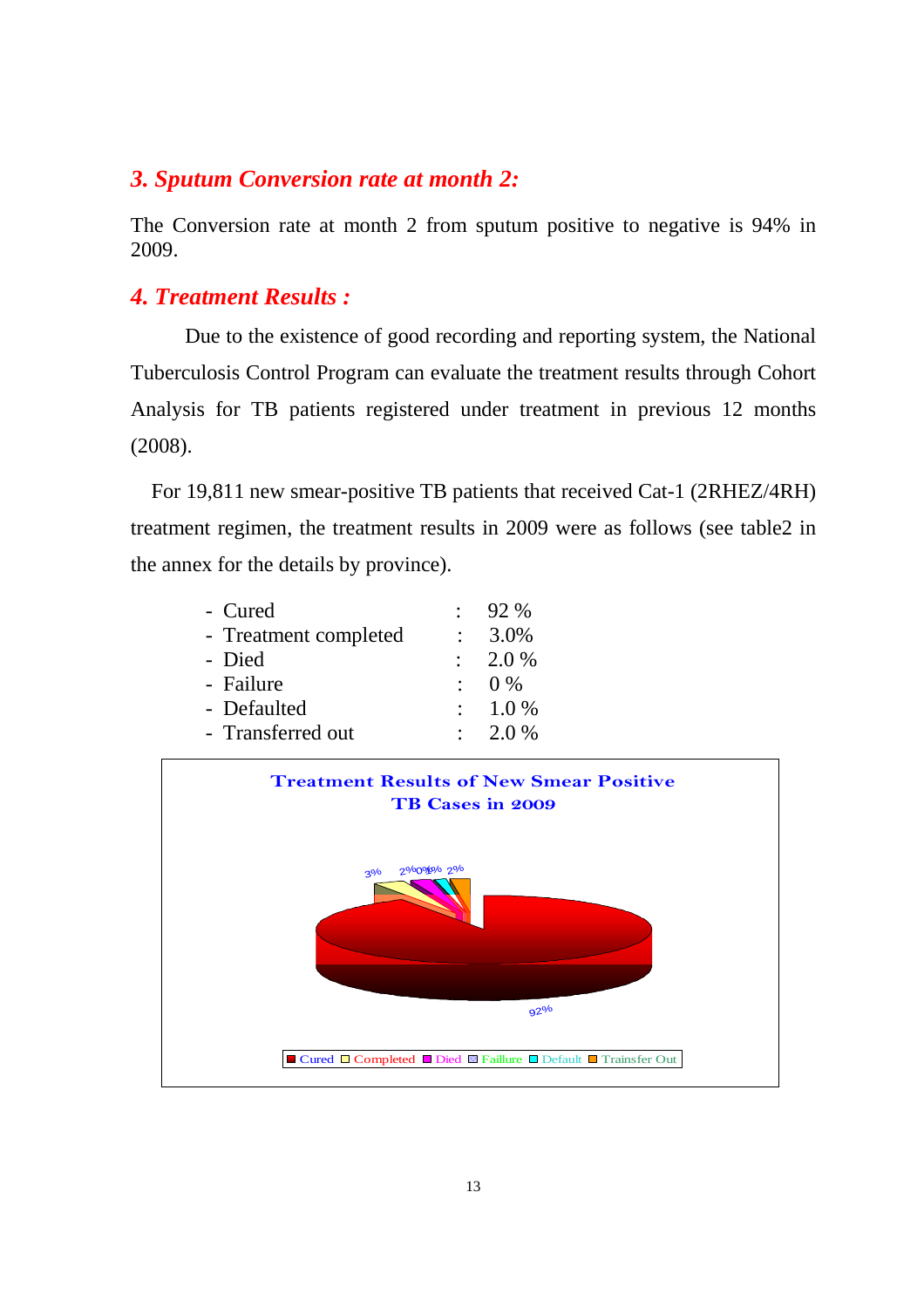#### *3. Sputum Conversion rate at month 2:*

The Conversion rate at month 2 from sputum positive to negative is 94% in 2009.

#### *4. Treatment Results :*

Due to the existence of good recording and reporting system, the National Tuberculosis Control Program can evaluate the treatment results through Cohort Analysis for TB patients registered under treatment in previous 12 months (2008).

For 19,811 new smear-positive TB patients that received Cat-1 (2RHEZ/4RH) treatment regimen, the treatment results in 2009 were as follows (see table2 in the annex for the details by province).

| - Cured               | 92 %               |
|-----------------------|--------------------|
| - Treatment completed | 3.0%               |
| - Died                | $\therefore$ 2.0 % |
| - Failure             | $0\%$              |
| - Defaulted           | $: 1.0 \%$         |
| - Transferred out     | 2.0 %              |

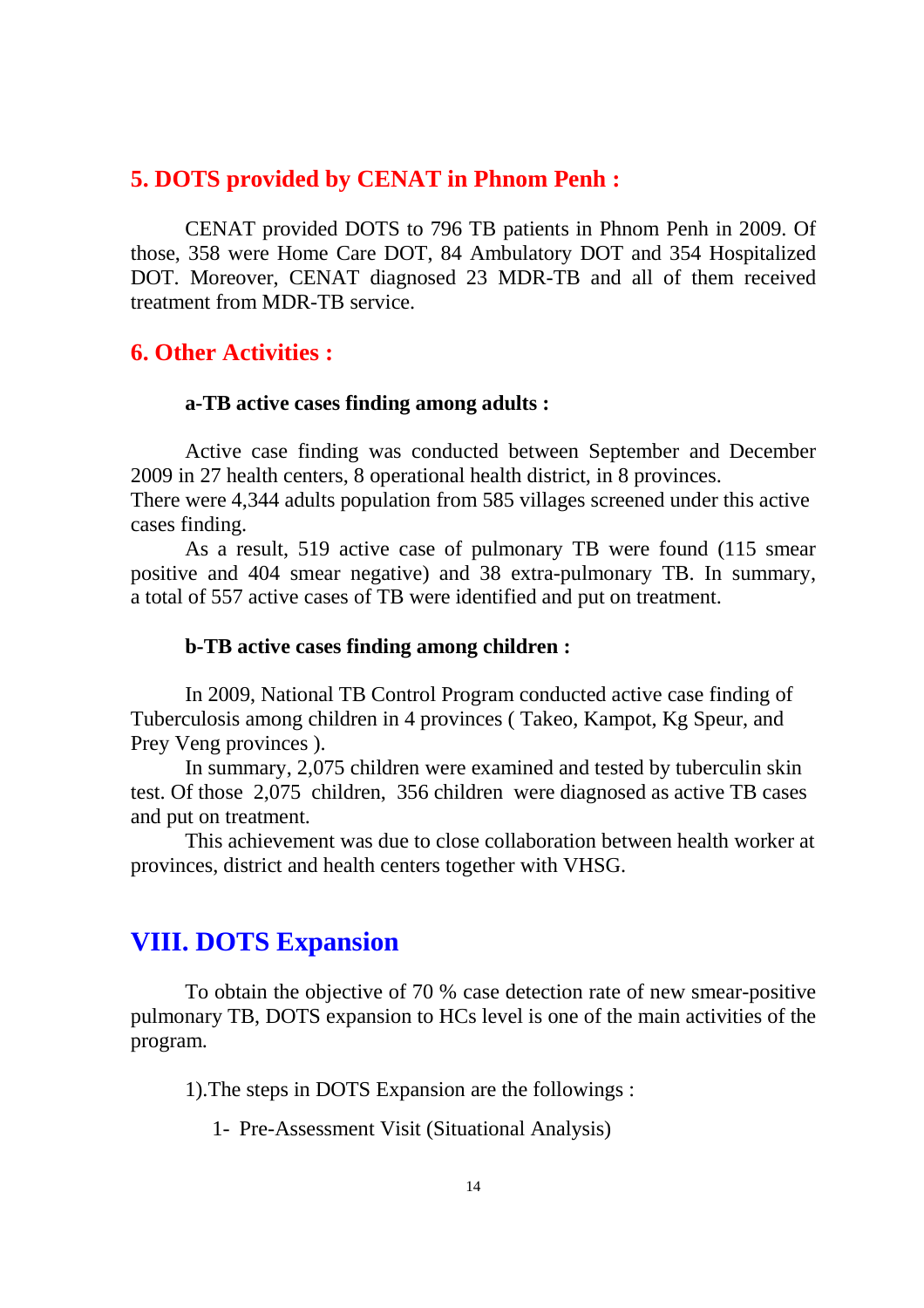#### **5. DOTS provided by CENAT in Phnom Penh :**

CENAT provided DOTS to 796 TB patients in Phnom Penh in 2009. Of those, 358 were Home Care DOT, 84 Ambulatory DOT and 354 Hospitalized DOT. Moreover, CENAT diagnosed 23 MDR-TB and all of them received treatment from MDR-TB service.

#### **6. Other Activities :**

#### **a-TB active cases finding among adults :**

Active case finding was conducted between September and December 2009 in 27 health centers, 8 operational health district, in 8 provinces.

There were 4,344 adults population from 585 villages screened under this active cases finding.

As a result, 519 active case of pulmonary TB were found (115 smear positive and 404 smear negative) and 38 extra-pulmonary TB. In summary, a total of 557 active cases of TB were identified and put on treatment.

#### **b-TB active cases finding among children :**

In 2009, National TB Control Program conducted active case finding of Tuberculosis among children in 4 provinces ( Takeo, Kampot, Kg Speur, and Prey Veng provinces ).

In summary, 2,075 children were examined and tested by tuberculin skin test. Of those 2,075 children, 356 children were diagnosed as active TB cases and put on treatment.

This achievement was due to close collaboration between health worker at provinces, district and health centers together with VHSG.

## **VIII. DOTS Expansion**

To obtain the objective of 70 % case detection rate of new smear-positive pulmonary TB, DOTS expansion to HCs level is one of the main activities of the program.

1).The steps in DOTS Expansion are the followings :

1- Pre-Assessment Visit (Situational Analysis)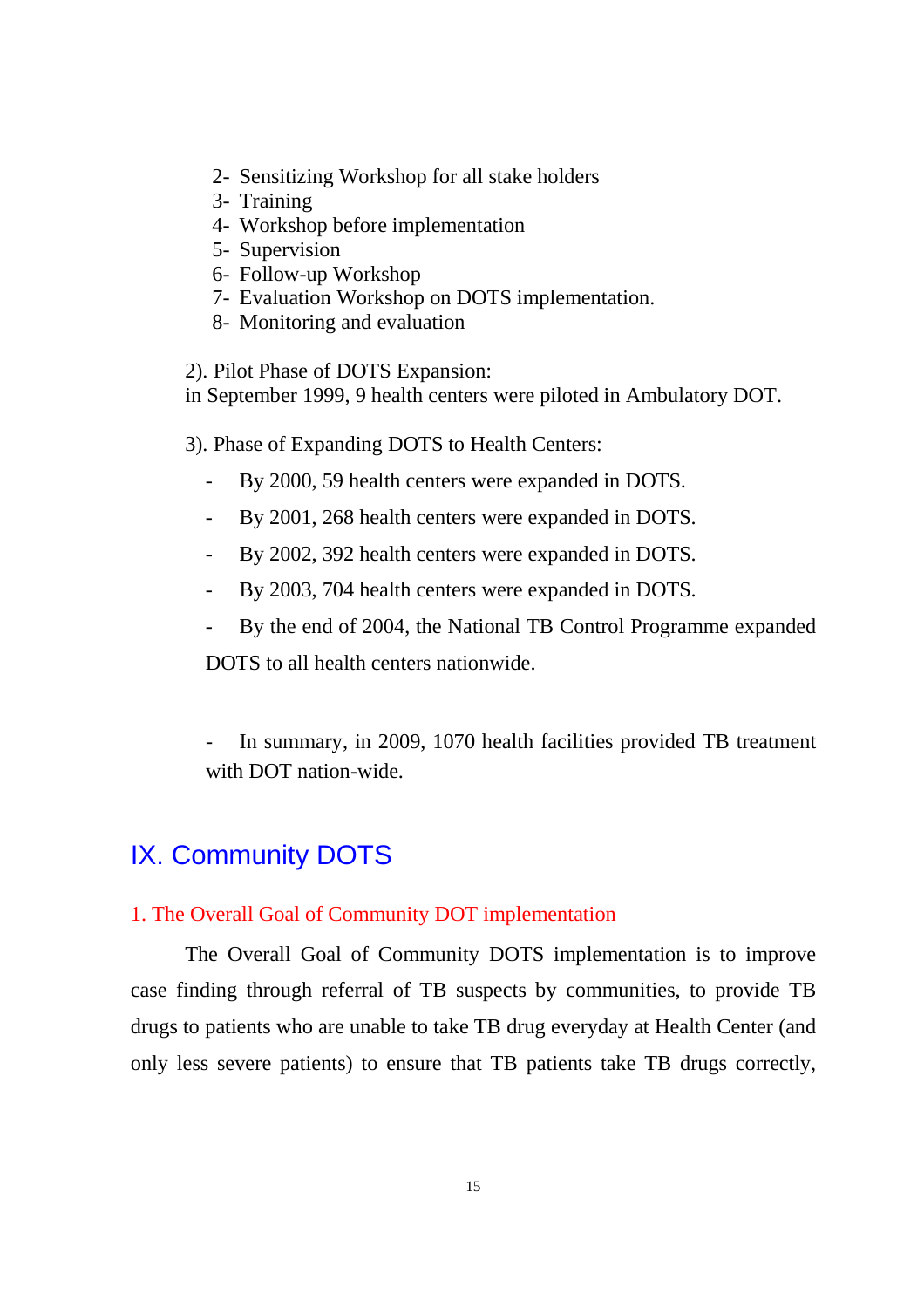- 2- Sensitizing Workshop for all stake holders
- 3- Training
- 4- Workshop before implementation
- 5- Supervision
- 6- Follow-up Workshop
- 7- Evaluation Workshop on DOTS implementation.
- 8- Monitoring and evaluation

2). Pilot Phase of DOTS Expansion: in September 1999, 9 health centers were piloted in Ambulatory DOT.

3). Phase of Expanding DOTS to Health Centers:

- By 2000, 59 health centers were expanded in DOTS.
- By 2001, 268 health centers were expanded in DOTS.
- By 2002, 392 health centers were expanded in DOTS.
- By 2003, 704 health centers were expanded in DOTS.
- By the end of 2004, the National TB Control Programme expanded

DOTS to all health centers nationwide.

In summary, in 2009, 1070 health facilities provided TB treatment with DOT nation-wide.

## IX. Community DOTS

#### 1. The Overall Goal of Community DOT implementation

The Overall Goal of Community DOTS implementation is to improve case finding through referral of TB suspects by communities, to provide TB drugs to patients who are unable to take TB drug everyday at Health Center (and only less severe patients) to ensure that TB patients take TB drugs correctly,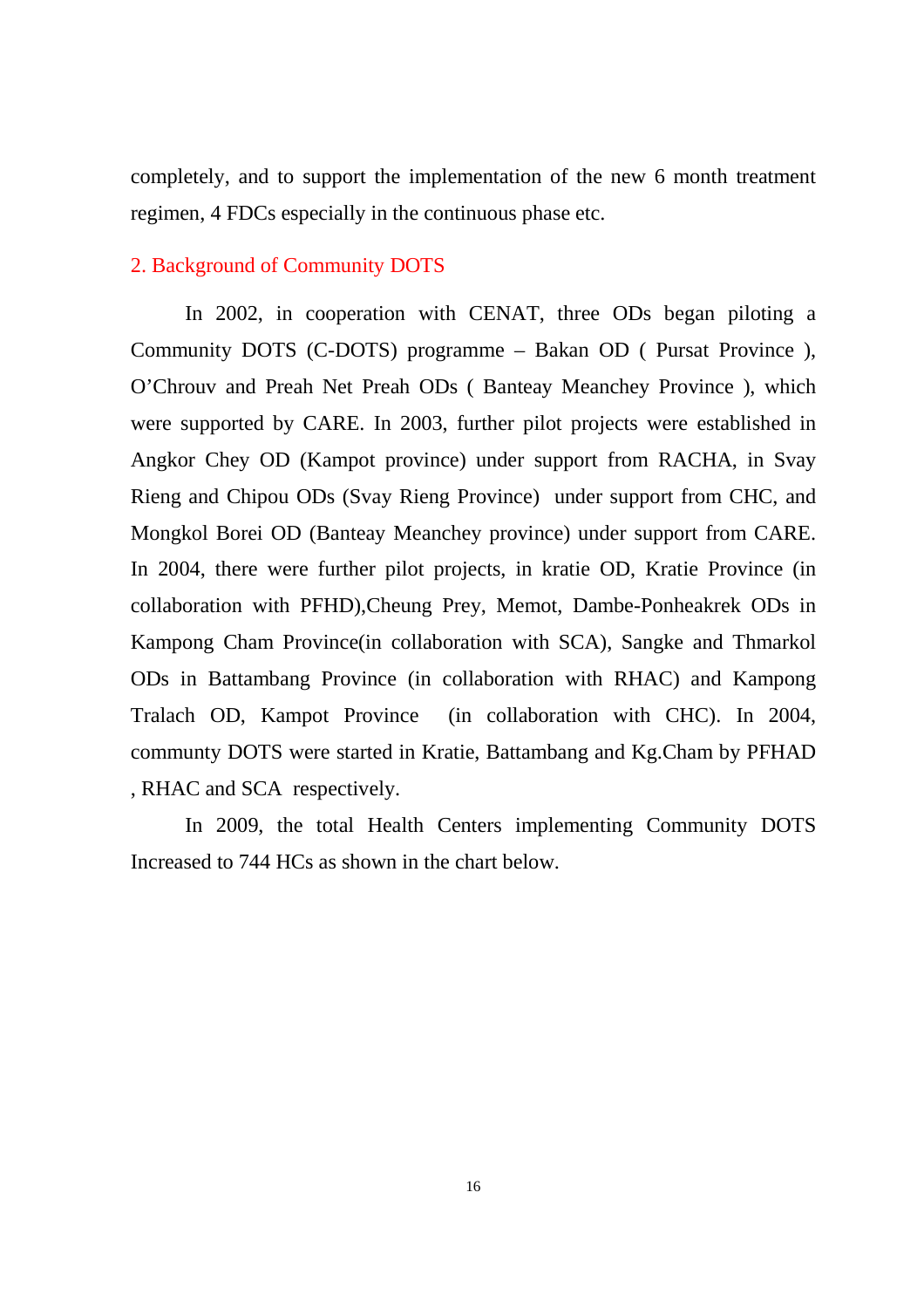completely, and to support the implementation of the new 6 month treatment regimen, 4 FDCs especially in the continuous phase etc.

#### 2. Background of Community DOTS

In 2002, in cooperation with CENAT, three ODs began piloting a Community DOTS (C-DOTS) programme – Bakan OD ( Pursat Province ), O'Chrouv and Preah Net Preah ODs ( Banteay Meanchey Province ), which were supported by CARE. In 2003, further pilot projects were established in Angkor Chey OD (Kampot province) under support from RACHA, in Svay Rieng and Chipou ODs (Svay Rieng Province) under support from CHC, and Mongkol Borei OD (Banteay Meanchey province) under support from CARE. In 2004, there were further pilot projects, in kratie OD, Kratie Province (in collaboration with PFHD),Cheung Prey, Memot, Dambe-Ponheakrek ODs in Kampong Cham Province(in collaboration with SCA), Sangke and Thmarkol ODs in Battambang Province (in collaboration with RHAC) and Kampong Tralach OD, Kampot Province (in collaboration with CHC). In 2004, communty DOTS were started in Kratie, Battambang and Kg.Cham by PFHAD , RHAC and SCA respectively.

In 2009, the total Health Centers implementing Community DOTS Increased to 744 HCs as shown in the chart below.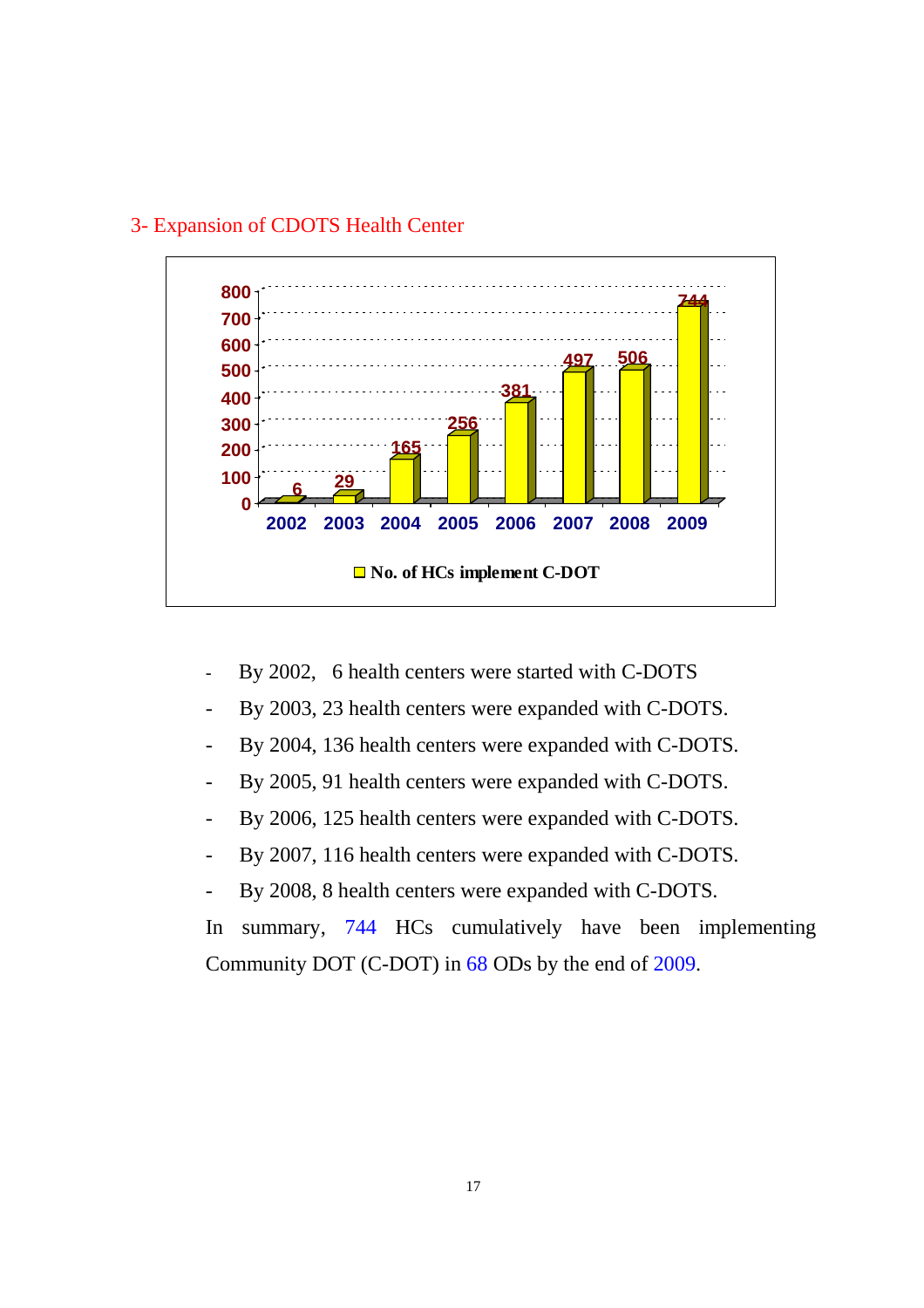

#### 3- Expansion of CDOTS Health Center

- By 2002, 6 health centers were started with C-DOTS
- By 2003, 23 health centers were expanded with C-DOTS.
- By 2004, 136 health centers were expanded with C-DOTS.
- By 2005, 91 health centers were expanded with C-DOTS.
- By 2006, 125 health centers were expanded with C-DOTS.
- By 2007, 116 health centers were expanded with C-DOTS.
- By 2008, 8 health centers were expanded with C-DOTS.

In summary, 744 HCs cumulatively have been implementing Community DOT (C-DOT) in 68 ODs by the end of 2009.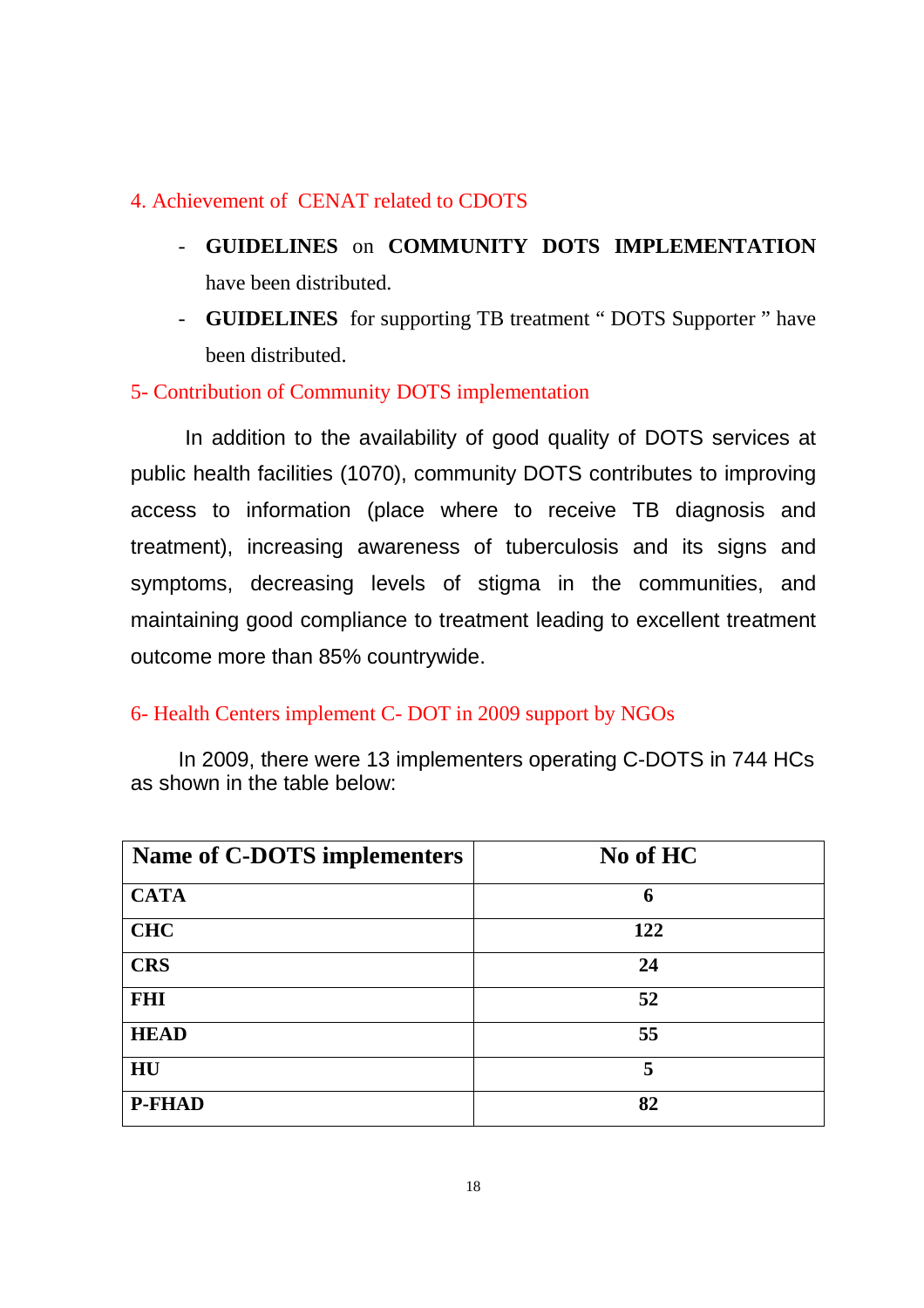#### 4. Achievement of CENAT related to CDOTS

- **GUIDELINES** on **COMMUNITY DOTS IMPLEMENTATION** have been distributed.
- **GUIDELINES** for supporting TB treatment " DOTS Supporter " have been distributed.

### 5- Contribution of Community DOTS implementation

In addition to the availability of good quality of DOTS services at public health facilities (1070), community DOTS contributes to improving access to information (place where to receive TB diagnosis and treatment), increasing awareness of tuberculosis and its signs and symptoms, decreasing levels of stigma in the communities, and maintaining good compliance to treatment leading to excellent treatment outcome more than 85% countrywide.

#### 6- Health Centers implement C- DOT in 2009 support by NGOs

In 2009, there were 13 implementers operating C-DOTS in 744 HCs as shown in the table below:

| Name of C-DOTS implementers | No of HC |
|-----------------------------|----------|
| <b>CATA</b>                 | 6        |
| <b>CHC</b>                  | 122      |
| <b>CRS</b>                  | 24       |
| <b>FHI</b>                  | 52       |
| <b>HEAD</b>                 | 55       |
| HU                          | 5        |
| <b>P-FHAD</b>               | 82       |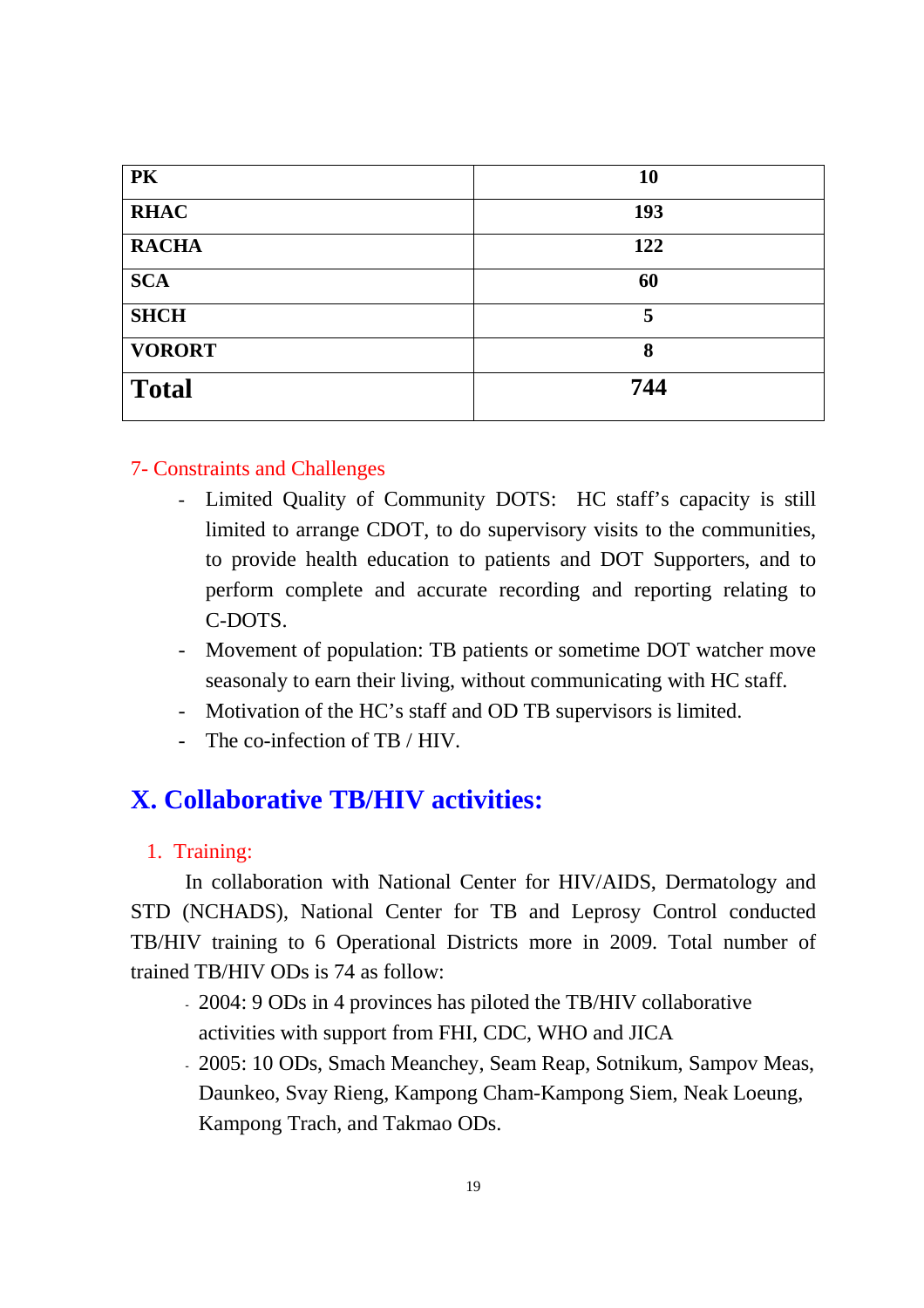| PK            | <b>10</b> |
|---------------|-----------|
| <b>RHAC</b>   | 193       |
| <b>RACHA</b>  | 122       |
| <b>SCA</b>    | 60        |
| <b>SHCH</b>   | 5         |
| <b>VORORT</b> | 8         |
| <b>Total</b>  | 744       |

#### 7- Constraints and Challenges

- Limited Quality of Community DOTS: HC staff's capacity is still limited to arrange CDOT, to do supervisory visits to the communities, to provide health education to patients and DOT Supporters, and to perform complete and accurate recording and reporting relating to C-DOTS.
- Movement of population: TB patients or sometime DOT watcher move seasonaly to earn their living, without communicating with HC staff.
- Motivation of the HC's staff and OD TB supervisors is limited.
- The co-infection of TB  $/$  HIV.

## **X. Collaborative TB/HIV activities:**

#### 1. Training:

In collaboration with National Center for HIV/AIDS, Dermatology and STD (NCHADS), National Center for TB and Leprosy Control conducted TB/HIV training to 6 Operational Districts more in 2009. Total number of trained TB/HIV ODs is 74 as follow:

- 2004: 9 ODs in 4 provinces has piloted the TB/HIV collaborative activities with support from FHI, CDC, WHO and JICA
- 2005: 10 ODs, Smach Meanchey, Seam Reap, Sotnikum, Sampov Meas, Daunkeo, Svay Rieng, Kampong Cham-Kampong Siem, Neak Loeung, Kampong Trach, and Takmao ODs.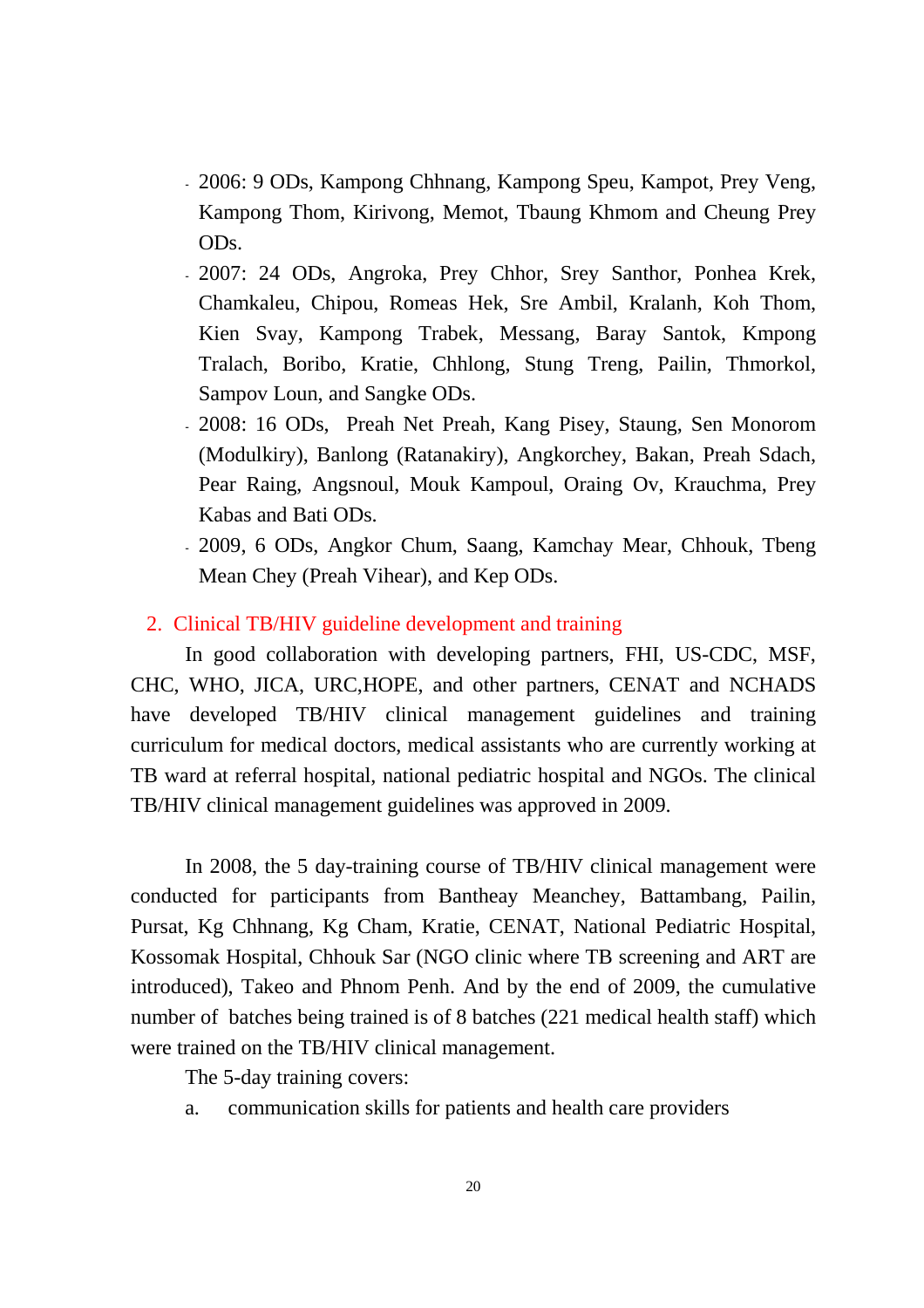- 2006: 9 ODs, Kampong Chhnang, Kampong Speu, Kampot, Prey Veng, Kampong Thom, Kirivong, Memot, Tbaung Khmom and Cheung Prey ODs.
- 2007: 24 ODs, Angroka, Prey Chhor, Srey Santhor, Ponhea Krek, Chamkaleu, Chipou, Romeas Hek, Sre Ambil, Kralanh, Koh Thom, Kien Svay, Kampong Trabek, Messang, Baray Santok, Kmpong Tralach, Boribo, Kratie, Chhlong, Stung Treng, Pailin, Thmorkol, Sampov Loun, and Sangke ODs.
- 2008: 16 ODs, Preah Net Preah, Kang Pisey, Staung, Sen Monorom (Modulkiry), Banlong (Ratanakiry), Angkorchey, Bakan, Preah Sdach, Pear Raing, Angsnoul, Mouk Kampoul, Oraing Ov, Krauchma, Prey Kabas and Bati ODs.
- 2009, 6 ODs, Angkor Chum, Saang, Kamchay Mear, Chhouk, Tbeng Mean Chey (Preah Vihear), and Kep ODs.

#### 2. Clinical TB/HIV guideline development and training

In good collaboration with developing partners, FHI, US-CDC, MSF, CHC, WHO, JICA, URC,HOPE, and other partners, CENAT and NCHADS have developed TB/HIV clinical management guidelines and training curriculum for medical doctors, medical assistants who are currently working at TB ward at referral hospital, national pediatric hospital and NGOs. The clinical TB/HIV clinical management guidelines was approved in 2009.

In 2008, the 5 day-training course of TB/HIV clinical management were conducted for participants from Bantheay Meanchey, Battambang, Pailin, Pursat, Kg Chhnang, Kg Cham, Kratie, CENAT, National Pediatric Hospital, Kossomak Hospital, Chhouk Sar (NGO clinic where TB screening and ART are introduced), Takeo and Phnom Penh. And by the end of 2009, the cumulative number of batches being trained is of 8 batches (221 medical health staff) which were trained on the TB/HIV clinical management.

The 5-day training covers:

a. communication skills for patients and health care providers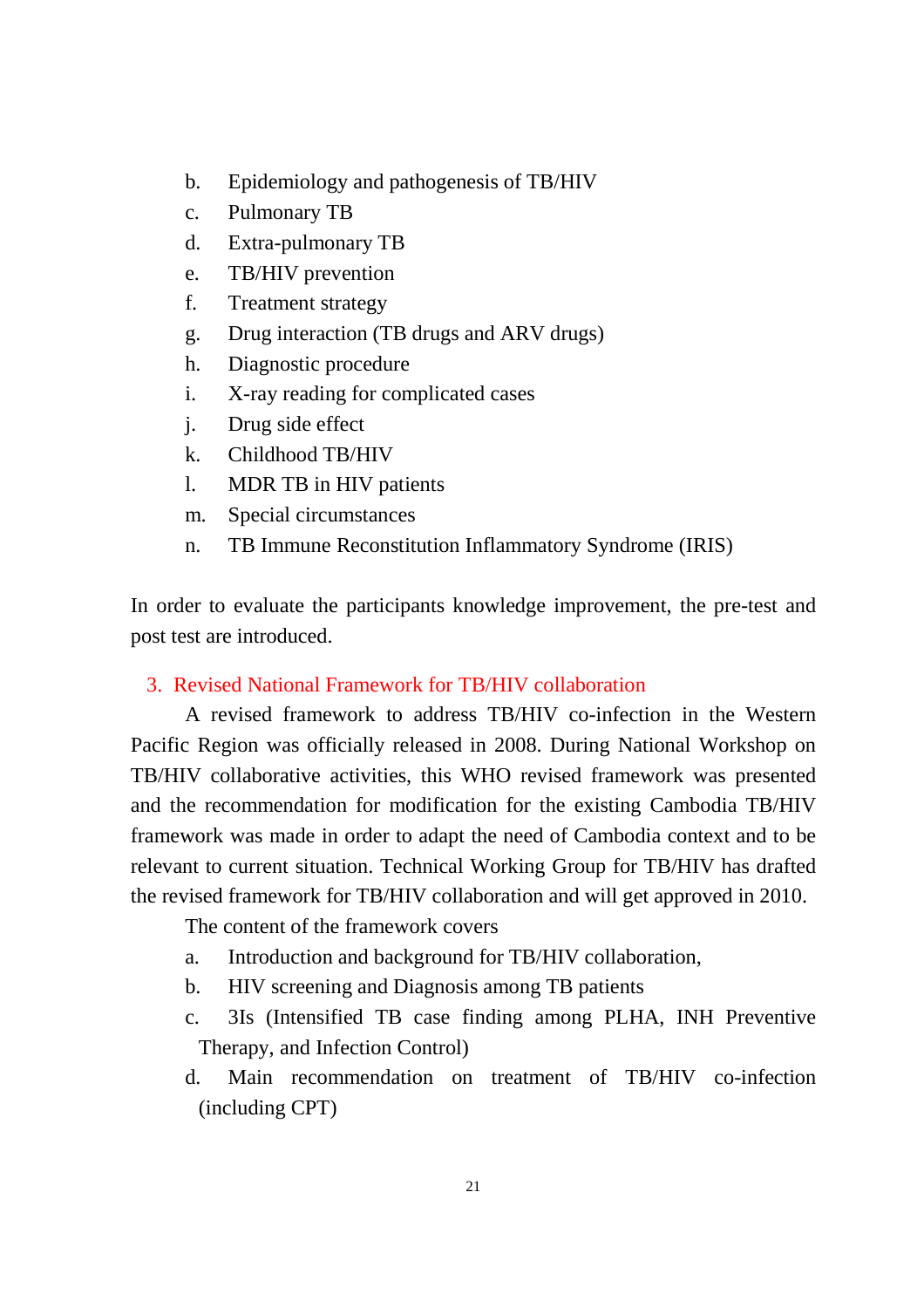- b. Epidemiology and pathogenesis of TB/HIV
- c. Pulmonary TB
- d. Extra-pulmonary TB
- e. TB/HIV prevention
- f. Treatment strategy
- g. Drug interaction (TB drugs and ARV drugs)
- h. Diagnostic procedure
- i. X-ray reading for complicated cases
- j. Drug side effect
- k. Childhood TB/HIV
- l. MDR TB in HIV patients
- m. Special circumstances
- n. TB Immune Reconstitution Inflammatory Syndrome (IRIS)

In order to evaluate the participants knowledge improvement, the pre-test and post test are introduced.

#### 3. Revised National Framework for TB/HIV collaboration

A revised framework to address TB/HIV co-infection in the Western Pacific Region was officially released in 2008. During National Workshop on TB/HIV collaborative activities, this WHO revised framework was presented and the recommendation for modification for the existing Cambodia TB/HIV framework was made in order to adapt the need of Cambodia context and to be relevant to current situation. Technical Working Group for TB/HIV has drafted the revised framework for TB/HIV collaboration and will get approved in 2010.

The content of the framework covers

- a. Introduction and background for TB/HIV collaboration,
- b. HIV screening and Diagnosis among TB patients
- c. 3Is (Intensified TB case finding among PLHA, INH Preventive Therapy, and Infection Control)
- d. Main recommendation on treatment of TB/HIV co-infection (including CPT)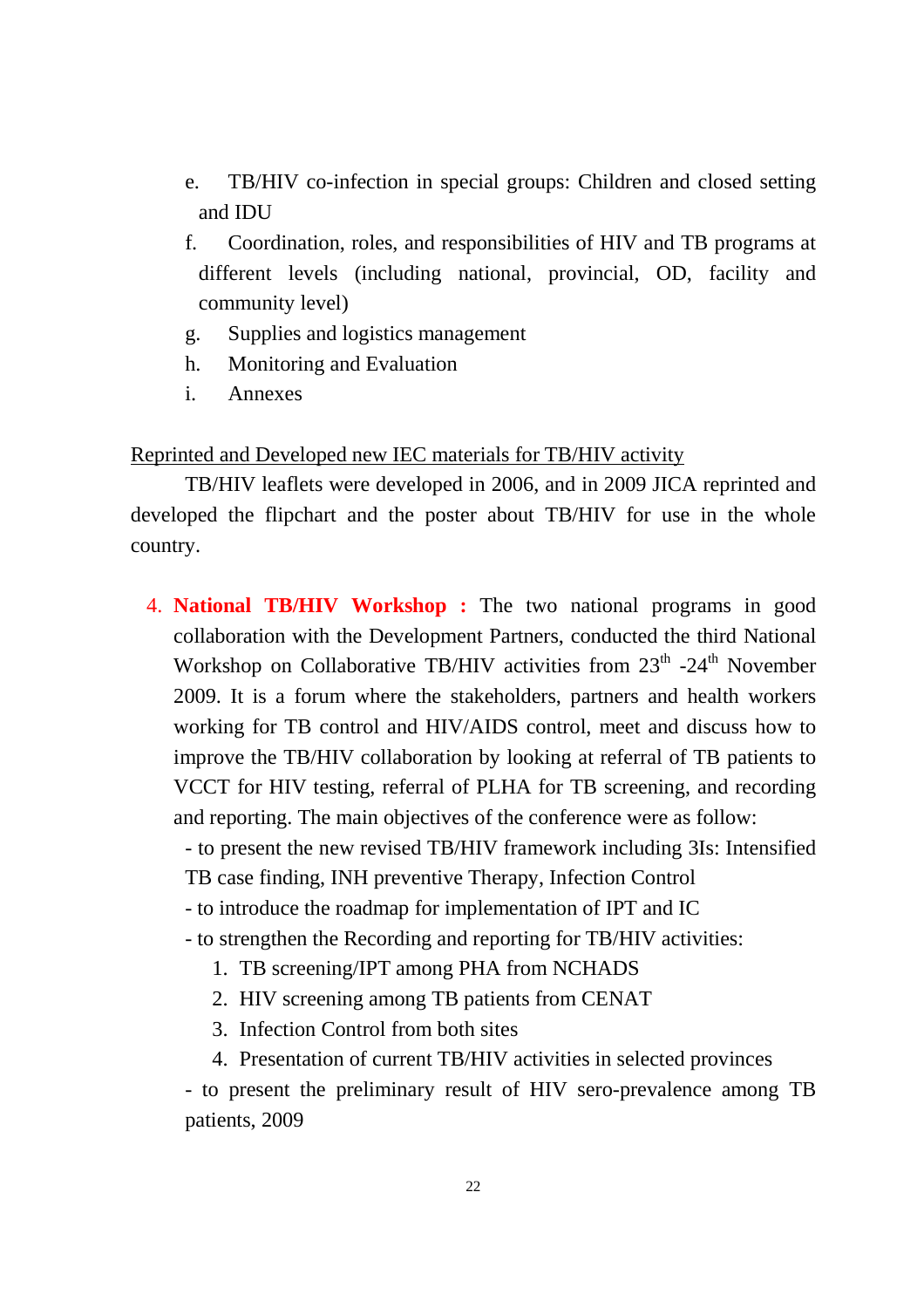- e. TB/HIV co-infection in special groups: Children and closed setting and IDU
- f. Coordination, roles, and responsibilities of HIV and TB programs at different levels (including national, provincial, OD, facility and community level)
- g. Supplies and logistics management
- h. Monitoring and Evaluation
- i. Annexes

#### Reprinted and Developed new IEC materials for TB/HIV activity

TB/HIV leaflets were developed in 2006, and in 2009 JICA reprinted and developed the flipchart and the poster about TB/HIV for use in the whole country.

4. **National TB/HIV Workshop :** The two national programs in good collaboration with the Development Partners, conducted the third National Workshop on Collaborative TB/HIV activities from 23<sup>th</sup> -24<sup>th</sup> November 2009. It is a forum where the stakeholders, partners and health workers working for TB control and HIV/AIDS control, meet and discuss how to improve the TB/HIV collaboration by looking at referral of TB patients to VCCT for HIV testing, referral of PLHA for TB screening, and recording and reporting. The main objectives of the conference were as follow:

- to present the new revised TB/HIV framework including 3Is: Intensified TB case finding, INH preventive Therapy, Infection Control

- to introduce the roadmap for implementation of IPT and IC
- to strengthen the Recording and reporting for TB/HIV activities:
	- 1. TB screening/IPT among PHA from NCHADS
	- 2. HIV screening among TB patients from CENAT
	- 3. Infection Control from both sites
	- 4. Presentation of current TB/HIV activities in selected provinces

- to present the preliminary result of HIV sero-prevalence among TB patients, 2009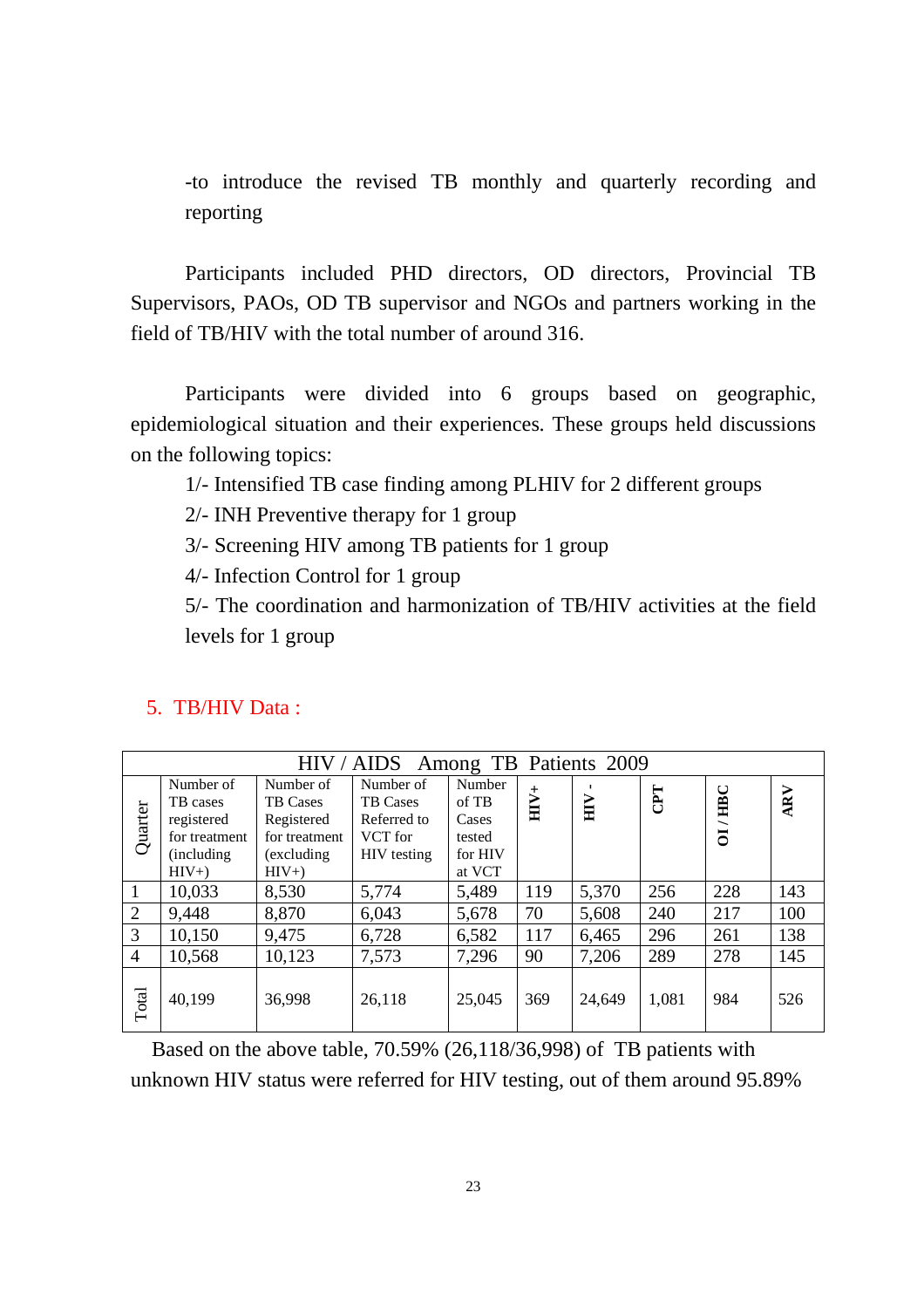-to introduce the revised TB monthly and quarterly recording and reporting

Participants included PHD directors, OD directors, Provincial TB Supervisors, PAOs, OD TB supervisor and NGOs and partners working in the field of TB/HIV with the total number of around 316.

Participants were divided into 6 groups based on geographic, epidemiological situation and their experiences. These groups held discussions on the following topics:

1/- Intensified TB case finding among PLHIV for 2 different groups

2/- INH Preventive therapy for 1 group

3/- Screening HIV among TB patients for 1 group

4/- Infection Control for 1 group

5/- The coordination and harmonization of TB/HIV activities at the field levels for 1 group

|                | Among TB<br>Patients 2009<br>HIV/AIDS |                 |                 |         |        |        |           |                |     |
|----------------|---------------------------------------|-----------------|-----------------|---------|--------|--------|-----------|----------------|-----|
|                | Number of                             | Number of       | Number of       | Number  |        |        |           | ت              |     |
|                | TB cases                              | <b>TB</b> Cases | <b>TB</b> Cases | of TB   | $HIV+$ | HГ     | <b>Ed</b> | Ě              | ARV |
| Quarter        | registered                            | Registered      | Referred to     | Cases   |        |        |           |                |     |
|                | for treatment                         | for treatment   | VCT for         | tested  |        |        |           | $\overline{5}$ |     |
|                | (including)                           | (excluding)     | HIV testing     | for HIV |        |        |           |                |     |
|                | $HIV+$                                | $HIV+$          |                 | at VCT  |        |        |           |                |     |
| 1              | 10,033                                | 8,530           | 5,774           | 5,489   | 119    | 5,370  | 256       | 228            | 143 |
| 2              | 9,448                                 | 8,870           | 6,043           | 5,678   | 70     | 5,608  | 240       | 217            | 100 |
| 3              | 10,150                                | 9,475           | 6,728           | 6,582   | 117    | 6,465  | 296       | 261            | 138 |
| $\overline{4}$ | 10,568                                | 10,123          | 7,573           | 7,296   | 90     | 7,206  | 289       | 278            | 145 |
| Total          | 40,199                                | 36,998          | 26,118          | 25,045  | 369    | 24,649 | 1,081     | 984            | 526 |

#### 5. TB/HIV Data :

Based on the above table, 70.59% (26,118/36,998) of TB patients with unknown HIV status were referred for HIV testing, out of them around 95.89%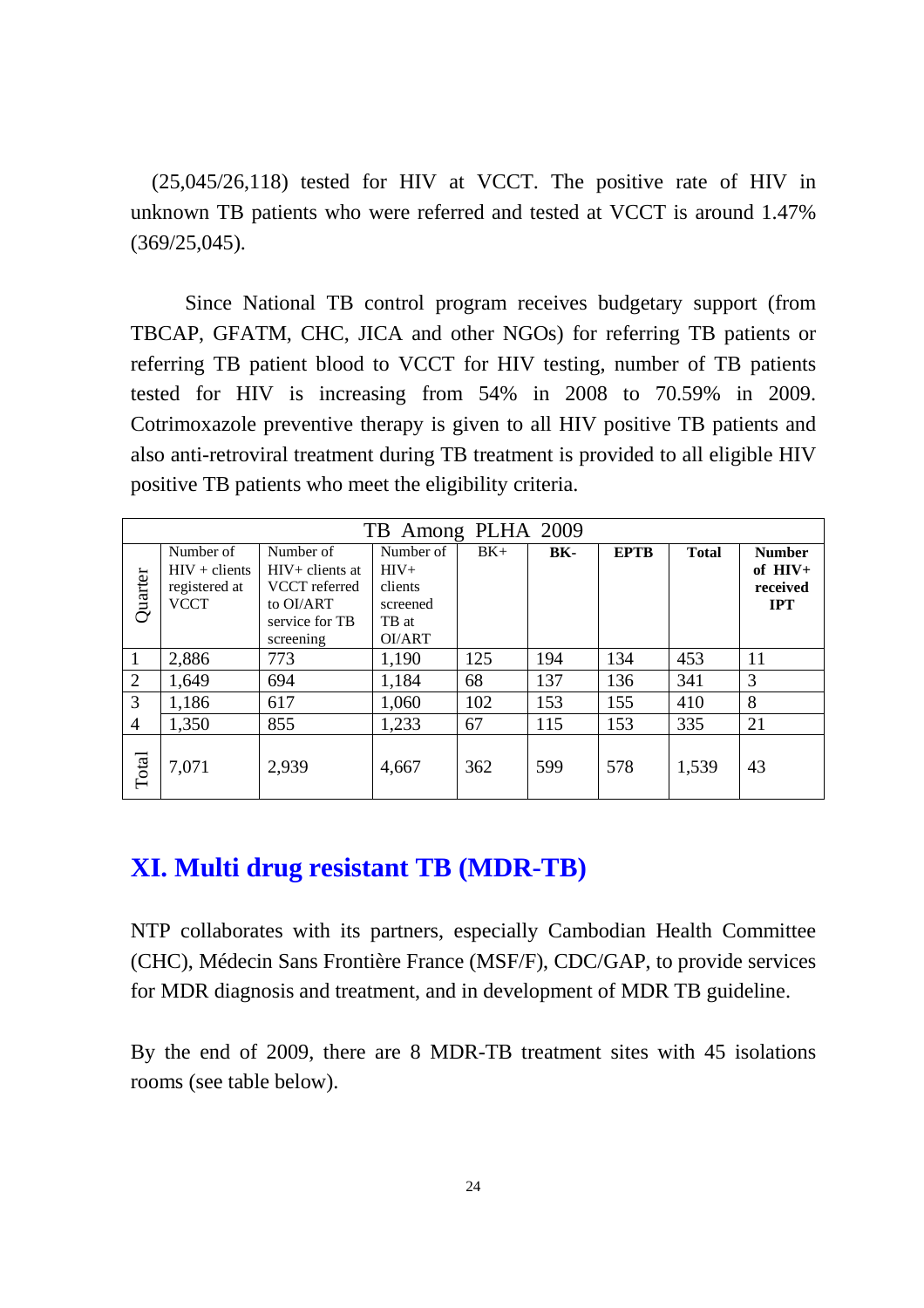(25,045/26,118) tested for HIV at VCCT. The positive rate of HIV in unknown TB patients who were referred and tested at VCCT is around 1.47% (369/25,045).

Since National TB control program receives budgetary support (from TBCAP, GFATM, CHC, JICA and other NGOs) for referring TB patients or referring TB patient blood to VCCT for HIV testing, number of TB patients tested for HIV is increasing from 54% in 2008 to 70.59% in 2009. Cotrimoxazole preventive therapy is given to all HIV positive TB patients and also anti-retroviral treatment during TB treatment is provided to all eligible HIV positive TB patients who meet the eligibility criteria.

| Among PLHA 2009<br>TB |                 |                   |           |       |     |             |              |               |
|-----------------------|-----------------|-------------------|-----------|-------|-----|-------------|--------------|---------------|
|                       | Number of       | Number of         | Number of | $BK+$ | BK- | <b>EPTB</b> | <b>Total</b> | <b>Number</b> |
|                       | $HIV + clients$ | $HIV+$ clients at | $HIV+$    |       |     |             |              | of $HIV+$     |
|                       | registered at   | VCCT referred     | clients   |       |     |             |              | received      |
| Quarter               | <b>VCCT</b>     | to OI/ART         | screened  |       |     |             |              | <b>IPT</b>    |
|                       |                 | service for TB    | TB at     |       |     |             |              |               |
|                       |                 | screening         | OI/ART    |       |     |             |              |               |
| 1                     | 2,886           | 773               | 1,190     | 125   | 194 | 134         | 453          | 11            |
| $\overline{2}$        | 1,649           | 694               | 1,184     | 68    | 137 | 136         | 341          | 3             |
| 3                     | 1,186           | 617               | 1,060     | 102   | 153 | 155         | 410          | 8             |
| 4                     | 1,350           | 855               | 1,233     | 67    | 115 | 153         | 335          | 21            |
| Total                 | 7,071           | 2,939             | 4,667     | 362   | 599 | 578         | 1,539        | 43            |

## **XI. Multi drug resistant TB (MDR-TB)**

NTP collaborates with its partners, especially Cambodian Health Committee (CHC), Médecin Sans Frontière France (MSF/F), CDC/GAP, to provide services for MDR diagnosis and treatment, and in development of MDR TB guideline.

By the end of 2009, there are 8 MDR-TB treatment sites with 45 isolations rooms (see table below).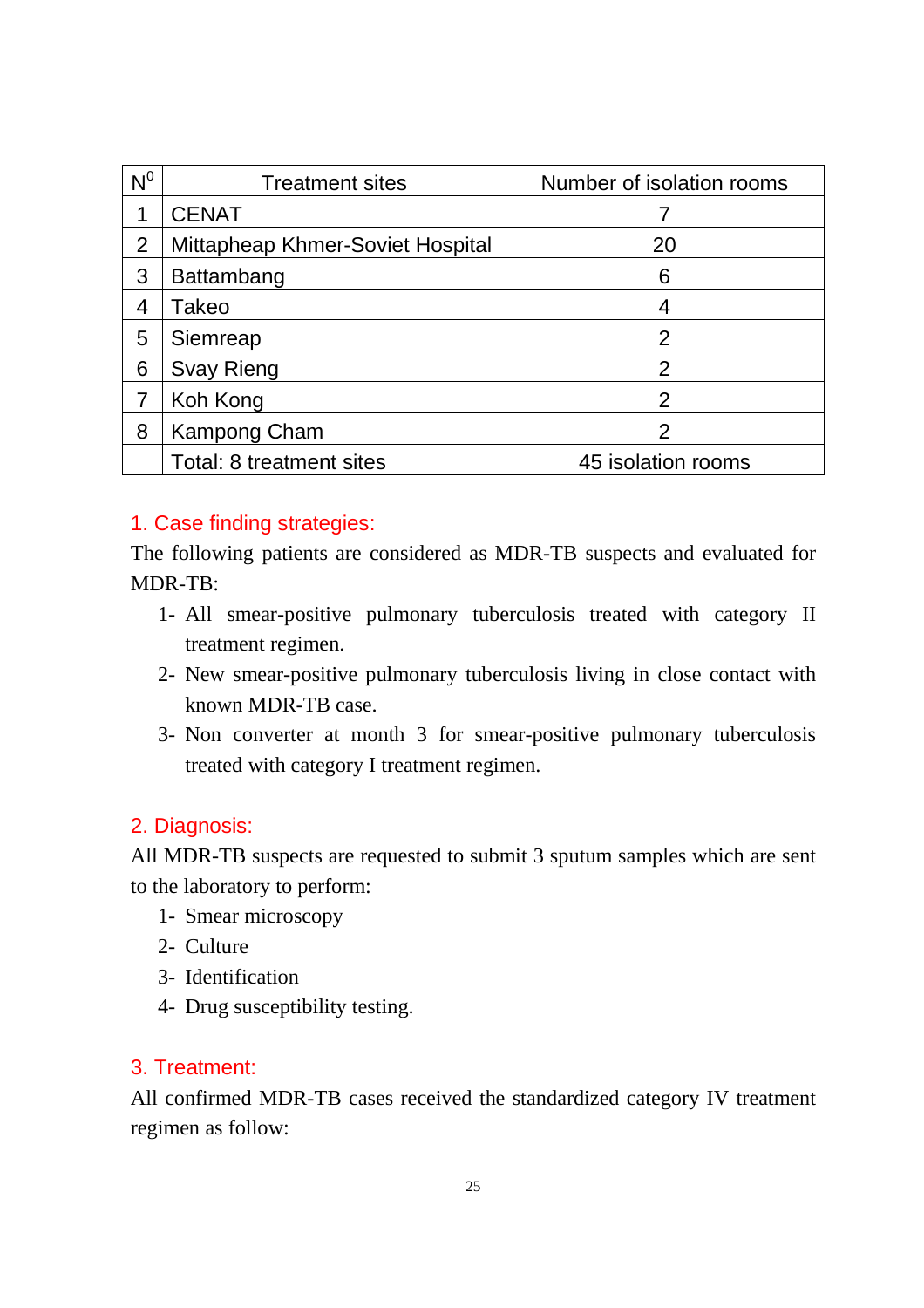| $N^0$ | <b>Treatment sites</b>           | Number of isolation rooms |
|-------|----------------------------------|---------------------------|
|       | <b>CENAT</b>                     |                           |
| 2     | Mittapheap Khmer-Soviet Hospital | 20                        |
| 3     | Battambang                       | 6                         |
| 4     | Takeo                            |                           |
| 5     | Siemreap                         | 2                         |
| 6     | <b>Svay Rieng</b>                | 2                         |
|       | Koh Kong                         | $\mathcal{P}$             |
| 8     | Kampong Cham                     | 2                         |
|       | Total: 8 treatment sites         | 45 isolation rooms        |

#### 1. Case finding strategies:

The following patients are considered as MDR-TB suspects and evaluated for MDR-TB:

- 1- All smear-positive pulmonary tuberculosis treated with category II treatment regimen.
- 2- New smear-positive pulmonary tuberculosis living in close contact with known MDR-TB case.
- 3- Non converter at month 3 for smear-positive pulmonary tuberculosis treated with category I treatment regimen.

#### 2. Diagnosis:

All MDR-TB suspects are requested to submit 3 sputum samples which are sent to the laboratory to perform:

- 1- Smear microscopy
- 2- Culture
- 3- Identification
- 4- Drug susceptibility testing.

#### 3. Treatment:

All confirmed MDR-TB cases received the standardized category IV treatment regimen as follow: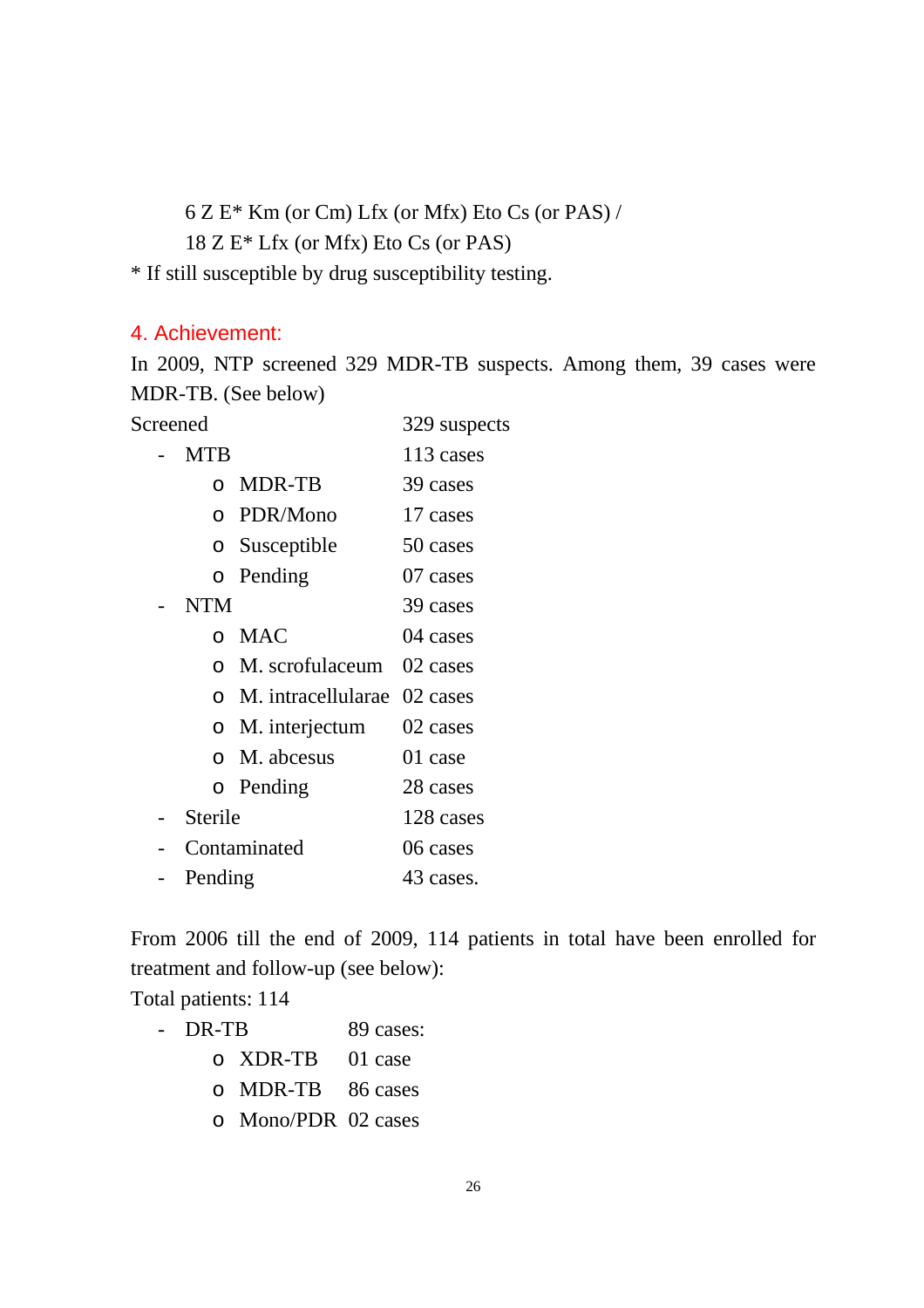6 Z E\* Km (or Cm) Lfx (or Mfx) Eto Cs (or PAS) / 18 Z E\* Lfx (or Mfx) Eto Cs (or PAS)

\* If still susceptible by drug susceptibility testing.

#### 4. Achievement:

In 2009, NTP screened 329 MDR-TB suspects. Among them, 39 cases were MDR-TB. (See below)

Screened 329 suspects

- MTB 113 cases
	- o MDR-TB 39 cases
		- o PDR/Mono 17 cases
		- o Susceptible 50 cases
		- o Pending 07 cases
- NTM 39 cases
	- o MAC 04 cases
	- o M. scrofulaceum 02 cases
	- o M. intracellularae 02 cases
	- o M. interjectum 02 cases
	- o M. abcesus 01 case
- o Pending 28 cases
- Sterile 128 cases
- Contaminated 06 cases
- Pending 43 cases.

From 2006 till the end of 2009, 114 patients in total have been enrolled for treatment and follow-up (see below):

Total patients: 114

- DR-TB 89 cases:
	- o XDR-TB 01 case
	- o MDR-TB 86 cases
	- o Mono/PDR 02 cases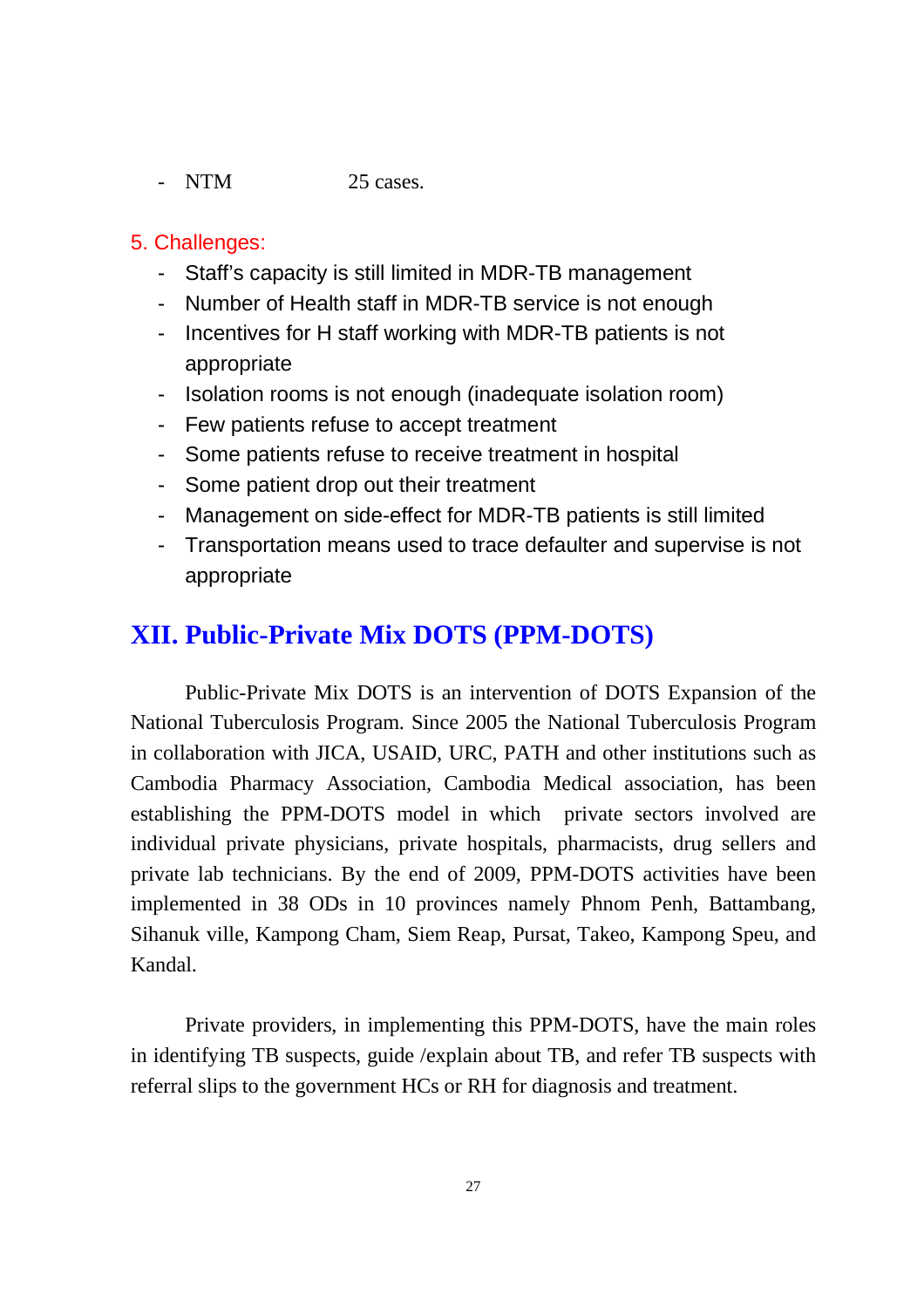- NTM 25 cases.

#### 5. Challenges:

- Staff's capacity is still limited in MDR-TB management
- Number of Health staff in MDR-TB service is not enough
- Incentives for H staff working with MDR-TB patients is not appropriate
- Isolation rooms is not enough (inadequate isolation room)
- Few patients refuse to accept treatment
- Some patients refuse to receive treatment in hospital
- Some patient drop out their treatment
- Management on side-effect for MDR-TB patients is still limited
- Transportation means used to trace defaulter and supervise is not appropriate

## **XII. Public-Private Mix DOTS (PPM-DOTS)**

Public-Private Mix DOTS is an intervention of DOTS Expansion of the National Tuberculosis Program. Since 2005 the National Tuberculosis Program in collaboration with JICA, USAID, URC, PATH and other institutions such as Cambodia Pharmacy Association, Cambodia Medical association, has been establishing the PPM-DOTS model in which private sectors involved are individual private physicians, private hospitals, pharmacists, drug sellers and private lab technicians. By the end of 2009, PPM-DOTS activities have been implemented in 38 ODs in 10 provinces namely Phnom Penh, Battambang, Sihanuk ville, Kampong Cham, Siem Reap, Pursat, Takeo, Kampong Speu, and Kandal.

Private providers, in implementing this PPM-DOTS, have the main roles in identifying TB suspects, guide /explain about TB, and refer TB suspects with referral slips to the government HCs or RH for diagnosis and treatment.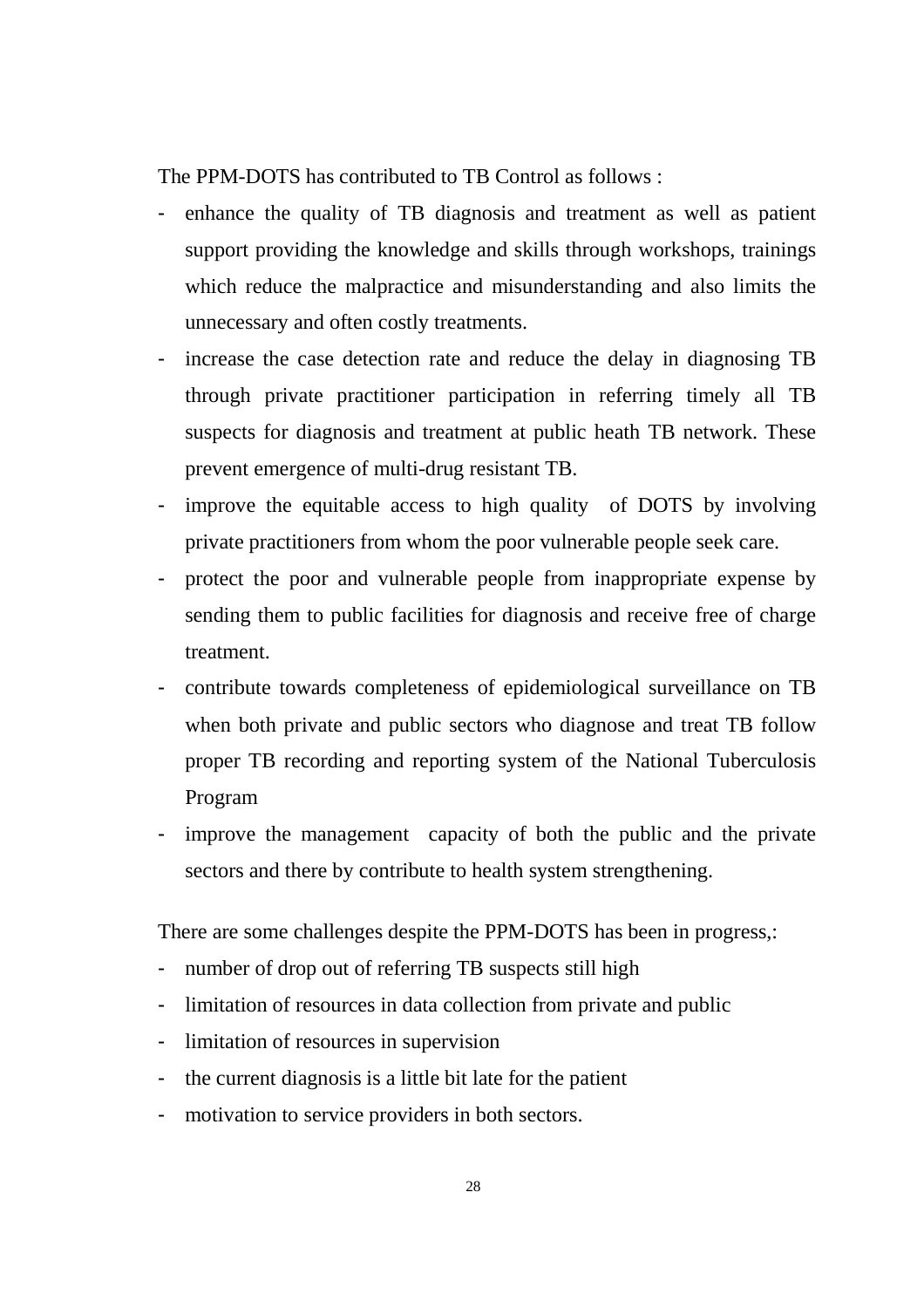The PPM-DOTS has contributed to TB Control as follows :

- enhance the quality of TB diagnosis and treatment as well as patient support providing the knowledge and skills through workshops, trainings which reduce the malpractice and misunderstanding and also limits the unnecessary and often costly treatments.
- increase the case detection rate and reduce the delay in diagnosing TB through private practitioner participation in referring timely all TB suspects for diagnosis and treatment at public heath TB network. These prevent emergence of multi-drug resistant TB.
- improve the equitable access to high quality of DOTS by involving private practitioners from whom the poor vulnerable people seek care.
- protect the poor and vulnerable people from inappropriate expense by sending them to public facilities for diagnosis and receive free of charge treatment.
- contribute towards completeness of epidemiological surveillance on TB when both private and public sectors who diagnose and treat TB follow proper TB recording and reporting system of the National Tuberculosis Program
- improve the management capacity of both the public and the private sectors and there by contribute to health system strengthening.

There are some challenges despite the PPM-DOTS has been in progress,:

- number of drop out of referring TB suspects still high
- limitation of resources in data collection from private and public
- limitation of resources in supervision
- the current diagnosis is a little bit late for the patient
- motivation to service providers in both sectors.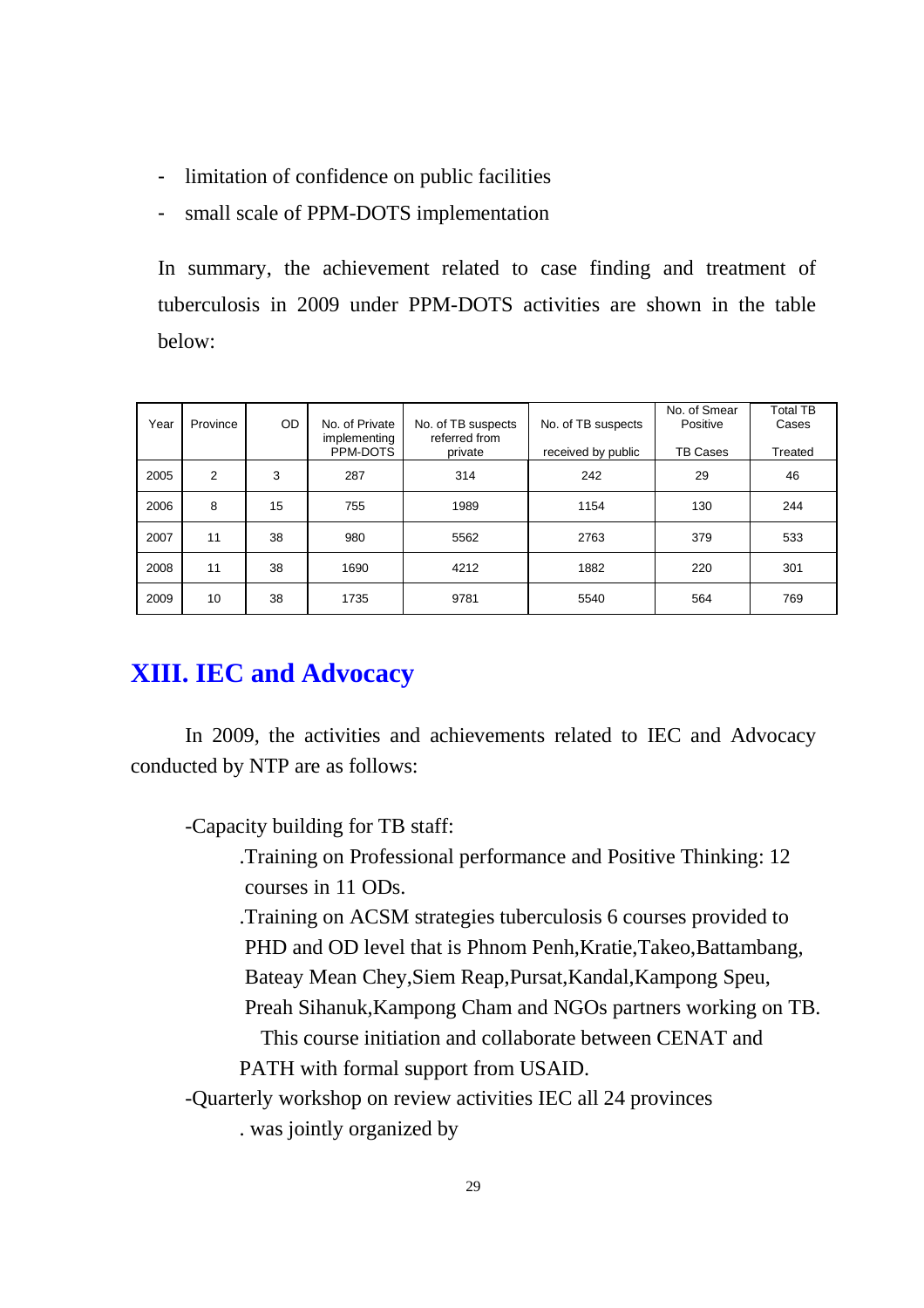- limitation of confidence on public facilities
- small scale of PPM-DOTS implementation

In summary, the achievement related to case finding and treatment of tuberculosis in 2009 under PPM-DOTS activities are shown in the table below:

| Year | Province       | OD. | No. of Private<br>implementing<br>PPM-DOTS | No. of TB suspects<br>referred from<br>private | No. of TB suspects<br>received by public | No. of Smear<br>Positive<br>TB Cases | Total TB<br>Cases<br>Treated |
|------|----------------|-----|--------------------------------------------|------------------------------------------------|------------------------------------------|--------------------------------------|------------------------------|
| 2005 | $\overline{2}$ | 3   | 287                                        | 314                                            | 242                                      | 29                                   | 46                           |
| 2006 | 8              | 15  | 755                                        | 1989                                           | 1154                                     | 130                                  | 244                          |
| 2007 | 11             | 38  | 980                                        | 5562                                           | 2763                                     | 379                                  | 533                          |
| 2008 | 11             | 38  | 1690                                       | 4212                                           | 1882                                     | 220                                  | 301                          |
| 2009 | 10             | 38  | 1735                                       | 9781                                           | 5540                                     | 564                                  | 769                          |

## **XIII. IEC and Advocacy**

In 2009, the activities and achievements related to IEC and Advocacy conducted by NTP are as follows:

-Capacity building for TB staff:

.Training on Professional performance and Positive Thinking: 12 courses in 11 ODs.

.Training on ACSM strategies tuberculosis 6 courses provided to PHD and OD level that is Phnom Penh, Kratie, Takeo, Battambang,

- Bateay Mean Chey,Siem Reap,Pursat,Kandal,Kampong Speu,
- Preah Sihanuk,Kampong Cham and NGOs partners working on TB.

This course initiation and collaborate between CENAT and PATH with formal support from USAID.

-Quarterly workshop on review activities IEC all 24 provinces

. was jointly organized by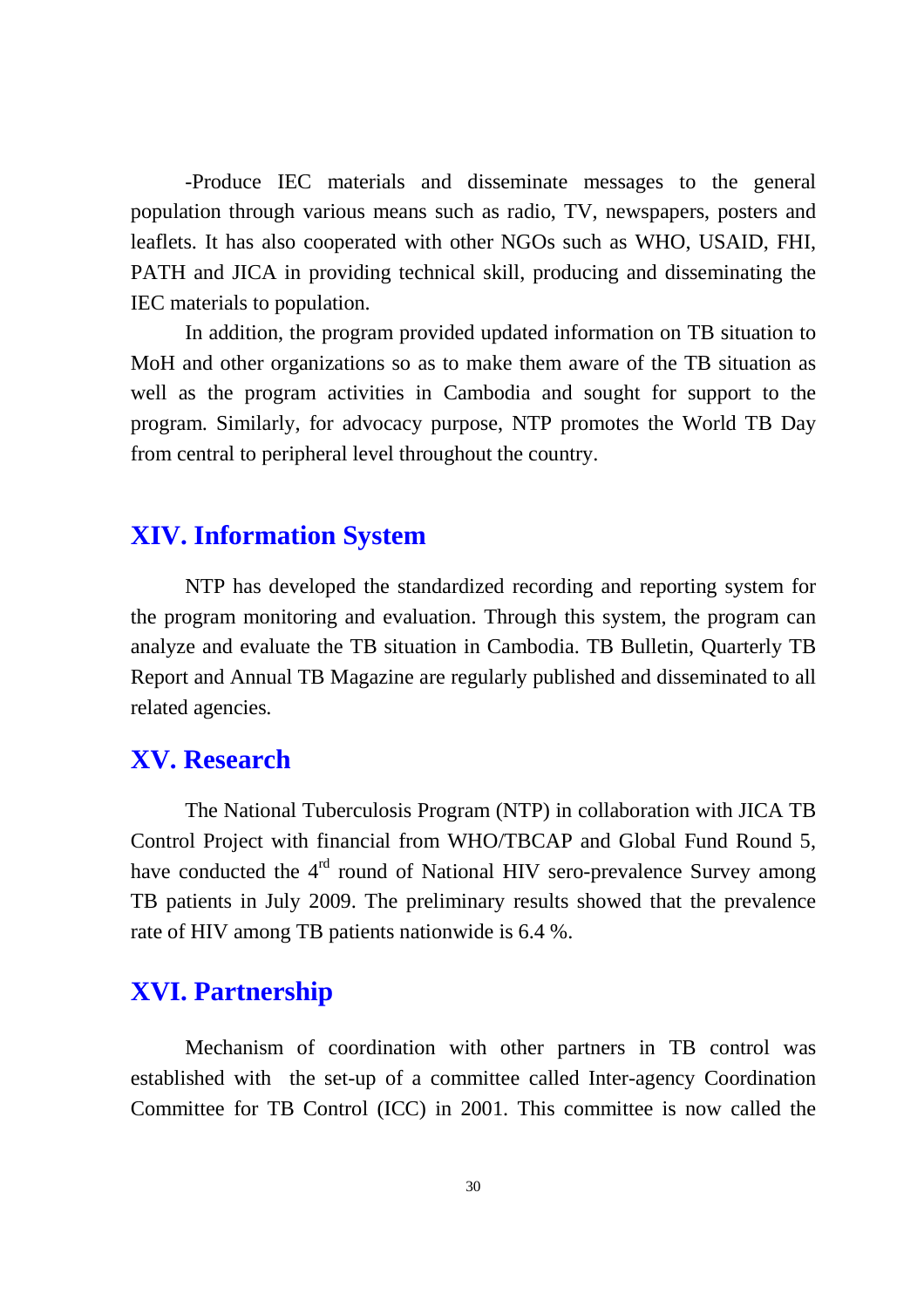-Produce IEC materials and disseminate messages to the general population through various means such as radio, TV, newspapers, posters and leaflets. It has also cooperated with other NGOs such as WHO, USAID, FHI, PATH and JICA in providing technical skill, producing and disseminating the IEC materials to population.

In addition, the program provided updated information on TB situation to MoH and other organizations so as to make them aware of the TB situation as well as the program activities in Cambodia and sought for support to the program. Similarly, for advocacy purpose, NTP promotes the World TB Day from central to peripheral level throughout the country.

## **XIV. Information System**

NTP has developed the standardized recording and reporting system for the program monitoring and evaluation. Through this system, the program can analyze and evaluate the TB situation in Cambodia. TB Bulletin, Quarterly TB Report and Annual TB Magazine are regularly published and disseminated to all related agencies.

## **XV. Research**

The National Tuberculosis Program (NTP) in collaboration with JICA TB Control Project with financial from WHO/TBCAP and Global Fund Round 5, have conducted the 4<sup>rd</sup> round of National HIV sero-prevalence Survey among TB patients in July 2009. The preliminary results showed that the prevalence rate of HIV among TB patients nationwide is 6.4 %.

## **XVI. Partnership**

Mechanism of coordination with other partners in TB control was established with the set-up of a committee called Inter-agency Coordination Committee for TB Control (ICC) in 2001. This committee is now called the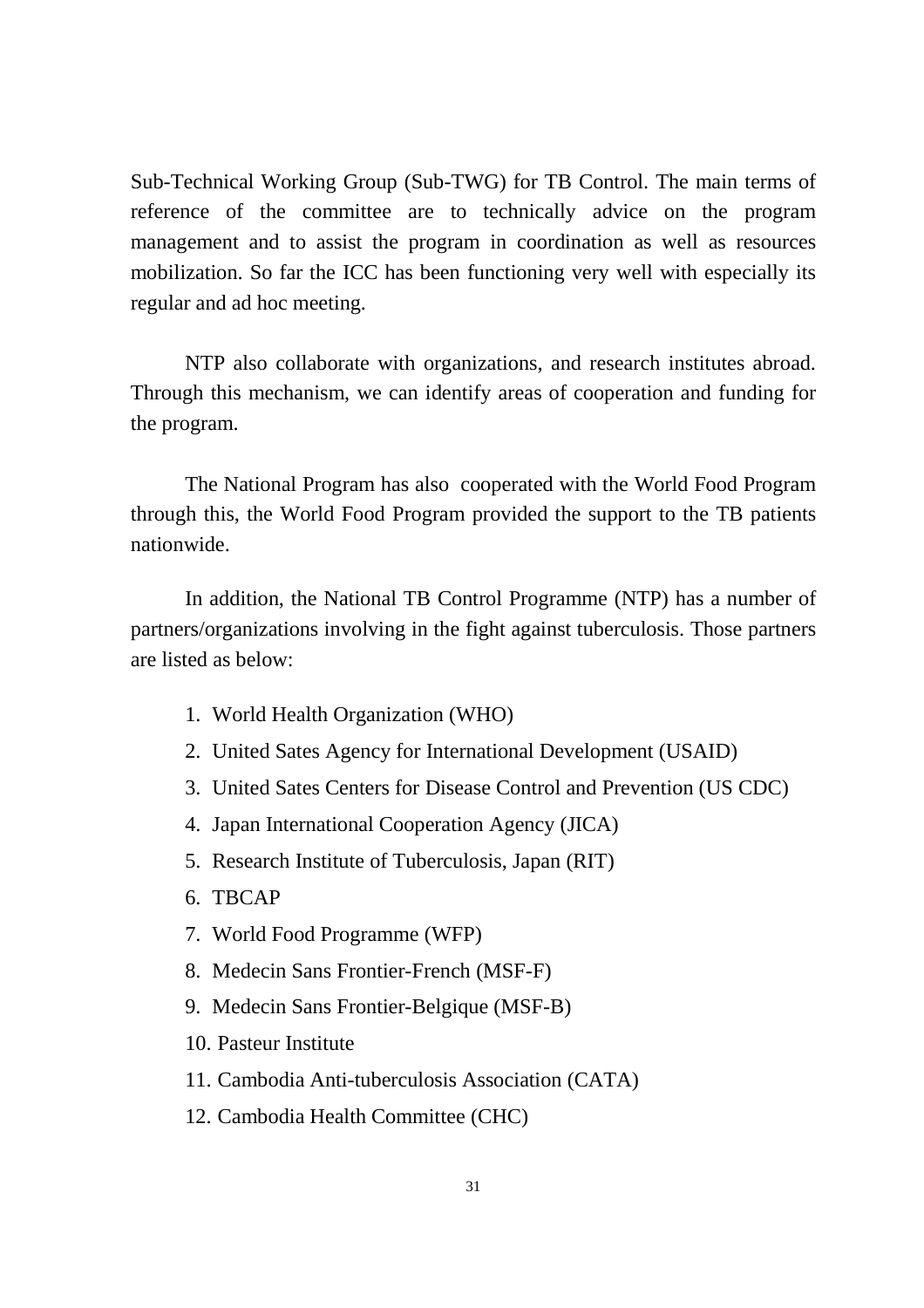Sub-Technical Working Group (Sub-TWG) for TB Control. The main terms of reference of the committee are to technically advice on the program management and to assist the program in coordination as well as resources mobilization. So far the ICC has been functioning very well with especially its regular and ad hoc meeting.

NTP also collaborate with organizations, and research institutes abroad. Through this mechanism, we can identify areas of cooperation and funding for the program.

The National Program has also cooperated with the World Food Program through this, the World Food Program provided the support to the TB patients nationwide.

In addition, the National TB Control Programme (NTP) has a number of partners/organizations involving in the fight against tuberculosis. Those partners are listed as below:

- 1. World Health Organization (WHO)
- 2. United Sates Agency for International Development (USAID)
- 3. United Sates Centers for Disease Control and Prevention (US CDC)
- 4. Japan International Cooperation Agency (JICA)
- 5. Research Institute of Tuberculosis, Japan (RIT)
- 6. TBCAP
- 7. World Food Programme (WFP)
- 8. Medecin Sans Frontier-French (MSF-F)
- 9. Medecin Sans Frontier-Belgique (MSF-B)
- 10. Pasteur Institute
- 11. Cambodia Anti-tuberculosis Association (CATA)
- 12. Cambodia Health Committee (CHC)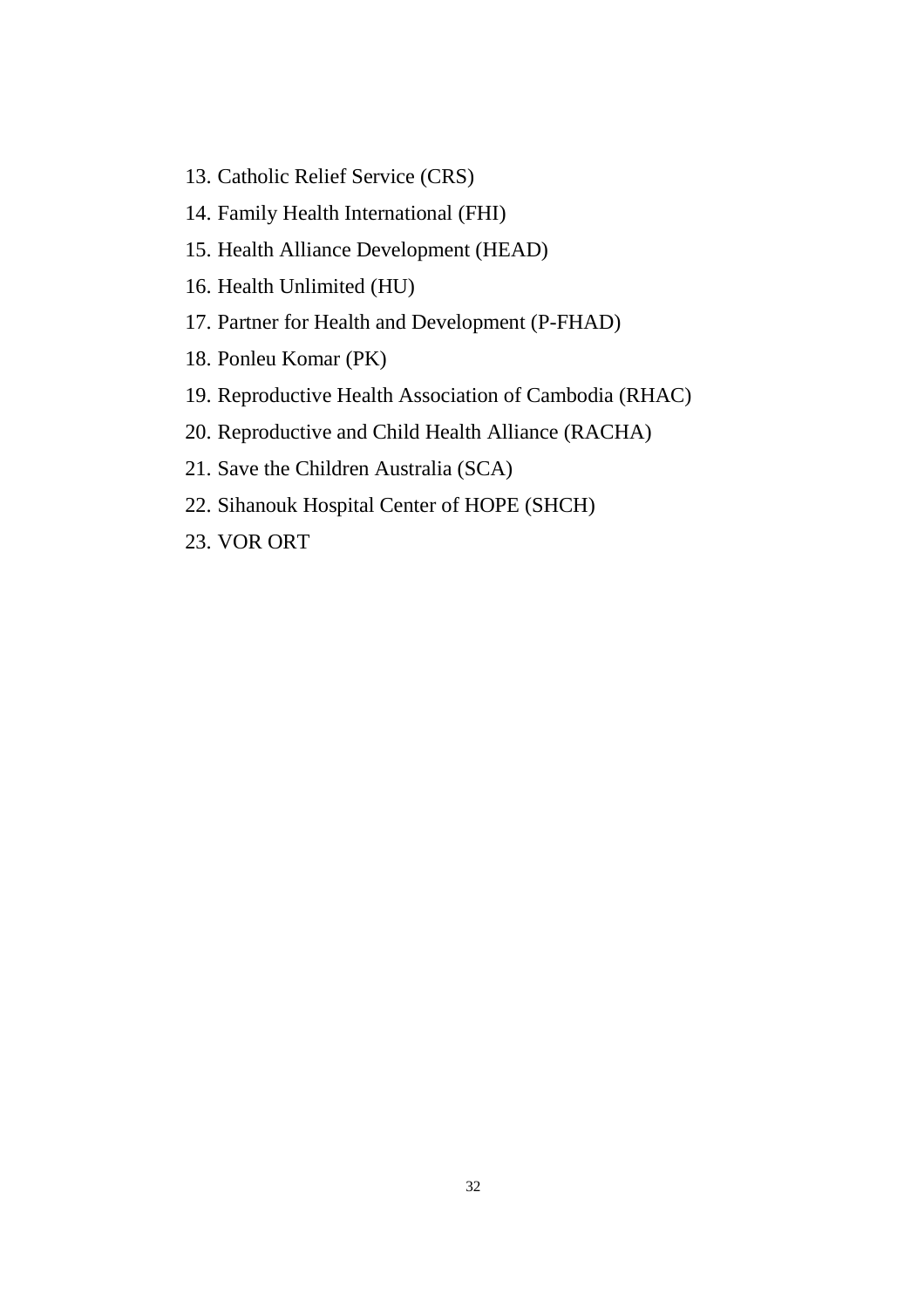- 13. Catholic Relief Service (CRS)
- 14. Family Health International (FHI)
- 15. Health Alliance Development (HEAD)
- 16. Health Unlimited (HU)
- 17. Partner for Health and Development (P-FHAD)
- 18. Ponleu Komar (PK)
- 19. Reproductive Health Association of Cambodia (RHAC)
- 20. Reproductive and Child Health Alliance (RACHA)
- 21. Save the Children Australia (SCA)
- 22. Sihanouk Hospital Center of HOPE (SHCH)
- 23. VOR ORT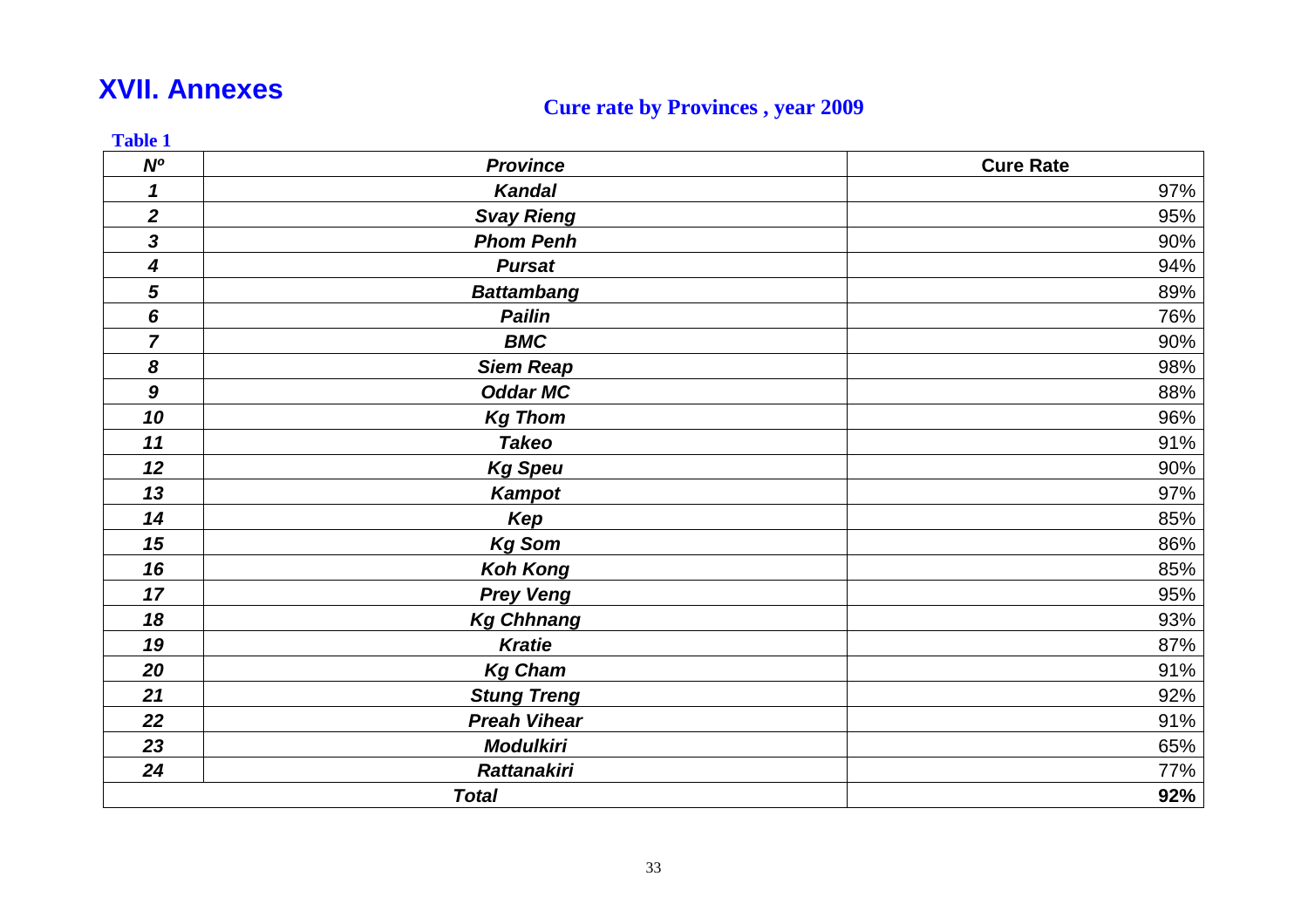## **XVII. Annexes**

## **Cure rate by Provinces , year 2009**

| N <sup>o</sup>             | <b>Province</b>     | <b>Cure Rate</b> |
|----------------------------|---------------------|------------------|
| $\boldsymbol{\mathcal{L}}$ | Kandal              | 97%              |
| $\boldsymbol{2}$           | <b>Svay Rieng</b>   | 95%              |
| $\overline{\mathbf{3}}$    | <b>Phom Penh</b>    | 90%              |
| 4                          | <b>Pursat</b>       | 94%              |
| 5                          | <b>Battambang</b>   | 89%              |
| 6                          | <b>Pailin</b>       | 76%              |
| $\overline{7}$             | <b>BMC</b>          | 90%              |
| 8                          | <b>Siem Reap</b>    | 98%              |
| $\boldsymbol{9}$           | <b>Oddar MC</b>     | 88%              |
| 10                         | <b>Kg Thom</b>      | 96%              |
| 11                         | <b>Takeo</b>        | 91%              |
| 12                         | <b>Kg Speu</b>      | 90%              |
| 13                         | <b>Kampot</b>       | 97%              |
| 14                         | Kep                 | 85%              |
| 15                         | <b>Kg Som</b>       | 86%              |
| 16                         | <b>Koh Kong</b>     | 85%              |
| 17                         | <b>Prey Veng</b>    | 95%              |
| 18                         | <b>Kg Chhnang</b>   | 93%              |
| 19                         | <b>Kratie</b>       | 87%              |
| 20                         | <b>Kg Cham</b>      | 91%              |
| 21                         | <b>Stung Treng</b>  | 92%              |
| 22                         | <b>Preah Vihear</b> | 91%              |
| 23                         | <b>Modulkiri</b>    | 65%              |
| 24                         | <b>Rattanakiri</b>  | 77%              |
|                            | <b>Total</b>        | 92%              |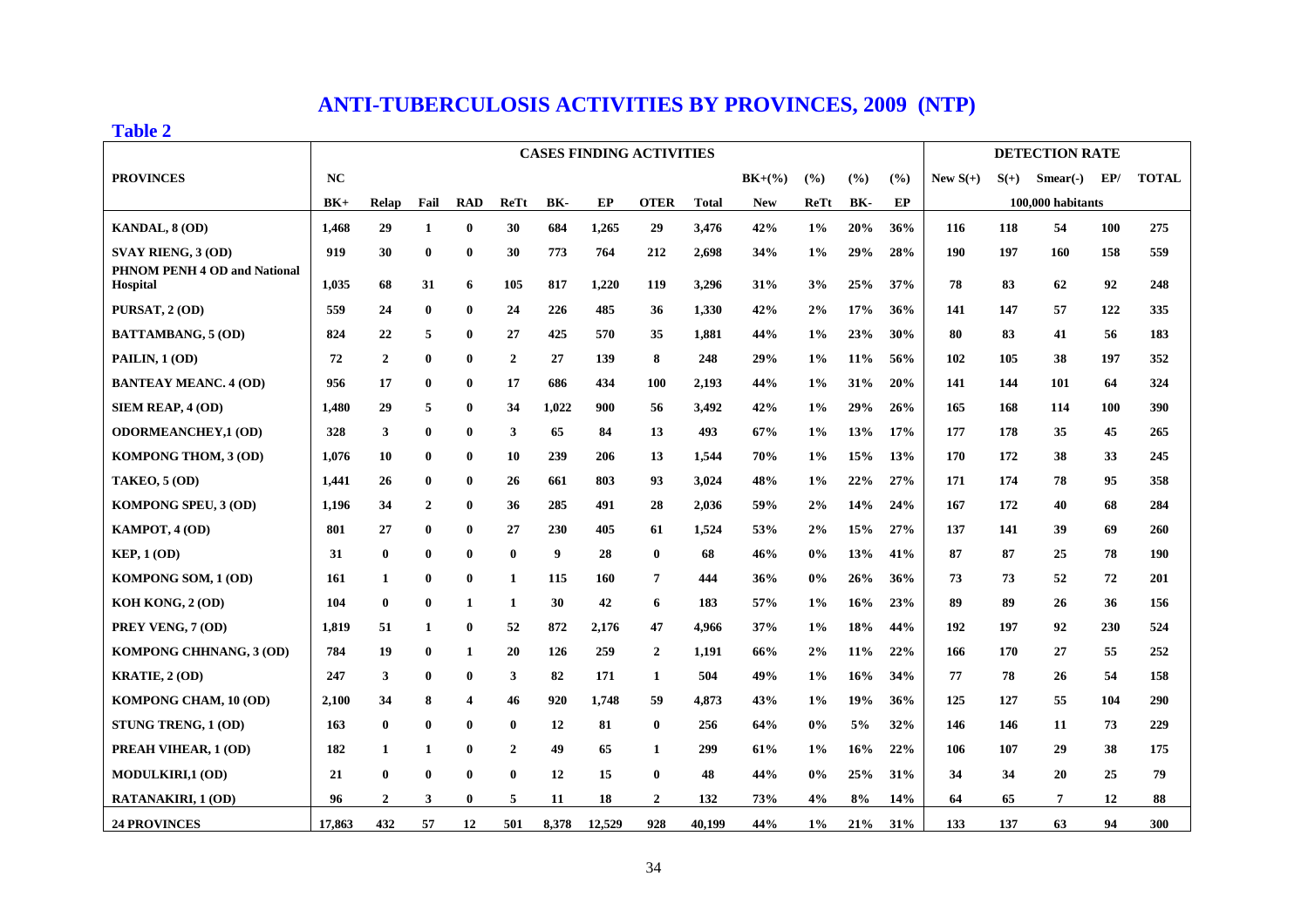## **ANTI-TUBERCULOSIS ACTIVITIES BY PROVINCES, 2009 (NTP)**

#### **Table 2**

|                                                 |           |                |              |              |                |       |        | <b>CASES FINDING ACTIVITIES</b> |              |            |       |            |        |            |        | <b>DETECTION RATE</b> |            |              |
|-------------------------------------------------|-----------|----------------|--------------|--------------|----------------|-------|--------|---------------------------------|--------------|------------|-------|------------|--------|------------|--------|-----------------------|------------|--------------|
| <b>PROVINCES</b>                                | <b>NC</b> |                |              |              |                |       |        |                                 |              | $BK+(%$    | (%)   | (%)        | $($ %) | New $S(+)$ | $S(+)$ | $Smean( - )$          | EP/        | <b>TOTAL</b> |
|                                                 | $BK+$     | <b>Relap</b>   | Fail         | <b>RAD</b>   | <b>ReTt</b>    | BK-   | EP     | <b>OTER</b>                     | <b>Total</b> | <b>New</b> | ReTt  | BK-        | EP     |            |        | 100,000 habitants     |            |              |
| KANDAL, 8 (OD)                                  | 1,468     | 29             | 1            | $\bf{0}$     | 30             | 684   | 1,265  | 29                              | 3,476        | 42%        | $1\%$ | 20%        | 36%    | 116        | 118    | 54                    | <b>100</b> | 275          |
| <b>SVAY RIENG, 3 (OD)</b>                       | 919       | 30             | $\bf{0}$     | $\bf{0}$     | 30             | 773   | 764    | 212                             | 2,698        | 34%        | $1\%$ | 29%        | 28%    | 190        | 197    | 160                   | 158        | 559          |
| PHNOM PENH 4 OD and National<br><b>Hospital</b> | 1,035     | 68             | 31           | 6            | 105            | 817   | 1,220  | 119                             | 3,296        | 31%        | 3%    | 25%        | 37%    | 78         | 83     | 62                    | 92         | 248          |
| PURSAT, 2 (OD)                                  | 559       | 24             | $\bf{0}$     | $\bf{0}$     | 24             | 226   | 485    | 36                              | 1,330        | 42%        | 2%    | 17%        | 36%    | 141        | 147    | 57                    | 122        | 335          |
| <b>BATTAMBANG, 5 (OD)</b>                       | 824       | 22             | 5            | $\bf{0}$     | 27             | 425   | 570    | 35                              | 1,881        | 44%        | $1\%$ | 23%        | 30%    | 80         | 83     | 41                    | 56         | 183          |
| PAILIN, 1 (OD)                                  | 72        | $\overline{2}$ | $\bf{0}$     | $\bf{0}$     | $\mathbf{2}$   | 27    | 139    | 8                               | 248          | 29%        | 1%    | $11\%$     | 56%    | 102        | 105    | 38                    | 197        | 352          |
| <b>BANTEAY MEANC. 4 (OD)</b>                    | 956       | 17             | $\bf{0}$     | $\bf{0}$     | 17             | 686   | 434    | <b>100</b>                      | 2,193        | 44%        | $1\%$ | 31%        | 20%    | 141        | 144    | 101                   | 64         | 324          |
| SIEM REAP, 4 (OD)                               | 1,480     | 29             | 5            | $\bf{0}$     | 34             | 1,022 | 900    | 56                              | 3,492        | 42%        | $1\%$ | 29%        | 26%    | 165        | 168    | 114                   | 100        | 390          |
| <b>ODORMEANCHEY,1 (OD)</b>                      | 328       | 3              | $\bf{0}$     | $\bf{0}$     | 3              | 65    | 84     | 13                              | 493          | 67%        | 1%    | 13%        | 17%    | 177        | 178    | 35                    | 45         | 265          |
| KOMPONG THOM, 3 (OD)                            | 1,076     | 10             | $\bf{0}$     | $\bf{0}$     | 10             | 239   | 206    | 13                              | 1,544        | 70%        | 1%    | 15%        | 13%    | 170        | 172    | 38                    | 33         | 245          |
| <b>TAKEO, 5 (OD)</b>                            | 1,441     | 26             | $\bf{0}$     | $\bf{0}$     | 26             | 661   | 803    | 93                              | 3,024        | 48%        | $1\%$ | 22%        | 27%    | 171        | 174    | 78                    | 95         | 358          |
| <b>KOMPONG SPEU, 3 (OD)</b>                     | 1,196     | 34             | $\mathbf{2}$ | $\bf{0}$     | 36             | 285   | 491    | 28                              | 2,036        | 59%        | 2%    | 14%        | 24%    | 167        | 172    | 40                    | 68         | 284          |
| KAMPOT, 4 (OD)                                  | 801       | 27             | $\bf{0}$     | $\bf{0}$     | 27             | 230   | 405    | 61                              | 1,524        | 53%        | 2%    | 15%        | 27%    | 137        | 141    | 39                    | 69         | 260          |
| KEP, 1 (OD)                                     | 31        | $\bf{0}$       | $\bf{0}$     | $\bf{0}$     | $\bf{0}$       | 9     | 28     | $\bf{0}$                        | 68           | 46%        | $0\%$ | 13%        | 41%    | 87         | 87     | 25                    | 78         | 190          |
| KOMPONG SOM, 1 (OD)                             | 161       | $\mathbf{1}$   | $\bf{0}$     | $\bf{0}$     | $\mathbf{1}$   | 115   | 160    | $\overline{7}$                  | 444          | 36%        | 0%    | 26%        | 36%    | 73         | 73     | 52                    | 72         | 201          |
| KOH KONG, 2 (OD)                                | 104       | $\bf{0}$       | $\bf{0}$     | $\mathbf{1}$ | $\mathbf{1}$   | 30    | 42     | 6                               | 183          | 57%        | $1\%$ | 16%        | 23%    | 89         | 89     | 26                    | 36         | 156          |
| PREY VENG, 7 (OD)                               | 1,819     | 51             | 1            | $\bf{0}$     | 52             | 872   | 2,176  | 47                              | 4,966        | 37%        | $1\%$ | 18%        | 44%    | 192        | 197    | 92                    | 230        | 524          |
| KOMPONG CHHNANG, 3 (OD)                         | 784       | 19             | $\bf{0}$     | $\mathbf{1}$ | 20             | 126   | 259    | $\overline{2}$                  | 1,191        | 66%        | 2%    | <b>11%</b> | 22%    | 166        | 170    | 27                    | 55         | 252          |
| <b>KRATIE, 2 (OD)</b>                           | 247       | 3              | $\bf{0}$     | $\bf{0}$     | 3              | 82    | 171    | $\mathbf{1}$                    | 504          | 49%        | $1\%$ | 16%        | 34%    | 77         | 78     | 26                    | 54         | 158          |
| KOMPONG CHAM, 10 (OD)                           | 2,100     | 34             | 8            | 4            | 46             | 920   | 1,748  | 59                              | 4,873        | 43%        | $1\%$ | 19%        | 36%    | 125        | 127    | 55                    | 104        | 290          |
| STUNG TRENG, 1 (OD)                             | 163       | $\bf{0}$       | $\bf{0}$     | $\bf{0}$     | $\bf{0}$       | 12    | 81     | $\bf{0}$                        | 256          | 64%        | $0\%$ | 5%         | 32%    | 146        | 146    | 11                    | 73         | 229          |
| PREAH VIHEAR, 1 (OD)                            | 182       | $\mathbf{1}$   | 1            | $\bf{0}$     | $\overline{2}$ | 49    | 65     | $\mathbf{1}$                    | 299          | 61%        | $1\%$ | 16%        | 22%    | 106        | 107    | 29                    | 38         | 175          |
| <b>MODULKIRI,1 (OD)</b>                         | 21        | $\bf{0}$       | $\bf{0}$     | $\bf{0}$     | $\bf{0}$       | 12    | 15     | $\bf{0}$                        | 48           | 44%        | $0\%$ | 25%        | 31%    | 34         | 34     | 20                    | 25         | 79           |
| <b>RATANAKIRI, 1 (OD)</b>                       | 96        | 2              | 3            | $\bf{0}$     | 5              | 11    | 18     | $\boldsymbol{2}$                | 132          | 73%        | 4%    | 8%         | 14%    | 64         | 65     | 7                     | 12         | 88           |
| <b>24 PROVINCES</b>                             | 17,863    | 432            | 57           | 12           | 501            | 8,378 | 12,529 | 928                             | 40,199       | 44%        | $1\%$ | 21%        | 31%    | 133        | 137    | 63                    | 94         | 300          |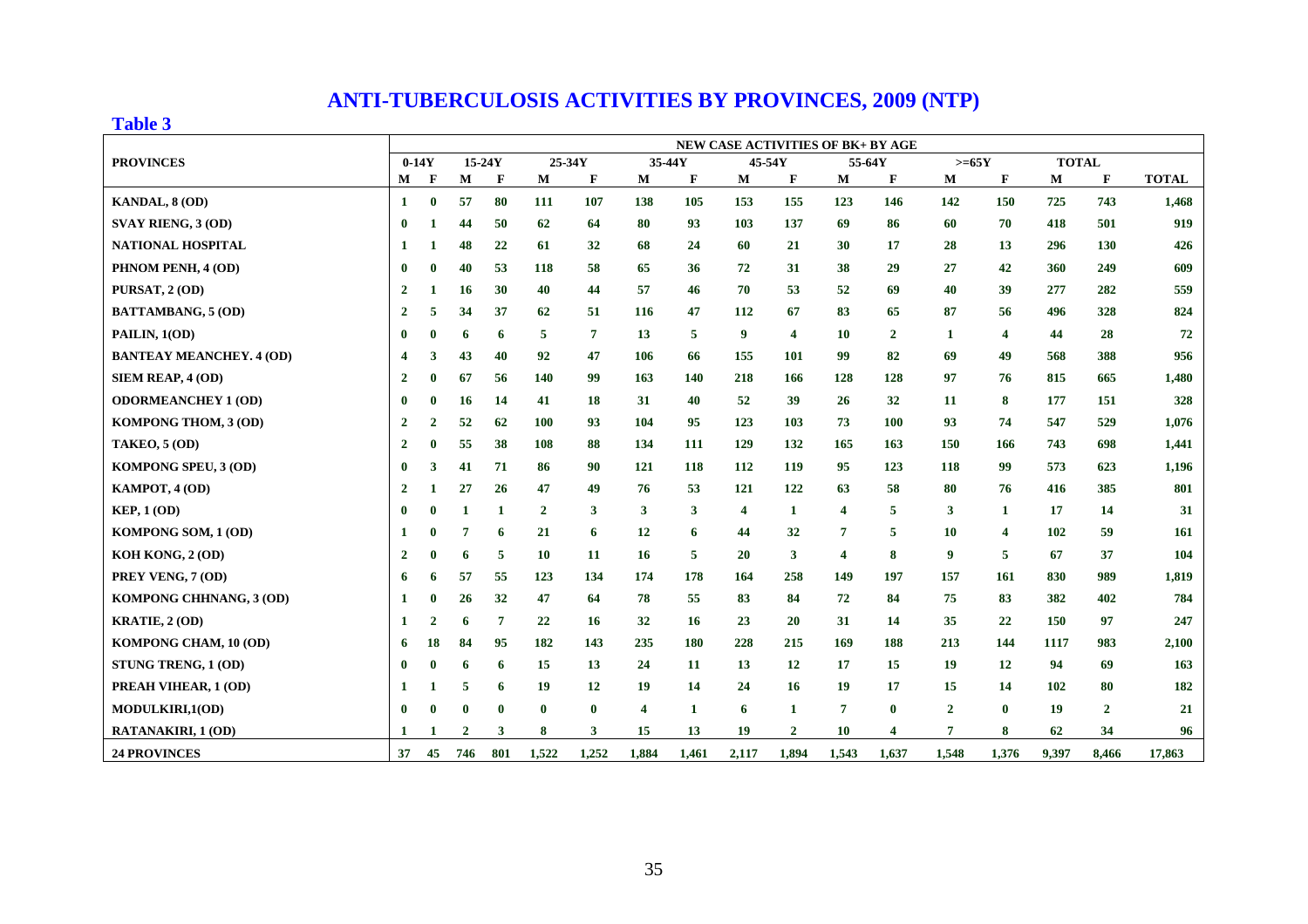## **ANTI-TUBERCULOSIS ACTIVITIES BY PROVINCES, 2009 (NTP)**

#### **Table 3**

|                                 | <b>NEW CASE ACTIVITIES OF BK+ BY AGE</b> |              |                |              |                |                |                         |              |                  |                         |        |                         |                |                         |              |                |              |
|---------------------------------|------------------------------------------|--------------|----------------|--------------|----------------|----------------|-------------------------|--------------|------------------|-------------------------|--------|-------------------------|----------------|-------------------------|--------------|----------------|--------------|
| <b>PROVINCES</b>                | $0-14Y$                                  |              | 15-24Y         |              |                | 25-34Y         | 35-44Y                  |              | 45-54Y           |                         | 55-64Y |                         | $>=65Y$        |                         | <b>TOTAL</b> |                |              |
|                                 | М                                        | F            | M              | F            | M              | F              | M                       | F            | М                | F                       | М      | F                       | M              | F                       | M            | F              | <b>TOTAL</b> |
| <b>KANDAL, 8 (OD)</b>           | 1                                        | $\bf{0}$     | 57             | 80           | 111            | 107            | 138                     | 105          | 153              | 155                     | 123    | 146                     | 142            | 150                     | 725          | 743            | 1,468        |
| <b>SVAY RIENG, 3 (OD)</b>       | $\mathbf{0}$                             | 1            | 44             | 50           | 62             | 64             | 80                      | 93           | 103              | 137                     | 69     | 86                      | 60             | 70                      | 418          | 501            | 919          |
| <b>NATIONAL HOSPITAL</b>        | -1                                       |              | 48             | 22           | 61             | 32             | 68                      | 24           | 60               | 21                      | 30     | 17                      | 28             | 13                      | 296          | 130            | 426          |
| PHNOM PENH, 4 (OD)              | $\mathbf{0}$                             | 0            | 40             | 53           | 118            | 58             | 65                      | 36           | 72               | 31                      | 38     | 29                      | 27             | 42                      | 360          | 249            | 609          |
| PURSAT, 2 (OD)                  | $\overline{2}$                           | 1            | 16             | 30           | 40             | 44             | 57                      | 46           | 70               | 53                      | 52     | 69                      | 40             | 39                      | 277          | 282            | 559          |
| <b>BATTAMBANG, 5 (OD)</b>       | $\overline{2}$                           | 5            | 34             | 37           | 62             | 51             | 116                     | 47           | 112              | 67                      | 83     | 65                      | 87             | 56                      | 496          | 328            | 824          |
| PAILIN, 1(OD)                   | $\mathbf{0}$                             | 0            | 6              | 6            | 5              | $\overline{7}$ | 13                      | 5            | $\boldsymbol{9}$ | $\overline{\mathbf{4}}$ | 10     | $\overline{2}$          | $\mathbf{1}$   | $\overline{\mathbf{4}}$ | 44           | 28             | 72           |
| <b>BANTEAY MEANCHEY. 4 (OD)</b> | 4                                        | 3            | 43             | 40           | 92             | 47             | 106                     | 66           | 155              | 101                     | 99     | 82                      | 69             | 49                      | 568          | 388            | 956          |
| SIEM REAP, 4 (OD)               | $\overline{2}$                           | 0            | 67             | 56           | 140            | 99             | 163                     | 140          | 218              | 166                     | 128    | 128                     | 97             | 76                      | 815          | 665            | 1,480        |
| <b>ODORMEANCHEY 1 (OD)</b>      | $\bf{0}$                                 | $\mathbf{0}$ | 16             | 14           | 41             | 18             | 31                      | 40           | 52               | 39                      | 26     | 32                      | 11             | 8                       | 177          | 151            | 328          |
| KOMPONG THOM, 3 (OD)            | $\overline{2}$                           | $\mathbf{2}$ | 52             | 62           | 100            | 93             | 104                     | 95           | 123              | 103                     | 73     | 100                     | 93             | 74                      | 547          | 529            | 1,076        |
| <b>TAKEO, 5 (OD)</b>            | $\overline{2}$                           | 0            | 55             | 38           | 108            | 88             | 134                     | 111          | 129              | 132                     | 165    | 163                     | 150            | 166                     | 743          | 698            | 1,441        |
| KOMPONG SPEU, 3 (OD)            | $\bf{0}$                                 | 3            | 41             | 71           | 86             | 90             | 121                     | 118          | 112              | 119                     | 95     | 123                     | 118            | 99                      | 573          | 623            | 1,196        |
| KAMPOT, 4 (OD)                  | $\overline{2}$                           | 1            | 27             | 26           | 47             | 49             | 76                      | 53           | 121              | 122                     | 63     | 58                      | 80             | 76                      | 416          | 385            | 801          |
| <b>KEP, 1 (OD)</b>              | $\bf{0}$                                 | $\mathbf 0$  | $\mathbf{1}$   | $\mathbf{1}$ | $\overline{2}$ | 3              | 3                       | 3            | 4                | 1                       | 4      | 5                       | $\mathbf{3}$   | $\mathbf{1}$            | 17           | 14             | 31           |
| KOMPONG SOM, 1 (OD)             | -1                                       | 0            | 7              | 6            | 21             | 6              | 12                      | 6            | 44               | 32                      | 7      | 5                       | 10             | $\overline{\mathbf{4}}$ | 102          | 59             | 161          |
| KOH KONG, 2 (OD)                | $\overline{2}$                           | 0            | 6              | 5            | <b>10</b>      | 11             | <b>16</b>               | 5            | 20               | $\mathbf{3}$            | 4      | 8                       | 9              | $\overline{5}$          | 67           | 37             | 104          |
| PREY VENG, 7 (OD)               | 6                                        | 6            | 57             | 55           | 123            | 134            | 174                     | 178          | 164              | 258                     | 149    | 197                     | 157            | 161                     | 830          | 989            | 1,819        |
| KOMPONG CHHNANG, 3 (OD)         |                                          | 0            | 26             | 32           | 47             | 64             | 78                      | 55           | 83               | 84                      | 72     | 84                      | 75             | 83                      | 382          | 402            | 784          |
| <b>KRATIE, 2 (OD)</b>           | -1                                       | 2            | 6              | 7            | 22             | 16             | 32                      | 16           | 23               | <b>20</b>               | 31     | 14                      | 35             | 22                      | 150          | 97             | 247          |
| KOMPONG CHAM, 10 (OD)           | 6                                        | 18           | 84             | 95           | 182            | 143            | 235                     | 180          | 228              | 215                     | 169    | 188                     | 213            | 144                     | 1117         | 983            | 2,100        |
| STUNG TRENG, 1 (OD)             | $\mathbf{0}$                             | 0            | 6              | 6            | 15             | 13             | 24                      | 11           | 13               | 12                      | 17     | 15                      | 19             | 12                      | 94           | 69             | 163          |
| PREAH VIHEAR, 1 (OD)            | -1                                       | 1            | 5              | 6            | 19             | 12             | 19                      | 14           | 24               | 16                      | 19     | 17                      | 15             | 14                      | 102          | 80             | 182          |
| MODULKIRI,1(OD)                 | $\bf{0}$                                 | 0            | $\bf{0}$       | $\bf{0}$     | $\bf{0}$       | $\bf{0}$       | $\overline{\mathbf{4}}$ | $\mathbf{1}$ | 6                | $\mathbf{1}$            | 7      | $\bf{0}$                | $\overline{2}$ | $\bf{0}$                | 19           | $\overline{2}$ | 21           |
| RATANAKIRI, 1 (OD)              | -1                                       |              | $\overline{2}$ | 3            | 8              | 3              | 15                      | 13           | 19               | $\overline{2}$          | 10     | $\overline{\mathbf{4}}$ | 7              | 8                       | 62           | 34             | 96           |
| <b>24 PROVINCES</b>             | 37                                       | 45           | 746            | 801          | 1,522          | 1,252          | 1,884                   | 1,461        | 2,117            | 1,894                   | 1,543  | 1,637                   | 1,548          | 1,376                   | 9,397        | 8,466          | 17,863       |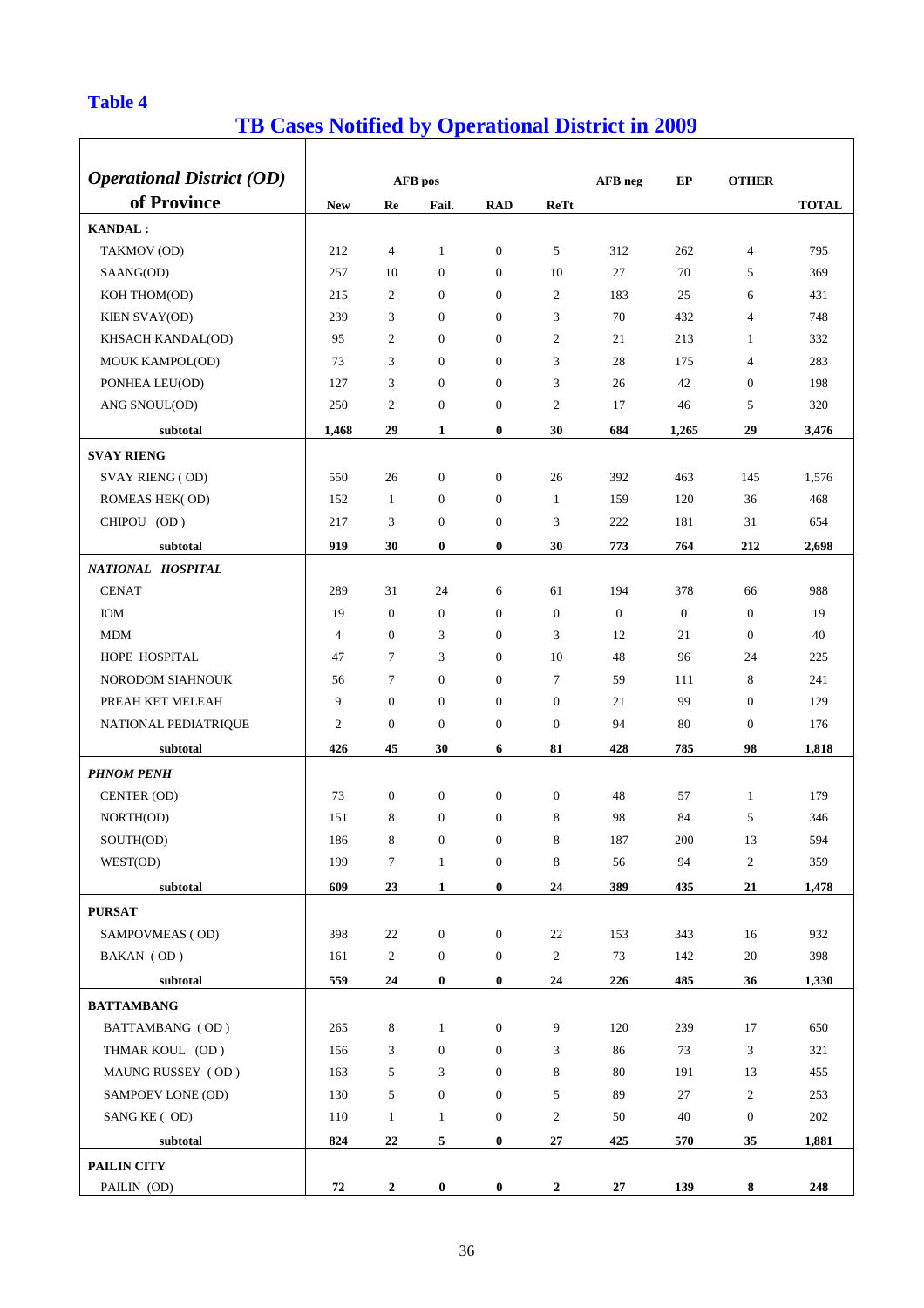## **Table 4**

 $\overline{1}$ 

## **TB Cases Notified by Operational District in 2009**

1

ヿ

| <b>Operational District (OD)</b> |                |                  | AFB pos          |                  |                  | AFB neg      | EP               | <b>OTHER</b>     |              |
|----------------------------------|----------------|------------------|------------------|------------------|------------------|--------------|------------------|------------------|--------------|
| of Province                      | <b>New</b>     | Re               | Fail.            | <b>RAD</b>       | ReTt             |              |                  |                  | <b>TOTAL</b> |
| <b>KANDAL:</b>                   |                |                  |                  |                  |                  |              |                  |                  |              |
| TAKMOV (OD)                      | 212            | $\overline{4}$   | $\mathbf{1}$     | $\mathbf{0}$     | 5                | 312          | 262              | 4                | 795          |
| SAANG(OD)                        | 257            | 10               | $\mathbf{0}$     | $\mathbf{0}$     | 10               | 27           | 70               | 5                | 369          |
| KOH THOM(OD)                     | 215            | 2                | $\boldsymbol{0}$ | $\mathbf{0}$     | $\overline{c}$   | 183          | 25               | 6                | 431          |
| <b>KIEN SVAY(OD)</b>             | 239            | 3                | $\mathbf{0}$     | $\mathbf{0}$     | 3                | 70           | 432              | $\overline{4}$   | 748          |
| KHSACH KANDAL(OD)                | 95             | $\mathfrak{2}$   | $\boldsymbol{0}$ | $\mathbf{0}$     | $\overline{c}$   | 21           | 213              | 1                | 332          |
| MOUK KAMPOL(OD)                  | 73             | 3                | $\boldsymbol{0}$ | $\boldsymbol{0}$ | 3                | 28           | 175              | 4                | 283          |
| PONHEA LEU(OD)                   | 127            | 3                | $\boldsymbol{0}$ | $\mathbf{0}$     | 3                | 26           | 42               | $\mathbf{0}$     | 198          |
| ANG SNOUL(OD)                    | 250            | $\mathfrak{2}$   | $\mathbf{0}$     | $\mathbf{0}$     | $\overline{c}$   | 17           | 46               | 5                | 320          |
|                                  |                |                  |                  |                  |                  |              |                  |                  |              |
| subtotal                         | 1,468          | 29               | 1                | $\bf{0}$         | 30               | 684          | 1,265            | 29               | 3,476        |
| <b>SVAY RIENG</b>                |                |                  |                  |                  |                  |              |                  |                  |              |
| <b>SVAY RIENG (OD)</b>           | 550            | 26               | $\mathbf{0}$     | $\mathbf{0}$     | 26               | 392          | 463              | 145              | 1,576        |
| ROMEAS HEK(OD)                   | 152            | 1                | $\boldsymbol{0}$ | $\mathbf{0}$     | 1                | 159          | 120              | 36               | 468          |
| CHIPOU (OD)                      | 217            | 3                | $\mathbf{0}$     | $\mathbf{0}$     | 3                | 222          | 181              | 31               | 654          |
| subtotal                         | 919            | 30               | $\bf{0}$         | $\bf{0}$         | 30               | 773          | 764              | 212              | 2,698        |
| NATIONAL HOSPITAL                |                |                  |                  |                  |                  |              |                  |                  |              |
| <b>CENAT</b>                     | 289            | 31               | 24               | 6                | 61               | 194          | 378              | 66               | 988          |
| <b>IOM</b>                       | 19             | $\boldsymbol{0}$ | $\mathbf{0}$     | $\mathbf{0}$     | $\boldsymbol{0}$ | $\mathbf{0}$ | $\boldsymbol{0}$ | $\mathbf{0}$     | 19           |
| <b>MDM</b>                       | $\overline{4}$ | $\mathbf{0}$     | 3                | $\mathbf{0}$     | 3                | 12           | 21               | $\theta$         | 40           |
| HOPE HOSPITAL                    | 47             | 7                | 3                | $\mathbf{0}$     | 10               | 48           | 96               | 24               | 225          |
| NORODOM SIAHNOUK                 | 56             | 7                | $\mathbf{0}$     | $\mathbf{0}$     | $\tau$           | 59           | 111              | 8                | 241          |
| PREAH KET MELEAH                 | 9              | $\boldsymbol{0}$ | $\boldsymbol{0}$ | $\mathbf{0}$     | $\boldsymbol{0}$ | 21           | 99               | $\theta$         | 129          |
| NATIONAL PEDIATRIQUE             | $\mathfrak{2}$ | $\boldsymbol{0}$ | $\mathbf{0}$     | $\boldsymbol{0}$ | $\mathbf{0}$     | 94           | 80               | $\boldsymbol{0}$ | 176          |
| subtotal                         | 426            | 45               | 30               | 6                | 81               | 428          | 785              | 98               | 1,818        |
| <b>PHNOM PENH</b>                |                |                  |                  |                  |                  |              |                  |                  |              |
| CENTER (OD)                      | 73             | $\theta$         | $\mathbf{0}$     | $\mathbf{0}$     | $\boldsymbol{0}$ | 48           | 57               | $\mathbf{1}$     | 179          |
| NORTH(OD)                        | 151            | 8                | $\theta$         | $\mathbf{0}$     | 8                | 98           | 84               | 5                | 346          |
| SOUTH(OD)                        | 186            | 8                | $\overline{0}$   | $\boldsymbol{0}$ | 8                | 187          | 200              | 13               | 594          |
| WEST(OD)                         | 199            | $\boldsymbol{7}$ | $\mathbf{1}$     | $\boldsymbol{0}$ | 8                | 56           | 94               | $\mathbf{2}$     | 359          |
| subtotal                         | 609            | 23               | $\mathbf{1}$     | $\bf{0}$         | 24               | 389          | 435              | 21               | 1,478        |
| <b>PURSAT</b>                    |                |                  |                  |                  |                  |              |                  |                  |              |
| SAMPOVMEAS (OD)                  | 398            | 22               | $\boldsymbol{0}$ | $\mathbf{0}$     | $22\,$           | 153          | 343              | 16               | 932          |
| BAKAN (OD)                       | 161            | $\overline{c}$   | $\boldsymbol{0}$ | $\boldsymbol{0}$ | $\overline{c}$   | 73           | 142              | 20               | 398          |
| subtotal                         | 559            | 24               | $\boldsymbol{0}$ | $\bf{0}$         | 24               | 226          | 485              | 36               | 1,330        |
| <b>BATTAMBANG</b>                |                |                  |                  |                  |                  |              |                  |                  |              |
| BATTAMBANG (OD)                  | 265            | 8                | $\mathbf{1}$     | $\mathbf{0}$     | 9                | 120          | 239              | 17               | 650          |
| THMAR KOUL (OD)                  | 156            | 3                | $\boldsymbol{0}$ | $\mathbf{0}$     | 3                | 86           | 73               | 3                | 321          |
| MAUNG RUSSEY (OD)                | 163            | 5                | 3                | $\mathbf{0}$     | 8                | 80           | 191              | 13               | 455          |
| SAMPOEV LONE (OD)                | 130            | 5                | $\mathbf{0}$     | $\mathbf{0}$     | 5                | 89           | 27               | $\overline{c}$   | 253          |
| SANG KE (OD)                     | 110            | $\mathbf{1}$     | $\mathbf{1}$     | $\boldsymbol{0}$ | $\overline{c}$   | 50           | 40               | $\mathbf{0}$     | 202          |
| subtotal                         | 824            | 22               | 5                | $\bf{0}$         | 27               | 425          | 570              | 35               | 1,881        |
| PAILIN CITY                      |                |                  |                  |                  |                  |              |                  |                  |              |
| PAILIN (OD)                      | 72             | $\mathbf{2}$     | $\bf{0}$         | $\bf{0}$         | $\boldsymbol{2}$ | 27           | 139              | 8                | 248          |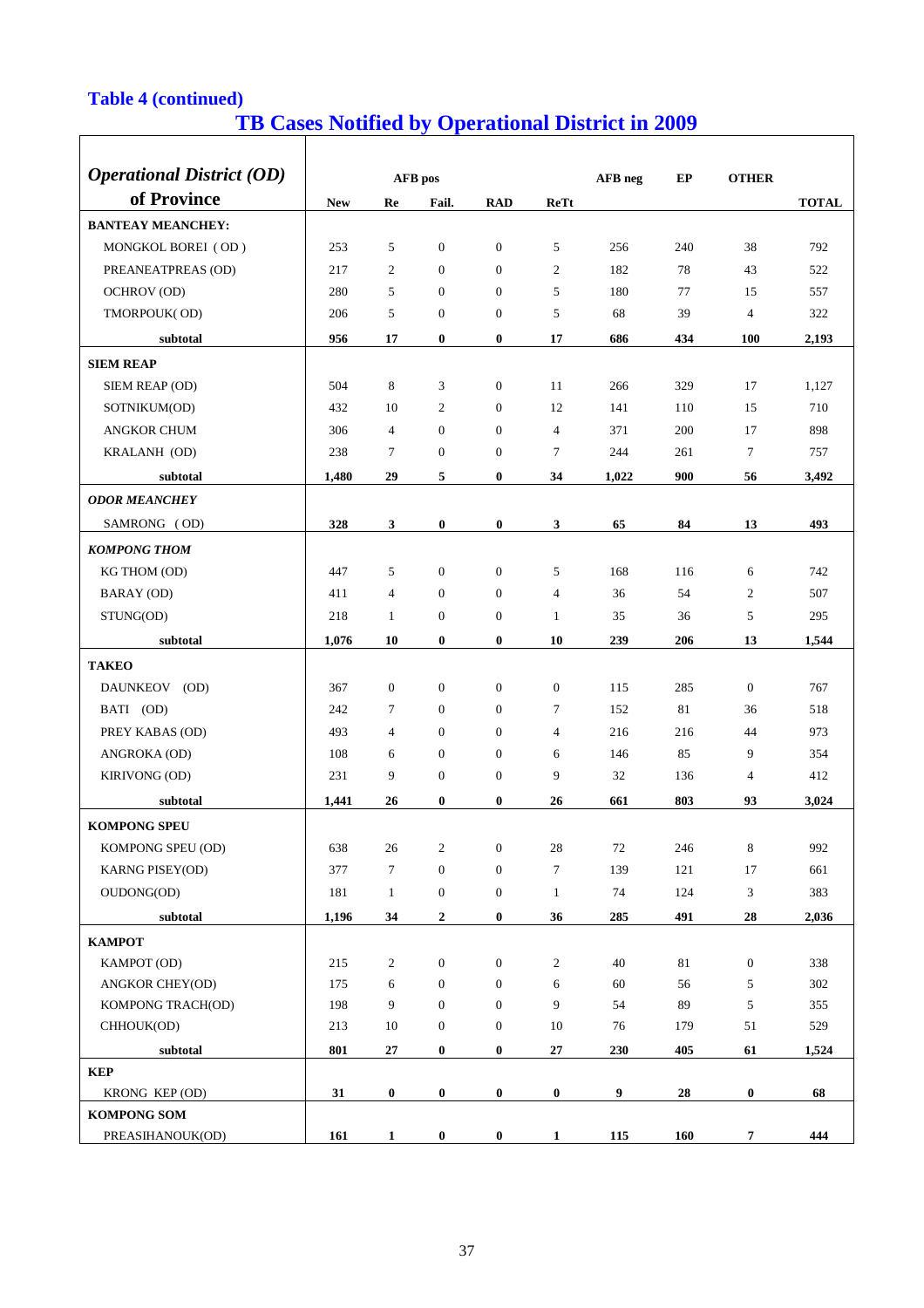## **Table 4 (continued)**

# **TB Cases Notified by Operational District in 2009**

| <b>Operational District (OD)</b> |            |                | AFB pos          |                  |                | AFB neg | EP  | <b>OTHER</b>     |              |
|----------------------------------|------------|----------------|------------------|------------------|----------------|---------|-----|------------------|--------------|
| of Province                      |            |                |                  |                  |                |         |     |                  |              |
|                                  | <b>New</b> | Re             | Fail.            | <b>RAD</b>       | ReTt           |         |     |                  | <b>TOTAL</b> |
| <b>BANTEAY MEANCHEY:</b>         |            |                |                  |                  |                |         |     |                  |              |
| MONGKOL BOREI (OD)               | 253        | 5              | $\mathbf{0}$     | $\mathbf{0}$     | 5              | 256     | 240 | 38               | 792          |
| PREANEATPREAS (OD)               | 217        | 2              | $\mathbf{0}$     | $\theta$         | $\overline{2}$ | 182     | 78  | 43               | 522          |
| OCHROV (OD)                      | 280        | 5              | $\Omega$         | $\theta$         | 5              | 180     | 77  | 15               | 557          |
| TMORPOUK(OD)                     | 206        | 5              | $\mathbf{0}$     | $\overline{0}$   | 5              | 68      | 39  | $\overline{4}$   | 322          |
| subtotal                         | 956        | 17             | $\bf{0}$         | $\bf{0}$         | 17             | 686     | 434 | <b>100</b>       | 2,193        |
| <b>SIEM REAP</b>                 |            |                |                  |                  |                |         |     |                  |              |
| SIEM REAP (OD)                   | 504        | 8              | 3                | $\mathbf{0}$     | 11             | 266     | 329 | 17               | 1,127        |
| SOTNIKUM(OD)                     | 432        | 10             | $\overline{2}$   | $\Omega$         | 12             | 141     | 110 | 15               | 710          |
| <b>ANGKOR CHUM</b>               | 306        | $\overline{4}$ | $\mathbf{0}$     | $\theta$         | $\overline{4}$ | 371     | 200 | 17               | 898          |
| KRALANH (OD)                     | 238        | 7              | $\boldsymbol{0}$ | $\mathbf{0}$     | 7              | 244     | 261 | 7                | 757          |
| subtotal                         | 1,480      | 29             | 5                | $\bf{0}$         | 34             | 1,022   | 900 | 56               | 3,492        |
| <b>ODOR MEANCHEY</b>             |            |                |                  |                  |                |         |     |                  |              |
| SAMRONG (OD)                     | 328        | $\mathbf{3}$   | $\bf{0}$         | $\bf{0}$         | 3              | 65      | 84  | 13               | 493          |
| <b>KOMPONG THOM</b>              |            |                |                  |                  |                |         |     |                  |              |
| KG THOM (OD)                     | 447        | 5              | $\overline{0}$   | $\mathbf{0}$     | 5              | 168     | 116 | 6                | 742          |
| <b>BARAY</b> (OD)                | 411        | $\overline{4}$ | $\Omega$         | $\Omega$         | $\overline{4}$ | 36      | 54  | 2                | 507          |
| STUNG(OD)                        | 218        | $\mathbf{1}$   | $\theta$         | $\mathbf{0}$     | $\mathbf{1}$   | 35      | 36  | 5                | 295          |
| subtotal                         | 1,076      | 10             | $\bf{0}$         | $\bf{0}$         | 10             | 239     | 206 | 13               | 1,544        |
| <b>TAKEO</b>                     |            |                |                  |                  |                |         |     |                  |              |
| DAUNKEOV (OD)                    | 367        | $\mathbf{0}$   | $\mathbf{0}$     | $\theta$         | $\mathbf{0}$   | 115     | 285 | $\mathbf{0}$     | 767          |
| BATI (OD)                        | 242        | $\tau$         | $\overline{0}$   | $\theta$         | 7              | 152     | 81  | 36               | 518          |
| PREY KABAS (OD)                  | 493        | $\overline{4}$ | $\overline{0}$   | $\mathbf{0}$     | 4              | 216     | 216 | 44               | 973          |
| ANGROKA (OD)                     | 108        | 6              | $\mathbf{0}$     | $\theta$         | 6              | 146     | 85  | 9                | 354          |
| <b>KIRIVONG (OD)</b>             | 231        | 9              | $\mathbf{0}$     | $\mathbf{0}$     | 9              | 32      | 136 | $\overline{4}$   | 412          |
| subtotal                         | 1,441      | 26             | $\bf{0}$         | $\bf{0}$         | 26             | 661     | 803 | 93               | 3,024        |
| <b>KOMPONG SPEU</b>              |            |                |                  |                  |                |         |     |                  |              |
| KOMPONG SPEU (OD)                | 638        | 26             | $\mathfrak{2}$   | $\boldsymbol{0}$ | $28\,$         | 72      | 246 | 8                | 992          |
| <b>KARNG PISEY(OD)</b>           | 377        | $\tau$         | $\boldsymbol{0}$ | $\boldsymbol{0}$ | $\tau$         | 139     | 121 | 17               | 661          |
| OUDONG(OD)                       | 181        | $\mathbf{1}$   | $\mathbf{0}$     | $\boldsymbol{0}$ | $\mathbf{1}$   | 74      | 124 | $\mathfrak{Z}$   | 383          |
| subtotal                         | 1,196      | 34             | $\mathbf{2}$     | $\bf{0}$         | 36             | 285     | 491 | 28               | 2,036        |
| КАМРОТ                           |            |                |                  |                  |                |         |     |                  |              |
| KAMPOT (OD)                      | 215        | $\overline{2}$ | $\boldsymbol{0}$ | $\boldsymbol{0}$ | $\overline{2}$ | 40      | 81  | $\boldsymbol{0}$ | 338          |
| <b>ANGKOR CHEY(OD)</b>           | 175        | 6              | $\mathbf{0}$     | $\mathbf{0}$     | 6              | 60      | 56  | 5                | 302          |
| KOMPONG TRACH(OD)                | 198        | 9              | $\overline{0}$   | $\mathbf{0}$     | 9              | 54      | 89  | 5                | 355          |
| CHHOUK(OD)                       | 213        | 10             | $\mathbf{0}$     | $\mathbf{0}$     | 10             | 76      | 179 | 51               | 529          |
| subtotal                         | 801        | 27             | $\bf{0}$         | $\bf{0}$         | 27             | 230     | 405 | 61               | 1,524        |
| <b>KEP</b>                       |            |                |                  |                  |                |         |     |                  |              |
| KRONG KEP (OD)                   | 31         | $\bf{0}$       | $\bf{0}$         | $\pmb{0}$        | $\pmb{0}$      | 9       | 28  | $\pmb{0}$        | 68           |
| <b>KOMPONG SOM</b>               |            |                |                  |                  |                |         |     |                  |              |
| PREASIHANOUK(OD)                 | 161        | $\mathbf{1}$   | $\bf{0}$         | $\pmb{0}$        | $\mathbf{1}$   | 115     | 160 | $\overline{7}$   | 444          |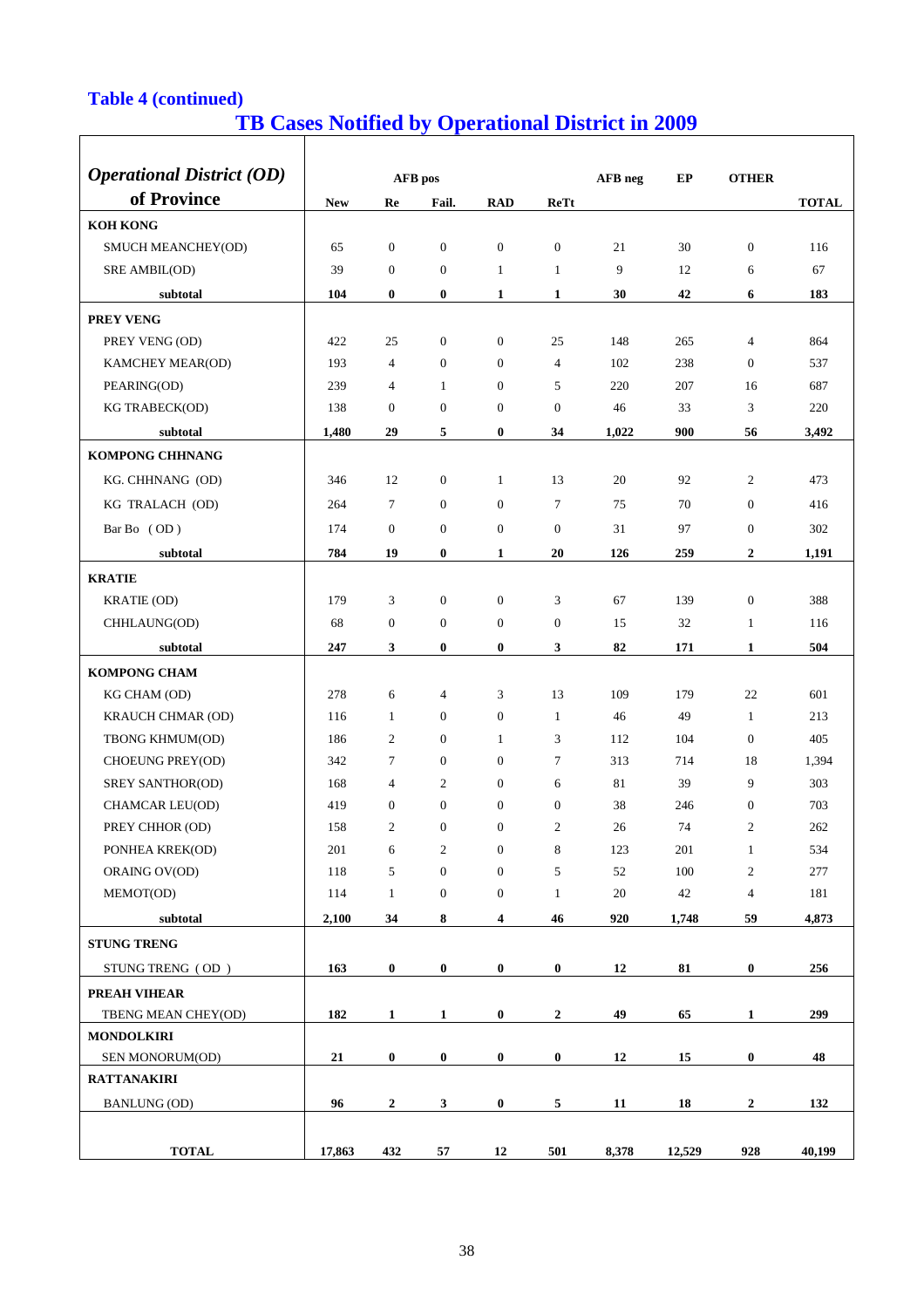## **Table 4 (continued)**

# **TB Cases Notified by Operational District in 2009**

| <b>Operational District (OD)</b>         |            |                  |                  |                  |                  |                  |        |                  |              |
|------------------------------------------|------------|------------------|------------------|------------------|------------------|------------------|--------|------------------|--------------|
| of Province                              |            |                  | AFB pos          |                  |                  | AFB neg          | EP     | <b>OTHER</b>     |              |
|                                          | <b>New</b> | Re               | Fail.            | <b>RAD</b>       | <b>ReTt</b>      |                  |        |                  | <b>TOTAL</b> |
| <b>KOH KONG</b>                          |            |                  |                  |                  |                  |                  |        |                  |              |
| SMUCH MEANCHEY(OD)                       | 65         | $\boldsymbol{0}$ | $\boldsymbol{0}$ | $\boldsymbol{0}$ | $\boldsymbol{0}$ | 21               | 30     | $\boldsymbol{0}$ | 116          |
| SRE AMBIL(OD)                            | 39         | $\boldsymbol{0}$ | $\boldsymbol{0}$ | $\mathbf{1}$     | $\mathbf{1}$     | 9                | 12     | 6                | 67           |
| subtotal                                 | 104        | $\bf{0}$         | $\bf{0}$         | 1                | 1                | 30               | 42     | 6                | 183          |
| PREY VENG                                |            |                  |                  |                  |                  |                  |        |                  |              |
| PREY VENG (OD)                           | 422        | 25               | $\boldsymbol{0}$ | $\boldsymbol{0}$ | 25               | 148              | 265    | 4                | 864          |
| KAMCHEY MEAR(OD)                         | 193        | 4                | $\boldsymbol{0}$ | $\overline{0}$   | $\overline{4}$   | 102              | 238    | $\theta$         | 537          |
| PEARING(OD)                              | 239        | 4                | $\mathbf{1}$     | $\theta$         | 5                | 220              | 207    | 16               | 687          |
| KG TRABECK(OD)                           | 138        | $\mathbf{0}$     | $\boldsymbol{0}$ | $\mathbf{0}$     | $\boldsymbol{0}$ | 46               | 33     | 3                | 220          |
| subtotal                                 | 1,480      | 29               | 5                | $\bf{0}$         | 34               | 1,022            | 900    | 56               | 3,492        |
| <b>KOMPONG CHHNANG</b>                   |            |                  |                  |                  |                  |                  |        |                  |              |
| KG. CHHNANG (OD)                         | 346        | 12               | $\boldsymbol{0}$ | 1                | 13               | 20               | 92     | $\overline{c}$   | 473          |
| KG TRALACH (OD)                          | 264        | 7                | $\mathbf{0}$     | $\overline{0}$   | $\tau$           | 75               | 70     | $\mathbf{0}$     | 416          |
| Bar Bo (OD)                              | 174        | $\mathbf{0}$     | $\mathbf{0}$     | $\mathbf{0}$     | $\boldsymbol{0}$ | 31               | 97     | $\overline{0}$   | 302          |
| subtotal                                 | 784        | 19               | $\bf{0}$         | $\mathbf{1}$     | 20               | 126              | 259    | $\mathbf{2}$     | 1,191        |
| <b>KRATIE</b>                            |            |                  |                  |                  |                  |                  |        |                  |              |
| KRATIE (OD)                              | 179        | 3                | $\boldsymbol{0}$ | $\boldsymbol{0}$ | 3                | 67               | 139    | $\boldsymbol{0}$ | 388          |
| CHHLAUNG(OD)                             | 68         | $\mathbf{0}$     | $\boldsymbol{0}$ | $\boldsymbol{0}$ | $\boldsymbol{0}$ | 15               | 32     | $\mathbf{1}$     | 116          |
| subtotal                                 | 247        | $\mathbf{3}$     | $\bf{0}$         | $\bf{0}$         | 3                | 82               | 171    | $\mathbf{1}$     | 504          |
| <b>KOMPONG CHAM</b>                      |            |                  |                  |                  |                  |                  |        |                  |              |
| KG CHAM (OD)                             | 278        | 6                | 4                | 3                | 13               | 109              | 179    | 22               | 601          |
| KRAUCH CHMAR (OD)                        | 116        | 1                | $\mathbf{0}$     | $\theta$         | 1                | 46               | 49     | $\mathbf{1}$     | 213          |
| TBONG KHMUM(OD)                          | 186        | $\mathfrak{2}$   | $\mathbf{0}$     | 1                | 3                | 112              | 104    | $\boldsymbol{0}$ | 405          |
| CHOEUNG PREY(OD)                         | 342        | $\tau$           | $\mathbf{0}$     | $\overline{0}$   | $\tau$           | 313              | 714    | 18               | 1,394        |
| SREY SANTHOR(OD)                         | 168        | 4                | $\overline{c}$   | $\mathbf{0}$     | 6                | 81               | 39     | 9                | 303          |
| CHAMCAR LEU(OD)                          | 419        | $\mathbf{0}$     | $\boldsymbol{0}$ | $\mathbf{0}$     | $\boldsymbol{0}$ | 38               | 246    | $\boldsymbol{0}$ | 703          |
| PREY CHHOR (OD)                          | 158        | $\overline{2}$   | $\boldsymbol{0}$ | 0                | $\mathfrak{2}$   | 26               | 74     | $\overline{2}$   | 262          |
| PONHEA KREK(OD)                          | 201        | 6                | $\overline{c}$   | $\mathbf{0}$     | 8                | 123              | 201    | $\mathbf{1}$     | 534          |
| ORAING OV(OD)                            | 118        | 5                | $\boldsymbol{0}$ | $\boldsymbol{0}$ | 5                | 52               | 100    | $\boldsymbol{2}$ | 277          |
| MEMOT(OD)                                | 114        | $\mathbf{1}$     | $\boldsymbol{0}$ | $\boldsymbol{0}$ | $\mathbf{1}$     | $20\,$           | 42     | $\overline{4}$   | 181          |
| subtotal                                 | 2,100      | 34               | 8                | 4                | 46               | 920              | 1,748  | 59               | 4,873        |
| <b>STUNG TRENG</b>                       |            |                  |                  |                  |                  |                  |        |                  |              |
| STUNG TRENG (OD)                         | 163        | $\bf{0}$         | $\bf{0}$         | $\bf{0}$         | $\bf{0}$         | 12               | 81     | $\bf{0}$         | 256          |
|                                          |            |                  |                  |                  |                  |                  |        |                  |              |
| PREAH VIHEAR                             | 182        |                  |                  |                  |                  |                  | 65     | 1                | 299          |
| TBENG MEAN CHEY(OD)<br><b>MONDOLKIRI</b> |            | 1                | 1                | $\boldsymbol{0}$ | $\boldsymbol{2}$ | 49               |        |                  |              |
| SEN MONORUM(OD)                          | 21         | $\boldsymbol{0}$ | $\bf{0}$         | $\boldsymbol{0}$ | $\bf{0}$         | 12               | 15     | $\pmb{0}$        | 48           |
| <b>RATTANAKIRI</b>                       |            |                  |                  |                  |                  |                  |        |                  |              |
| <b>BANLUNG (OD)</b>                      | 96         | $\boldsymbol{2}$ | 3                | $\pmb{0}$        | 5                | $11\phantom{.0}$ | 18     | $\boldsymbol{2}$ | 132          |
|                                          |            |                  |                  |                  |                  |                  |        |                  |              |
|                                          |            |                  |                  |                  |                  |                  |        |                  |              |
| <b>TOTAL</b>                             | 17,863     | 432              | 57               | 12               | 501              | 8,378            | 12,529 | 928              | 40,199       |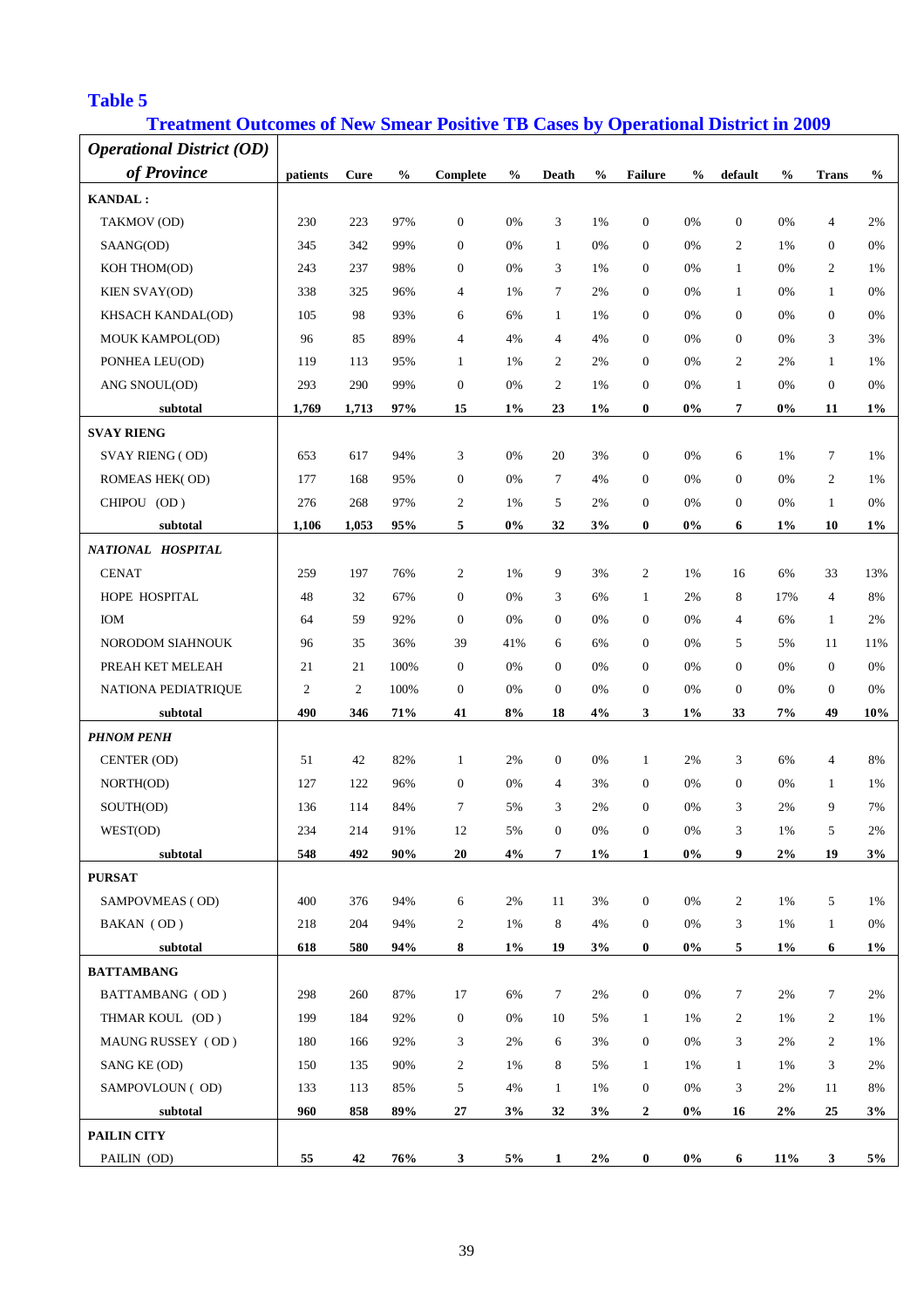#### **Table 5**

## **Treatment Outcomes of New Smear Positive TB Cases by Operational District in 2009**

| <b>Operational District (OD)</b> |                  |                |               |                  |               |                  |               |                  |               |                  |               |                |                                    |
|----------------------------------|------------------|----------------|---------------|------------------|---------------|------------------|---------------|------------------|---------------|------------------|---------------|----------------|------------------------------------|
| of Province                      | patients         | Cure           | $\frac{0}{0}$ | Complete         | $\frac{0}{0}$ | Death            | $\frac{0}{0}$ | <b>Failure</b>   | $\frac{0}{0}$ | default          | $\frac{0}{0}$ | <b>Trans</b>   | $\mathbf{0}_{\mathbf{0}}^{\prime}$ |
| <b>KANDAL:</b>                   |                  |                |               |                  |               |                  |               |                  |               |                  |               |                |                                    |
| TAKMOV (OD)                      | 230              | 223            | 97%           | $\mathbf{0}$     | 0%            | 3                | 1%            | $\boldsymbol{0}$ | 0%            | $\boldsymbol{0}$ | 0%            | $\overline{4}$ | 2%                                 |
| SAANG(OD)                        | 345              | 342            | 99%           | $\mathbf{0}$     | 0%            | $\mathbf{1}$     | 0%            | $\mathbf{0}$     | 0%            | $\overline{c}$   | 1%            | $\theta$       | 0%                                 |
| KOH THOM(OD)                     | 243              | 237            | 98%           | $\mathbf{0}$     | 0%            | 3                | 1%            | $\mathbf{0}$     | 0%            | $\mathbf{1}$     | 0%            | 2              | 1%                                 |
| KIEN SVAY(OD)                    | 338              | 325            | 96%           | $\overline{4}$   | 1%            | 7                | 2%            | $\mathbf{0}$     | 0%            | $\mathbf{1}$     | 0%            | 1              | 0%                                 |
| KHSACH KANDAL(OD)                | 105              | 98             | 93%           | 6                | 6%            | $\mathbf{1}$     | 1%            | $\mathbf{0}$     | 0%            | $\mathbf{0}$     | 0%            | $\mathbf{0}$   | 0%                                 |
| MOUK KAMPOL(OD)                  | 96               | 85             | 89%           | $\overline{4}$   | 4%            | $\overline{4}$   | 4%            | $\mathbf{0}$     | 0%            | $\mathbf{0}$     | 0%            | 3              | 3%                                 |
| PONHEA LEU(OD)                   | 119              | 113            | 95%           | 1                | 1%            | 2                | 2%            | $\mathbf{0}$     | 0%            | $\overline{c}$   | 2%            | $\mathbf{1}$   | 1%                                 |
| ANG SNOUL(OD)                    | 293              | 290            | 99%           | $\mathbf{0}$     | 0%            | 2                | 1%            | $\mathbf{0}$     | 0%            | $\mathbf{1}$     | 0%            | $\mathbf{0}$   | 0%                                 |
| subtotal                         | 1,769            | 1,713          | 97%           | 15               | $1\%$         | 23               | $1\%$         | $\bf{0}$         | $0\%$         | 7                | $0\%$         | 11             | $1\%$                              |
| <b>SVAY RIENG</b>                |                  |                |               |                  |               |                  |               |                  |               |                  |               |                |                                    |
| <b>SVAY RIENG (OD)</b>           | 653              | 617            | 94%           | 3                | 0%            | 20               | 3%            | $\boldsymbol{0}$ | 0%            | 6                | 1%            | $\tau$         | 1%                                 |
| ROMEAS HEK(OD)                   | 177              | 168            | 95%           | $\mathbf{0}$     | 0%            | 7                | 4%            | $\mathbf{0}$     | 0%            | $\boldsymbol{0}$ | 0%            | 2              | 1%                                 |
| CHIPOU (OD)                      | 276              | 268            | 97%           | 2                | 1%            | 5                | 2%            | $\mathbf{0}$     | 0%            | $\boldsymbol{0}$ | 0%            | $\mathbf{1}$   | 0%                                 |
| subtotal                         | 1,106            | 1,053          | 95%           | 5                | 0%            | 32               | 3%            | $\bf{0}$         | $0\%$         | 6                | $1\%$         | 10             | $1\%$                              |
| NATIONAL HOSPITAL                |                  |                |               |                  |               |                  |               |                  |               |                  |               |                |                                    |
| <b>CENAT</b>                     | 259              | 197            | 76%           | $\overline{2}$   | 1%            | 9                | 3%            | $\overline{2}$   | 1%            | 16               | 6%            | 33             | 13%                                |
| HOPE HOSPITAL                    | 48               | 32             | 67%           | $\mathbf{0}$     | 0%            | 3                | 6%            | 1                | 2%            | 8                | 17%           | $\overline{4}$ | 8%                                 |
| IOM                              | 64               | 59             | 92%           | $\mathbf{0}$     | 0%            | $\boldsymbol{0}$ | 0%            | $\boldsymbol{0}$ | 0%            | 4                | 6%            | $\mathbf{1}$   | 2%                                 |
| NORODOM SIAHNOUK                 | 96               | 35             | 36%           | 39               | 41%           | 6                | 6%            | $\boldsymbol{0}$ | 0%            | 5                | 5%            | 11             | 11%                                |
| PREAH KET MELEAH                 | 21               | 21             | 100%          | $\mathbf{0}$     | 0%            | $\boldsymbol{0}$ | 0%            | $\boldsymbol{0}$ | 0%            | $\mathbf{0}$     | 0%            | $\mathbf{0}$   | 0%                                 |
| NATIONA PEDIATRIQUE              | $\boldsymbol{2}$ | $\overline{2}$ | 100%          | $\mathbf{0}$     | 0%            | $\boldsymbol{0}$ | 0%            | $\boldsymbol{0}$ | 0%            | $\boldsymbol{0}$ | 0%            | $\mathbf{0}$   | 0%                                 |
| subtotal                         | 490              | 346            | 71%           | 41               | 8%            | 18               | 4%            | 3                | $1\%$         | 33               | 7%            | 49             | 10%                                |
| <b>PHNOM PENH</b>                |                  |                |               |                  |               |                  |               |                  |               |                  |               |                |                                    |
| CENTER (OD)                      | 51               | 42             | 82%           | $\mathbf{1}$     | 2%            | $\mathbf{0}$     | 0%            | $\mathbf{1}$     | 2%            | 3                | 6%            | $\overline{4}$ | 8%                                 |
| NORTH(OD)                        | 127              | 122            | 96%           | $\mathbf{0}$     | 0%            | $\overline{4}$   | 3%            | $\mathbf{0}$     | 0%            | $\mathbf{0}$     | 0%            | $\mathbf{1}$   | 1%                                 |
| SOUTH(OD)                        | 136              | 114            | 84%           | 7                | 5%            | 3                | 2%            | $\mathbf{0}$     | 0%            | 3                | 2%            | 9              | 7%                                 |
| WEST(OD)                         | 234              | 214            | 91%           | 12               | 5%            | $\mathbf{0}$     | 0%            | $\overline{0}$   | 0%            | 3                | 1%            | 5              | 2%                                 |
| subtotal                         | 548              | 492            | 90%           | 20               | 4%            | 7                | $1\%$         | 1                | $0\%$         | 9                | 2%            | 19             | 3%                                 |
| <b>PURSAT</b>                    |                  |                |               |                  |               |                  |               |                  |               |                  |               |                |                                    |
| SAMPOVMEAS (OD)                  | 400              | 376            | 94%           | 6                | 2%            | 11               | 3%            | $\boldsymbol{0}$ | $0\%$         | $\overline{c}$   | 1%            | 5              | 1%                                 |
| BAKAN (OD)                       | 218              | 204            | 94%           | $\overline{2}$   | 1%            | 8                | 4%            | $\boldsymbol{0}$ | $0\%$         | 3                | 1%            | $\mathbf{1}$   | 0%                                 |
| subtotal                         | 618              | 580            | 94%           | 8                | $1\%$         | 19               | 3%            | $\bf{0}$         | $0\%$         | 5                | $1\%$         | 6              | $1\%$                              |
| <b>BATTAMBANG</b>                |                  |                |               |                  |               |                  |               |                  |               |                  |               |                |                                    |
| BATTAMBANG (OD)                  | 298              | 260            | 87%           | 17               | 6%            | $\tau$           | 2%            | $\boldsymbol{0}$ | $0\%$         | $\tau$           | 2%            | $\tau$         | 2%                                 |
| THMAR KOUL (OD)                  | 199              | 184            | 92%           | $\boldsymbol{0}$ | 0%            | 10               | 5%            | $\mathbf{1}$     | 1%            | $\overline{c}$   | 1%            | 2              | 1%                                 |
| MAUNG RUSSEY (OD)                | 180              | 166            | 92%           | 3                | 2%            | 6                | 3%            | $\boldsymbol{0}$ | 0%            | 3                | 2%            | 2              | 1%                                 |
| SANG KE (OD)                     | 150              | 135            | 90%           | $\overline{c}$   | 1%            | 8                | 5%            | $\mathbf{1}$     | 1%            | $\mathbf{1}$     | 1%            | 3              | 2%                                 |
| SAMPOVLOUN (OD)                  | 133              | 113            | 85%           | 5                | 4%            | $\mathbf{1}$     | 1%            | $\boldsymbol{0}$ | 0%            | 3                | 2%            | 11             | 8%                                 |
| subtotal                         | 960              | 858            | 89%           | 27               | 3%            | 32               | 3%            | $\boldsymbol{2}$ | $0\%$         | 16               | $2\%$         | 25             | 3%                                 |
| <b>PAILIN CITY</b>               |                  |                |               |                  |               |                  |               |                  |               |                  |               |                |                                    |
| PAILIN (OD)                      | 55               | 42             | 76%           | $\mathbf{3}$     | 5%            | $\mathbf{1}$     | 2%            | $\bf{0}$         | $0\%$         | 6                | 11%           | 3              | 5%                                 |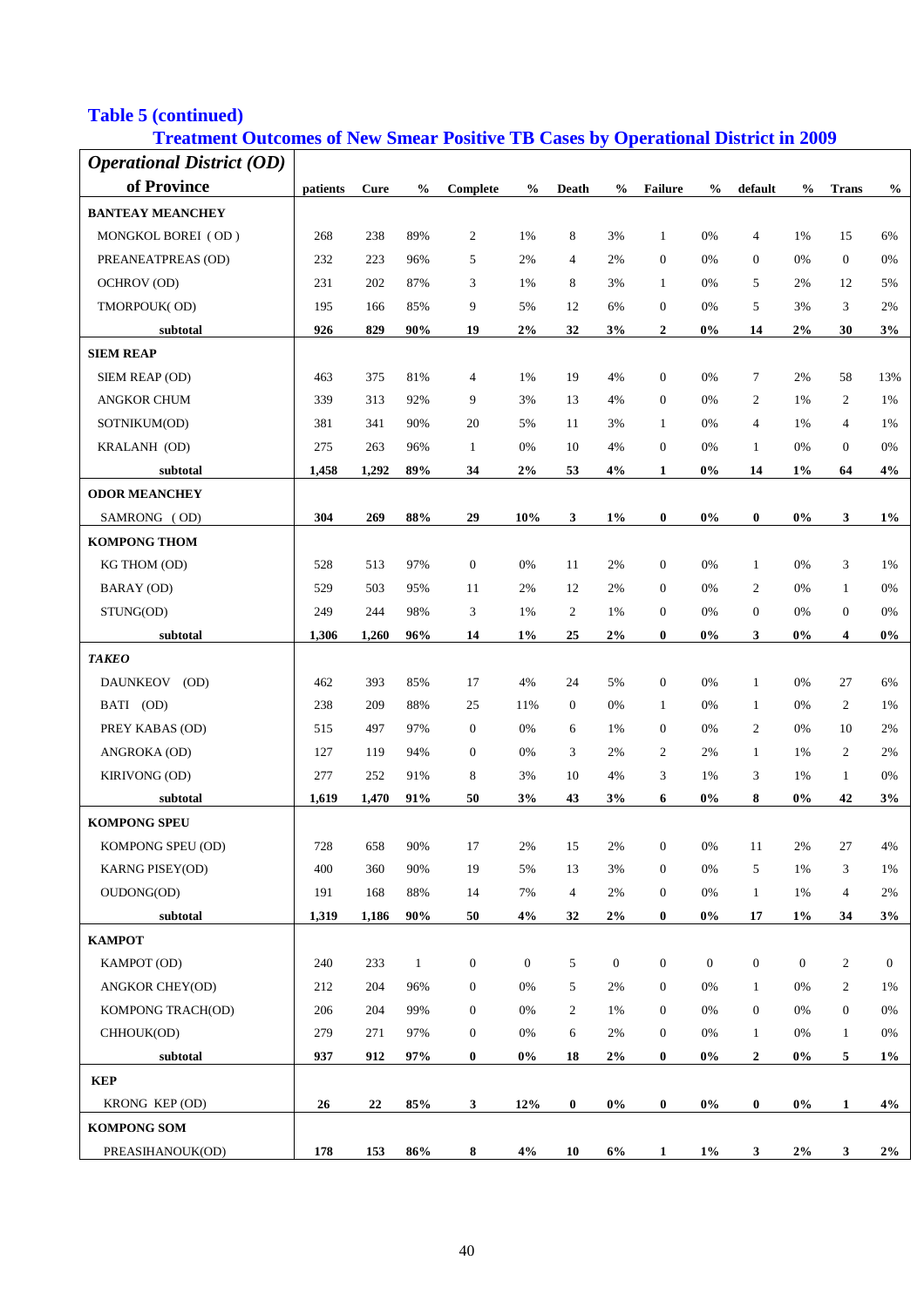## **Table 5 (continued)**

## **Treatment Outcomes of New Smear Positive TB Cases by Operational District in 2009**

| <b>Operational District (OD)</b> |          |             |               |                  |                  |                |                  |                  |                  |                  |               |                  |                  |
|----------------------------------|----------|-------------|---------------|------------------|------------------|----------------|------------------|------------------|------------------|------------------|---------------|------------------|------------------|
| of Province                      | patients | <b>Cure</b> | $\frac{0}{0}$ | Complete         | $\frac{0}{0}$    | Death          | $\frac{0}{0}$    | <b>Failure</b>   | $\frac{0}{0}$    | default          | $\frac{0}{0}$ | <b>Trans</b>     | $\frac{0}{0}$    |
| <b>BANTEAY MEANCHEY</b>          |          |             |               |                  |                  |                |                  |                  |                  |                  |               |                  |                  |
| MONGKOL BOREI (OD)               | 268      | 238         | 89%           | 2                | 1%               | 8              | 3%               | $\mathbf{1}$     | 0%               | $\overline{4}$   | 1%            | 15               | 6%               |
| PREANEATPREAS (OD)               | 232      | 223         | 96%           | 5                | 2%               | $\overline{4}$ | 2%               | $\boldsymbol{0}$ | 0%               | 0                | 0%            | $\mathbf{0}$     | 0%               |
| <b>OCHROV</b> (OD)               | 231      | 202         | 87%           | 3                | 1%               | 8              | 3%               | $\mathbf{1}$     | 0%               | 5                | 2%            | 12               | 5%               |
| TMORPOUK(OD)                     | 195      | 166         | 85%           | 9                | 5%               | 12             | 6%               | $\boldsymbol{0}$ | 0%               | 5                | 3%            | 3                | 2%               |
| subtotal                         | 926      | 829         | 90%           | 19               | 2%               | 32             | 3%               | $\boldsymbol{2}$ | 0%               | 14               | $2\%$         | 30               | 3%               |
| <b>SIEM REAP</b>                 |          |             |               |                  |                  |                |                  |                  |                  |                  |               |                  |                  |
| SIEM REAP (OD)                   | 463      | 375         | 81%           | 4                | 1%               | 19             | 4%               | $\boldsymbol{0}$ | 0%               | $\tau$           | 2%            | 58               | 13%              |
| <b>ANGKOR CHUM</b>               | 339      | 313         | 92%           | 9                | 3%               | 13             | 4%               | $\boldsymbol{0}$ | 0%               | 2                | 1%            | 2                | 1%               |
| SOTNIKUM(OD)                     | 381      | 341         | 90%           | 20               | 5%               | 11             | 3%               | $\mathbf{1}$     | 0%               | $\overline{4}$   | 1%            | $\overline{4}$   | 1%               |
| KRALANH (OD)                     | 275      | 263         | 96%           | $\mathbf{1}$     | 0%               | 10             | 4%               | $\boldsymbol{0}$ | 0%               | $\mathbf{1}$     | 0%            | $\boldsymbol{0}$ | 0%               |
| subtotal                         | 1,458    | 1,292       | 89%           | 34               | 2%               | 53             | 4%               | $\mathbf{1}$     | $0\%$            | 14               | 1%            | 64               | 4%               |
| <b>ODOR MEANCHEY</b>             |          |             |               |                  |                  |                |                  |                  |                  |                  |               |                  |                  |
| SAMRONG (OD)                     | 304      | 269         | 88%           | 29               | 10%              | 3              | $1\%$            | $\bf{0}$         | $0\%$            | $\bf{0}$         | $0\%$         | 3                | $1\%$            |
| <b>KOMPONG THOM</b>              |          |             |               |                  |                  |                |                  |                  |                  |                  |               |                  |                  |
| KG THOM (OD)                     | 528      | 513         | 97%           | $\boldsymbol{0}$ | 0%               | 11             | 2%               | $\boldsymbol{0}$ | 0%               | $\mathbf{1}$     | 0%            | 3                | 1%               |
| BARAY (OD)                       | 529      | 503         | 95%           | 11               | 2%               | 12             | 2%               | $\boldsymbol{0}$ | 0%               | 2                | 0%            | $\mathbf{1}$     | 0%               |
| STUNG(OD)                        | 249      | 244         | 98%           | 3                | 1%               | $\overline{c}$ | 1%               | $\boldsymbol{0}$ | 0%               | $\boldsymbol{0}$ | 0%            | $\mathbf{0}$     | 0%               |
| subtotal                         | 1,306    | 1,260       | 96%           | 14               | $1\%$            | 25             | $2\%$            | $\bf{0}$         | $0\%$            | 3                | 0%            | 4                | $0\%$            |
| <b>TAKEO</b>                     |          |             |               |                  |                  |                |                  |                  |                  |                  |               |                  |                  |
| <b>DAUNKEOV</b><br>(OD)          | 462      | 393         | 85%           | 17               | 4%               | 24             | 5%               | $\boldsymbol{0}$ | 0%               | $\mathbf{1}$     | 0%            | 27               | 6%               |
| BATI (OD)                        | 238      | 209         | 88%           | 25               | 11%              | $\mathbf{0}$   | 0%               | $\mathbf{1}$     | 0%               | $\mathbf{1}$     | 0%            | 2                | 1%               |
| PREY KABAS (OD)                  | 515      | 497         | 97%           | $\boldsymbol{0}$ | 0%               | 6              | 1%               | $\boldsymbol{0}$ | 0%               | $\overline{c}$   | 0%            | 10               | 2%               |
| ANGROKA (OD)                     | 127      | 119         | 94%           | $\mathbf{0}$     | 0%               | 3              | 2%               | $\overline{c}$   | 2%               | $\mathbf{1}$     | 1%            | $\overline{c}$   | 2%               |
| KIRIVONG (OD)                    | 277      | 252         | 91%           | 8                | 3%               | 10             | 4%               | 3                | 1%               | 3                | 1%            | $\mathbf{1}$     | $0\%$            |
| subtotal                         | 1,619    | 1,470       | 91%           | 50               | 3%               | 43             | 3%               | 6                | 0%               | 8                | 0%            | 42               | 3%               |
| <b>KOMPONG SPEU</b>              |          |             |               |                  |                  |                |                  |                  |                  |                  |               |                  |                  |
| KOMPONG SPEU (OD)                | 728      | 658         | 90%           | 17               | $2\%$            | 15             | 2%               | $\mathbf{0}$     | 0%               | 11               | $2\%$         | 27               | 4%               |
| <b>KARNG PISEY(OD)</b>           | 400      | 360         | 90%           | 19               | 5%               | 13             | 3%               | $\boldsymbol{0}$ | 0%               | 5                | 1%            | 3                | 1%               |
| OUDONG(OD)                       | 191      | 168         | 88%           | 14               | 7%               | $\overline{4}$ | 2%               | $\boldsymbol{0}$ | 0%               | $\mathbf{1}$     | 1%            | $\overline{4}$   | 2%               |
| subtotal                         | 1,319    | 1,186       | 90%           | 50               | 4%               | 32             | $2\%$            | $\bf{0}$         | $0\%$            | ${\bf 17}$       | $1\%$         | 34               | 3%               |
| КАМРОТ                           |          |             |               |                  |                  |                |                  |                  |                  |                  |               |                  |                  |
| KAMPOT (OD)                      | 240      | 233         | $\mathbf{1}$  | $\boldsymbol{0}$ | $\boldsymbol{0}$ | 5              | $\boldsymbol{0}$ | $\boldsymbol{0}$ | $\boldsymbol{0}$ | $\mathbf{0}$     | $\mathbf{0}$  | $\sqrt{2}$       | $\boldsymbol{0}$ |
| <b>ANGKOR CHEY(OD)</b>           | 212      | 204         | 96%           | $\boldsymbol{0}$ | $0\%$            | 5              | 2%               | $\boldsymbol{0}$ | 0%               | $\mathbf{1}$     | 0%            | 2                | 1%               |
| KOMPONG TRACH(OD)                | 206      | 204         | 99%           | $\boldsymbol{0}$ | $0\%$            | 2              | 1%               | $\boldsymbol{0}$ | 0%               | $\boldsymbol{0}$ | 0%            | $\boldsymbol{0}$ | 0%               |
| CHHOUK(OD)                       | 279      | 271         | 97%           | $\boldsymbol{0}$ | $0\%$            | 6              | 2%               | $\boldsymbol{0}$ | 0%               | $\mathbf{1}$     | 0%            | $\mathbf{1}$     | 0%               |
| subtotal                         | 937      | 912         | 97%           | $\bf{0}$         | $0\%$            | 18             | 2%               | $\bf{0}$         | $0\%$            | $\boldsymbol{2}$ | $0\%$         | $\sqrt{5}$       | $1\%$            |
| <b>KEP</b>                       |          |             |               |                  |                  |                |                  |                  |                  |                  |               |                  |                  |
| KRONG KEP (OD)                   | 26       | 22          | 85%           | 3                | 12%              | $\bf{0}$       | $0\%$            | $\bf{0}$         | $0\%$            | $\bf{0}$         | $0\%$         | $\mathbf{1}$     | 4%               |
| <b>KOMPONG SOM</b>               |          |             |               |                  |                  |                |                  |                  |                  |                  |               |                  |                  |
| PREASIHANOUK(OD)                 | 178      | 153         | 86%           | 8                | 4%               | 10             | 6%               | $\mathbf{1}$     | $1\%$            | 3                | 2%            | 3                | 2%               |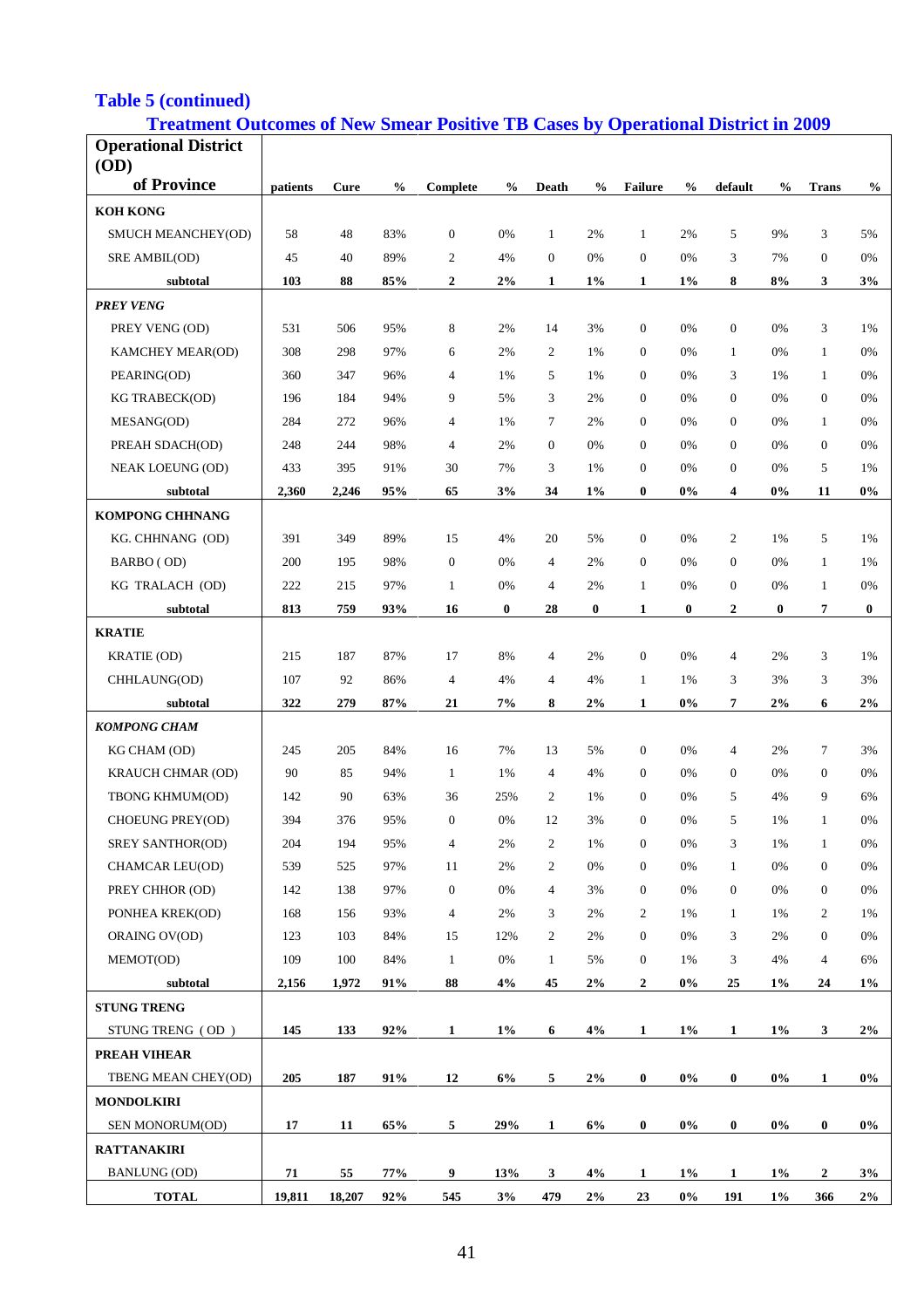## **Table 5 (continued)**

## **Treatment Outcomes of New Smear Positive TB Cases by Operational District in 2009**

| <b>Operational District</b> |          |        |               |                  |               |                |               |                  |               |                  |               |                  |               |
|-----------------------------|----------|--------|---------------|------------------|---------------|----------------|---------------|------------------|---------------|------------------|---------------|------------------|---------------|
| (OD)                        |          |        |               |                  |               |                |               |                  |               |                  |               |                  |               |
| of Province                 | patients | Cure   | $\frac{0}{0}$ | Complete         | $\frac{6}{9}$ | <b>Death</b>   | $\frac{0}{0}$ | <b>Failure</b>   | $\frac{6}{9}$ | default          | $\frac{0}{0}$ | <b>Trans</b>     | $\frac{0}{0}$ |
| <b>KOH KONG</b>             |          |        |               |                  |               |                |               |                  |               |                  |               |                  |               |
| SMUCH MEANCHEY(OD)          | 58       | 48     | 83%           | $\boldsymbol{0}$ | 0%            | 1              | 2%            | $\mathbf{1}$     | 2%            | 5                | 9%            | 3                | 5%            |
| SRE AMBIL(OD)               | 45       | 40     | 89%           | $\overline{c}$   | 4%            | $\overline{0}$ | 0%            | $\mathbf{0}$     | 0%            | 3                | 7%            | $\mathbf{0}$     | 0%            |
| subtotal                    | 103      | 88     | 85%           | $\boldsymbol{2}$ | $2\%$         | 1              | $1\%$         | 1                | 1%            | 8                | 8%            | 3                | 3%            |
| <b>PREY VENG</b>            |          |        |               |                  |               |                |               |                  |               |                  |               |                  |               |
| PREY VENG (OD)              | 531      | 506    | 95%           | 8                | 2%            | 14             | 3%            | $\mathbf{0}$     | 0%            | $\boldsymbol{0}$ | 0%            | 3                | 1%            |
| KAMCHEY MEAR(OD)            | 308      | 298    | 97%           | 6                | 2%            | 2              | 1%            | $\mathbf{0}$     | 0%            | $\mathbf{1}$     | 0%            | $\mathbf{1}$     | 0%            |
| PEARING(OD)                 | 360      | 347    | 96%           | $\overline{4}$   | 1%            | 5              | 1%            | $\mathbf{0}$     | 0%            | 3                | 1%            | $\mathbf{1}$     | 0%            |
| <b>KG TRABECK(OD)</b>       | 196      | 184    | 94%           | 9                | 5%            | 3              | 2%            | $\Omega$         | 0%            | $\mathbf{0}$     | 0%            | $\mathbf{0}$     | 0%            |
| MESANG(OD)                  | 284      | 272    | 96%           | $\overline{4}$   | 1%            | $\tau$         | 2%            | $\mathbf{0}$     | 0%            | $\mathbf{0}$     | 0%            | $\mathbf{1}$     | 0%            |
| PREAH SDACH(OD)             | 248      | 244    | 98%           | $\overline{4}$   | 2%            | $\overline{0}$ | 0%            | $\mathbf{0}$     | 0%            | $\mathbf{0}$     | 0%            | $\mathbf{0}$     | 0%            |
| <b>NEAK LOEUNG (OD)</b>     | 433      | 395    | 91%           | 30               | 7%            | 3              | 1%            | $\mathbf{0}$     | 0%            | $\overline{0}$   | 0%            | 5                | 1%            |
| subtotal                    | 2,360    | 2,246  | 95%           | 65               | 3%            | 34             | $1\%$         | $\bf{0}$         | $0\%$         | 4                | 0%            | 11               | $0\%$         |
| <b>KOMPONG CHHNANG</b>      |          |        |               |                  |               |                |               |                  |               |                  |               |                  |               |
| KG. CHHNANG (OD)            | 391      | 349    | 89%           | 15               | 4%            | 20             | 5%            | $\mathbf{0}$     | 0%            | 2                | 1%            | 5                | 1%            |
| BARBO (OD)                  | 200      | 195    | 98%           | $\mathbf{0}$     | 0%            | $\overline{4}$ | 2%            | $\mathbf{0}$     | 0%            | $\overline{0}$   | 0%            | $\mathbf{1}$     | 1%            |
| KG TRALACH (OD)             | 222      | 215    | 97%           | $\mathbf{1}$     | 0%            | $\overline{4}$ | 2%            | $\mathbf{1}$     | 0%            | $\boldsymbol{0}$ | 0%            | $\mathbf{1}$     | 0%            |
| subtotal                    | 813      | 759    | 93%           | 16               | $\bf{0}$      | 28             | $\bf{0}$      | 1                | $\bf{0}$      | $\mathbf{2}$     | 0             | 7                | $\bf{0}$      |
| <b>KRATIE</b>               |          |        |               |                  |               |                |               |                  |               |                  |               |                  |               |
| KRATIE (OD)                 | 215      | 187    | 87%           | 17               | 8%            | $\overline{4}$ | 2%            | $\mathbf{0}$     | 0%            | $\overline{4}$   | 2%            | 3                | 1%            |
| CHHLAUNG(OD)                | 107      | 92     | 86%           | $\overline{4}$   | 4%            | $\overline{4}$ | 4%            | 1                | 1%            | 3                | 3%            | 3                | 3%            |
| subtotal                    | 322      | 279    | 87%           | 21               | 7%            | 8              | 2%            | $\mathbf{1}$     | 0%            | 7                | 2%            | 6                | 2%            |
| <b>KOMPONG CHAM</b>         |          |        |               |                  |               |                |               |                  |               |                  |               |                  |               |
| KG CHAM (OD)                | 245      | 205    | 84%           | 16               | 7%            | 13             | 5%            | $\boldsymbol{0}$ | 0%            | $\overline{4}$   | 2%            | $\tau$           | 3%            |
| KRAUCH CHMAR (OD)           | 90       | 85     | 94%           | $\mathbf{1}$     | 1%            | $\overline{4}$ | 4%            | $\theta$         | 0%            | $\boldsymbol{0}$ | 0%            | $\mathbf{0}$     | 0%            |
| TBONG KHMUM(OD)             | 142      | 90     | 63%           | 36               | 25%           | 2              | 1%            | $\theta$         | 0%            | 5                | 4%            | 9                | 6%            |
| CHOEUNG PREY(OD)            | 394      | 376    | 95%           | $\mathbf{0}$     | 0%            | 12             | 3%            | $\mathbf{0}$     | 0%            | 5                | 1%            | $\mathbf{1}$     | 0%            |
| SREY SANTHOR(OD)            | 204      | 194    | 95%           | $\overline{4}$   | 2%            | $\mathbf{2}$   | 1%            | $\boldsymbol{0}$ | 0%            | 3                | 1%            | $\mathbf{1}$     | 0%            |
| CHAMCAR LEU(OD)             | 539      | 525    | 97%           | 11               | 2%            | $\overline{c}$ | 0%            | $\mathbf{0}$     | 0%            | $\mathbf{1}$     | $0\%$         | $\boldsymbol{0}$ | $0\%$         |
| PREY CHHOR (OD)             | 142      | 138    | 97%           | $\boldsymbol{0}$ | $0\%$         | 4              | 3%            | $\mathbf{0}$     | 0%            | $\boldsymbol{0}$ | $0\%$         | $\boldsymbol{0}$ | $0\%$         |
| PONHEA KREK(OD)             | 168      | 156    | 93%           | $\overline{4}$   | 2%            | 3              | 2%            | $\overline{2}$   | 1%            | $\mathbf{1}$     | 1%            | $\overline{c}$   | 1%            |
| ORAING OV(OD)               | 123      | 103    | 84%           | 15               | 12%           | $\mathbf{2}$   | 2%            | $\boldsymbol{0}$ | 0%            | 3                | 2%            | $\boldsymbol{0}$ | 0%            |
| MEMOT(OD)                   | 109      | 100    | 84%           | $\mathbf{1}$     | 0%            | $\mathbf{1}$   | 5%            | $\mathbf{0}$     | 1%            | 3                | 4%            | $\overline{4}$   | 6%            |
| subtotal                    | 2,156    | 1,972  | 91%           | 88               | 4%            | 45             | 2%            | $\mathbf{2}$     | $0\%$         | 25               | $1\%$         | 24               | $1\%$         |
| <b>STUNG TRENG</b>          |          |        |               |                  |               |                |               |                  |               |                  |               |                  |               |
| STUNG TRENG (OD)            | 145      | 133    | 92%           | 1                | $1\%$         | 6              | 4%            | $\mathbf{1}$     | $1\%$         | $\mathbf{1}$     | $1\%$         | $\mathbf{3}$     | $2\%$         |
|                             |          |        |               |                  |               |                |               |                  |               |                  |               |                  |               |
| <b>PREAH VIHEAR</b>         |          |        |               |                  |               |                |               |                  |               |                  |               |                  |               |
| TBENG MEAN CHEY(OD)         | 205      | 187    | 91%           | 12               | 6%            | 5              | 2%            | $\boldsymbol{0}$ | $0\%$         | $\bf{0}$         | $0\%$         | $\mathbf{1}$     | $0\%$         |
| <b>MONDOLKIRI</b>           |          |        |               |                  |               |                |               |                  |               |                  |               |                  |               |
| SEN MONORUM(OD)             | 17       | 11     | 65%           | 5                | 29%           | $\mathbf{1}$   | 6%            | $\bf{0}$         | $0\%$         | $\bf{0}$         | $0\%$         | $\boldsymbol{0}$ | $0\%$         |
| <b>RATTANAKIRI</b>          |          |        |               |                  |               |                |               |                  |               |                  |               |                  |               |
| <b>BANLUNG (OD)</b>         | 71       | 55     | 77%           | 9                | 13%           | 3              | 4%            | 1                | $1\%$         | 1                | $1\%$         | $\mathbf{2}$     | 3%            |
| <b>TOTAL</b>                | 19,811   | 18,207 | 92%           | 545              | 3%            | 479            | 2%            | 23               | $0\%$         | 191              | $1\%$         | 366              | $2\%$         |